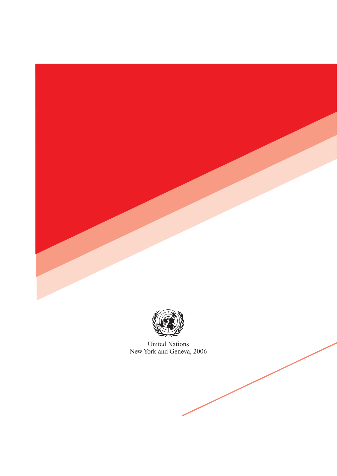



United Nations New York and Geneva, 2006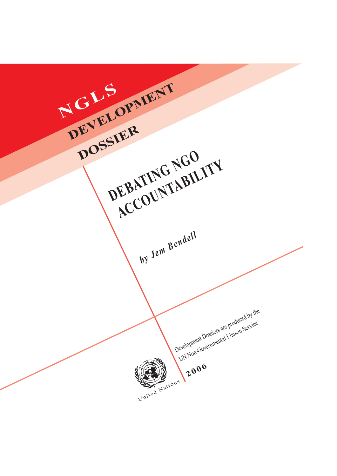**NGLS** United Nations Development Dossiers are produced by the UN Non-Governmental Liaison Service **2006** DEVELOPMENT **DOSSIER** DEBATING NGO **ACCOUNTABILITY** *by Jem Bendell*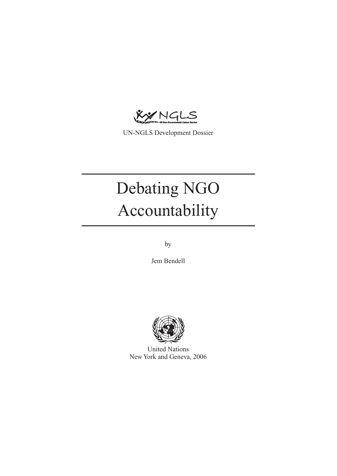KYNGLS

UN-NGLS Development Dossier

# Debating NGO Accountability

by

Jem Bendell



United Nations New York and Geneva, 2006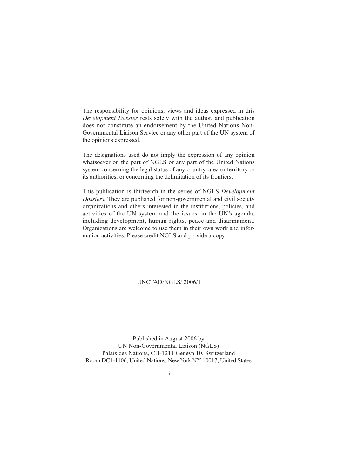The responsibility for opinions, views and ideas expressed in this *Development Dossier* rests solely with the author, and publication does not constitute an endorsement by the United Nations Non-Governmental Liaison Service or any other part of the UN system of the opinions expressed.

The designations used do not imply the expression of any opinion whatsoever on the part of NGLS or any part of the United Nations system concerning the legal status of any country, area or territory or its authorities, or concerning the delimitation of its frontiers.

This publication is thirteenth in the series of NGLS *Development Dossiers*. They are published for non-governmental and civil society organizations and others interested in the institutions, policies, and activities of the UN system and the issues on the UN's agenda, including development, human rights, peace and disarmament. Organizations are welcome to use them in their own work and information activities. Please credit NGLS and provide a copy.

UNCTAD/NGLS/ 2006/1

Published in August 2006 by UN Non-Governmental Liaison (NGLS) Palais des Nations, CH-1211 Geneva 10, Switzerland Room DC1-1106, United Nations, New York NY 10017, United States

ii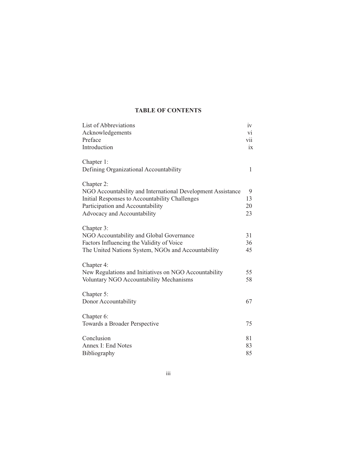# **TABLE OF CONTENTS**

| List of Abbreviations                                       | iv  |
|-------------------------------------------------------------|-----|
| Acknowledgements                                            | vi  |
| Preface                                                     | vii |
| Introduction                                                | ix  |
| Chapter 1:                                                  |     |
| Defining Organizational Accountability                      | 1   |
| Chapter 2:                                                  |     |
| NGO Accountability and International Development Assistance | 9   |
| Initial Responses to Accountability Challenges              | 13  |
| Participation and Accountability                            | 20  |
| Advocacy and Accountability                                 | 23  |
| Chapter 3:                                                  |     |
| NGO Accountability and Global Governance                    | 31  |
| Factors Influencing the Validity of Voice                   | 36  |
| The United Nations System, NGOs and Accountability          | 45  |
| Chapter 4:                                                  |     |
| New Regulations and Initiatives on NGO Accountability       | 55  |
| Voluntary NGO Accountability Mechanisms                     | 58  |
| Chapter 5:                                                  |     |
| Donor Accountability                                        | 67  |
| Chapter 6:                                                  |     |
| Towards a Broader Perspective                               | 75  |
|                                                             |     |
| Conclusion                                                  | 81  |
| Annex I: End Notes                                          | 83  |
| Bibliography                                                | 85  |

iii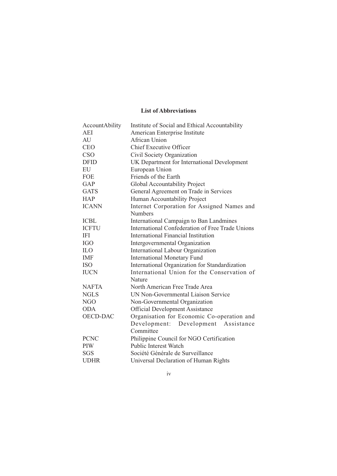# **List of Abbreviations**

| AccountAbility  | Institute of Social and Ethical Accountability   |
|-----------------|--------------------------------------------------|
| AEI             | American Enterprise Institute                    |
| AU              | African Union                                    |
| <b>CEO</b>      | <b>Chief Executive Officer</b>                   |
| <b>CSO</b>      | Civil Society Organization                       |
| <b>DFID</b>     | UK Department for International Development      |
| EU              | European Union                                   |
| <b>FOE</b>      | Friends of the Earth                             |
| GAP             | Global Accountability Project                    |
| <b>GATS</b>     | General Agreement on Trade in Services           |
| <b>HAP</b>      | Human Accountability Project                     |
| <b>ICANN</b>    | Internet Corporation for Assigned Names and      |
|                 | <b>Numbers</b>                                   |
| <b>ICBL</b>     | International Campaign to Ban Landmines          |
| <b>ICFTU</b>    | International Confederation of Free Trade Unions |
| <b>IFI</b>      | International Financial Institution              |
| <b>IGO</b>      | Intergovernmental Organization                   |
| <b>ILO</b>      | International Labour Organization                |
| <b>IMF</b>      | <b>International Monetary Fund</b>               |
| <b>ISO</b>      | International Organization for Standardization   |
| <b>IUCN</b>     | International Union for the Conservation of      |
|                 | Nature                                           |
| <b>NAFTA</b>    | North American Free Trade Area                   |
| <b>NGLS</b>     | UN Non-Governmental Liaison Service              |
| <b>NGO</b>      | Non-Governmental Organization                    |
| <b>ODA</b>      | <b>Official Development Assistance</b>           |
| <b>OECD-DAC</b> | Organisation for Economic Co-operation and       |
|                 | Development:<br>Development Assistance           |
|                 | Committee                                        |
| <b>PCNC</b>     | Philippine Council for NGO Certification         |
| PIW             | <b>Public Interest Watch</b>                     |
| SGS             | Société Générale de Surveillance                 |
| <b>UDHR</b>     | Universal Declaration of Human Rights            |

iv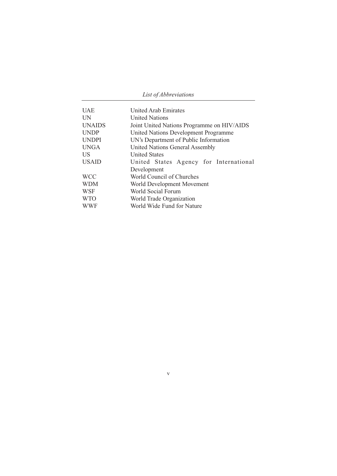| List of Abbreviations |
|-----------------------|
|-----------------------|

| <b>UAE</b>    | <b>United Arab Emirates</b>                |
|---------------|--------------------------------------------|
| <b>UN</b>     | <b>United Nations</b>                      |
| <b>UNAIDS</b> | Joint United Nations Programme on HIV/AIDS |
| <b>UNDP</b>   | United Nations Development Programme       |
| <b>UNDPI</b>  | UN's Department of Public Information      |
| <b>UNGA</b>   | <b>United Nations General Assembly</b>     |
| US            | <b>United States</b>                       |
| <b>USAID</b>  | United States Agency for International     |
|               | Development                                |
| <b>WCC</b>    | World Council of Churches                  |
| <b>WDM</b>    | World Development Movement                 |
| <b>WSF</b>    | World Social Forum                         |
| <b>WTO</b>    | World Trade Organization                   |
| <b>WWF</b>    | World Wide Fund for Nature                 |

v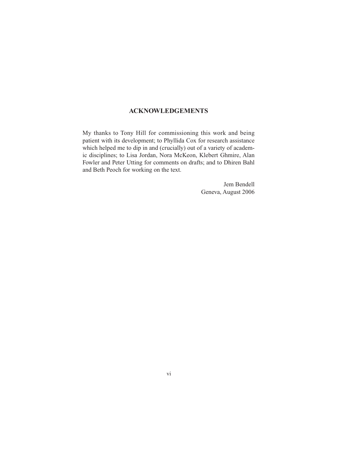# **ACKNOWLEDGEMENTS**

My thanks to Tony Hill for commissioning this work and being patient with its development; to Phyllida Cox for research assistance which helped me to dip in and (crucially) out of a variety of academic disciplines; to Lisa Jordan, Nora McKeon, Klebert Ghmire, Alan Fowler and Peter Utting for comments on drafts; and to Dhiren Bahl and Beth Peoch for working on the text.

> Jem Bendell Geneva, August 2006

vi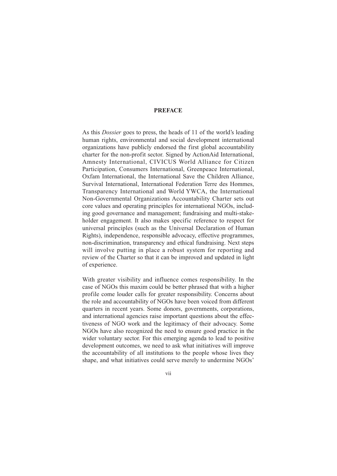## **PREFACE**

As this *Dossier* goes to press, the heads of 11 of the world's leading human rights, environmental and social development international organizations have publicly endorsed the first global accountability charter for the non-profit sector. Signed by ActionAid International, Amnesty International, CIVICUS World Alliance for Citizen Participation, Consumers International, Greenpeace International, Oxfam International, the International Save the Children Alliance, Survival International, International Federation Terre des Hommes, Transparency International and World YWCA, the International Non-Governmental Organizations Accountability Charter sets out core values and operating principles for international NGOs, including good governance and management; fundraising and multi-stakeholder engagement. It also makes specific reference to respect for universal principles (such as the Universal Declaration of Human Rights), independence, responsible advocacy, effective programmes, non-discrimination, transparency and ethical fundraising. Next steps will involve putting in place a robust system for reporting and review of the Charter so that it can be improved and updated in light of experience.

With greater visibility and influence comes responsibility. In the case of NGOs this maxim could be better phrased that with a higher profile come louder calls for greater responsibility. Concerns about the role and accountability of NGOs have been voiced from different quarters in recent years. Some donors, governments, corporations, and international agencies raise important questions about the effectiveness of NGO work and the legitimacy of their advocacy. Some NGOs have also recognized the need to ensure good practice in the wider voluntary sector. For this emerging agenda to lead to positive development outcomes, we need to ask what initiatives will improve the accountability of all institutions to the people whose lives they shape, and what initiatives could serve merely to undermine NGOs'

vii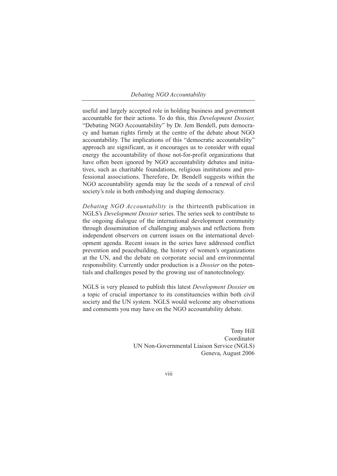useful and largely accepted role in holding business and government accountable for their actions. To do this, this *Development Dossier,* "Debating NGO Accountability" by Dr. Jem Bendell, puts democracy and human rights firmly at the centre of the debate about NGO accountability. The implications of this "democratic accountability" approach are significant, as it encourages us to consider with equal energy the accountability of those not-for-profit organizations that have often been ignored by NGO accountability debates and initiatives, such as charitable foundations, religious institutions and professional associations. Therefore, Dr. Bendell suggests within the NGO accountability agenda may lie the seeds of a renewal of civil society's role in both embodying and shaping democracy.

*Debating NGO Accountability* is the thirteenth publication in NGLS's *Development Dossier* series. The series seek to contribute to the ongoing dialogue of the international development community through dissemination of challenging analyses and reflections from independent observers on current issues on the international development agenda. Recent issues in the series have addressed conflict prevention and peacebuilding, the history of women's organizations at the UN, and the debate on corporate social and environmental responsibility. Currently under production is a *Dossier* on the potentials and challenges posed by the growing use of nanotechnology.

NGLS is very pleased to publish this latest *Development Dossier* on a topic of crucial importance to its constituencies within both civil society and the UN system. NGLS would welcome any observations and comments you may have on the NGO accountability debate.

> Tony Hill Coordinator UN Non-Governmental Liaison Service (NGLS) Geneva, August 2006

> > viii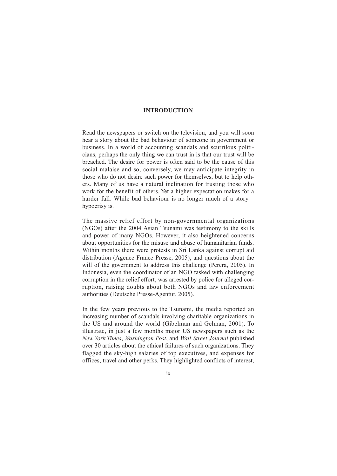### **INTRODUCTION**

Read the newspapers or switch on the television, and you will soon hear a story about the bad behaviour of someone in government or business. In a world of accounting scandals and scurrilous politicians, perhaps the only thing we can trust in is that our trust will be breached. The desire for power is often said to be the cause of this social malaise and so, conversely, we may anticipate integrity in those who do not desire such power for themselves, but to help others. Many of us have a natural inclination for trusting those who work for the benefit of others. Yet a higher expectation makes for a harder fall. While bad behaviour is no longer much of a story – hypocrisy is.

The massive relief effort by non-governmental organizations (NGOs) after the 2004 Asian Tsunami was testimony to the skills and power of many NGOs. However, it also heightened concerns about opportunities for the misuse and abuse of humanitarian funds. Within months there were protests in Sri Lanka against corrupt aid distribution (Agence France Presse, 2005), and questions about the will of the government to address this challenge (Perera, 2005). In Indonesia, even the coordinator of an NGO tasked with challenging corruption in the relief effort, was arrested by police for alleged corruption, raising doubts about both NGOs and law enforcement authorities (Deutsche Presse-Agentur, 2005).

In the few years previous to the Tsunami, the media reported an increasing number of scandals involving charitable organizations in the US and around the world (Gibelman and Gelman, 2001). To illustrate, in just a few months major US newspapers such as the *New York Times*, *Washington Post*, and *Wall Street Journal* published over 30 articles about the ethical failures of such organizations. They flagged the sky-high salaries of top executives, and expenses for offices, travel and other perks. They highlighted conflicts of interest,

ix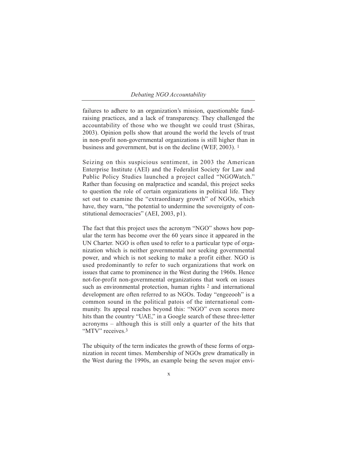failures to adhere to an organization's mission, questionable fundraising practices, and a lack of transparency. They challenged the accountability of those who we thought we could trust (Shiras, 2003). Opinion polls show that around the world the levels of trust in non-profit non-governmental organizations is still higher than in business and government, but is on the decline (WEF, 2003). 1

Seizing on this suspicious sentiment, in 2003 the American Enterprise Institute (AEI) and the Federalist Society for Law and Public Policy Studies launched a project called "NGOWatch." Rather than focusing on malpractice and scandal, this project seeks to question the role of certain organizations in political life. They set out to examine the "extraordinary growth" of NGOs, which have, they warn, "the potential to undermine the sovereignty of constitutional democracies" (AEI, 2003, p1).

The fact that this project uses the acronym "NGO" shows how popular the term has become over the 60 years since it appeared in the UN Charter. NGO is often used to refer to a particular type of organization which is neither governmental nor seeking governmental power, and which is not seeking to make a profit either. NGO is used predominantly to refer to such organizations that work on issues that came to prominence in the West during the 1960s. Hence not-for-profit non-governmental organizations that work on issues such as environmental protection, human rights <sup>2</sup> and international development are often referred to as NGOs. Today "engeeooh" is a common sound in the political patois of the international community. Its appeal reaches beyond this: "NGO" even scores more hits than the country "UAE," in a Google search of these three-letter acronyms – although this is still only a quarter of the hits that "MTV" receives.<sup>3</sup>

The ubiquity of the term indicates the growth of these forms of organization in recent times. Membership of NGOs grew dramatically in the West during the 1990s, an example being the seven major envi-

x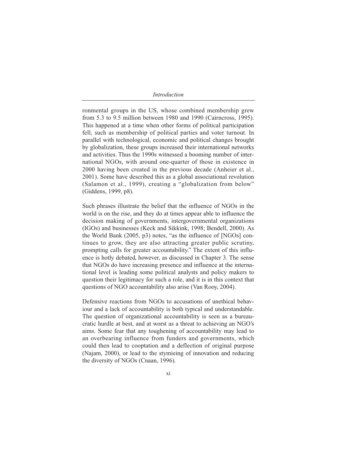*Introduction*

ronmental groups in the US, whose combined membership grew from 5.3 to 9.5 million between 1980 and 1990 (Cairncross, 1995). This happened at a time when other forms of political participation fell, such as membership of political parties and voter turnout. In parallel with technological, economic and political changes brought by globalization, these groups increased their international networks and activities. Thus the 1990s witnessed a booming number of international NGOs, with around one-quarter of those in existence in 2000 having been created in the previous decade (Anheier et al., 2001). Some have described this as a global associational revolution (Salamon et al., 1999), creating a "globalization from below" (Giddens, 1999, p8).

Such phrases illustrate the belief that the influence of NGOs in the world is on the rise, and they do at times appear able to influence the decision making of governments, intergovernmental organizations (IGOs) and businesses (Keck and Sikkink, 1998; Bendell, 2000). As the World Bank (2005, p3) notes, "as the influence of [NGOs] continues to grow, they are also attracting greater public scrutiny, prompting calls for greater accountability." The extent of this influence is hotly debated, however, as discussed in Chapter 3. The sense that NGOs do have increasing presence and influence at the international level is leading some political analysts and policy makers to question their legitimacy for such a role, and it is in this context that questions of NGO accountability also arise (Van Rooy, 2004).

Defensive reactions from NGOs to accusations of unethical behaviour and a lack of accountability is both typical and understandable. The question of organizational accountability is seen as a bureaucratic hurdle at best, and at worst as a threat to achieving an NGO's aims. Some fear that any toughening of accountability may lead to an overbearing influence from funders and governments, which could then lead to cooptation and a deflection of original purpose (Najam, 2000), or lead to the stymieing of innovation and reducing the diversity of NGOs (Cnaan, 1996).

xi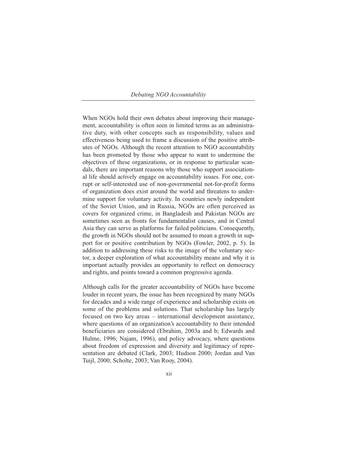When NGOs hold their own debates about improving their management, accountability is often seen in limited terms as an administrative duty, with other concepts such as responsibility, values and effectiveness being used to frame a discussion of the positive attributes of NGOs. Although the recent attention to NGO accountability has been promoted by those who appear to want to undermine the objectives of these organizations, or in response to particular scandals, there are important reasons why those who support associational life should actively engage on accountability issues. For one, corrupt or self-interested use of non-governmental not-for-profit forms of organization does exist around the world and threatens to undermine support for voluntary activity. In countries newly independent of the Soviet Union, and in Russia, NGOs are often perceived as covers for organized crime, in Bangladesh and Pakistan NGOs are sometimes seen as fronts for fundamentalist causes, and in Central Asia they can serve as platforms for failed politicians. Consequently, the growth in NGOs should not be assumed to mean a growth in support for or positive contribution by NGOs (Fowler, 2002, p. 5). In addition to addressing these risks to the image of the voluntary sector, a deeper exploration of what accountability means and why it is important actually provides an opportunity to reflect on democracy and rights, and points toward a common progressive agenda.

Although calls for the greater accountability of NGOs have become louder in recent years, the issue has been recognized by many NGOs for decades and a wide range of experience and scholarship exists on some of the problems and solutions. That scholarship has largely focused on two key areas – international development assistance, where questions of an organization's accountability to their intended beneficiaries are considered (Ebrahim, 2003a and b; Edwards and Hulme, 1996; Najam, 1996), and policy advocacy, where questions about freedom of expression and diversity and legitimacy of representation are debated (Clark, 2003; Hudson 2000; Jordan and Van Tuijl, 2000; Scholte, 2003; Van Rooy, 2004).

xii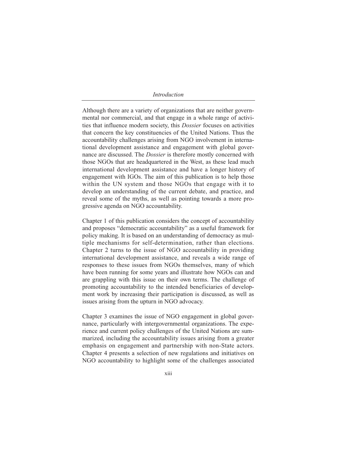*Introduction*

Although there are a variety of organizations that are neither governmental nor commercial, and that engage in a whole range of activities that influence modern society, this *Dossier* focuses on activities that concern the key constituencies of the United Nations. Thus the accountability challenges arising from NGO involvement in international development assistance and engagement with global governance are discussed. The *Dossier* is therefore mostly concerned with those NGOs that are headquartered in the West, as these lead much international development assistance and have a longer history of engagement with IGOs. The aim of this publication is to help those within the UN system and those NGOs that engage with it to develop an understanding of the current debate, and practice, and reveal some of the myths, as well as pointing towards a more progressive agenda on NGO accountability.

Chapter 1 of this publication considers the concept of accountability and proposes "democratic accountability" as a useful framework for policy making. It is based on an understanding of democracy as multiple mechanisms for self-determination, rather than elections. Chapter 2 turns to the issue of NGO accountability in providing international development assistance, and reveals a wide range of responses to these issues from NGOs themselves, many of which have been running for some years and illustrate how NGOs can and are grappling with this issue on their own terms. The challenge of promoting accountability to the intended beneficiaries of development work by increasing their participation is discussed, as well as issues arising from the upturn in NGO advocacy.

Chapter 3 examines the issue of NGO engagement in global governance, particularly with intergovernmental organizations. The experience and current policy challenges of the United Nations are summarized, including the accountability issues arising from a greater emphasis on engagement and partnership with non-State actors. Chapter 4 presents a selection of new regulations and initiatives on NGO accountability to highlight some of the challenges associated

xiii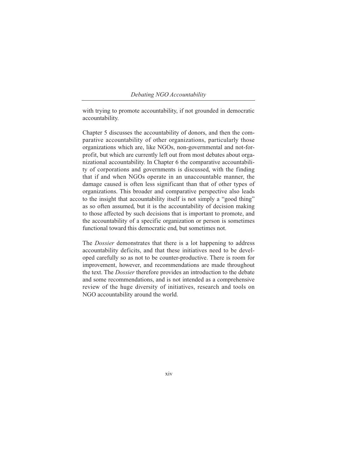with trying to promote accountability, if not grounded in democratic accountability.

Chapter 5 discusses the accountability of donors, and then the comparative accountability of other organizations, particularly those organizations which are, like NGOs, non-governmental and not-forprofit, but which are currently left out from most debates about organizational accountability. In Chapter 6 the comparative accountability of corporations and governments is discussed, with the finding that if and when NGOs operate in an unaccountable manner, the damage caused is often less significant than that of other types of organizations. This broader and comparative perspective also leads to the insight that accountability itself is not simply a "good thing" as so often assumed, but it is the accountability of decision making to those affected by such decisions that is important to promote, and the accountability of a specific organization or person is sometimes functional toward this democratic end, but sometimes not.

The *Dossier* demonstrates that there is a lot happening to address accountability deficits, and that these initiatives need to be developed carefully so as not to be counter-productive. There is room for improvement, however, and recommendations are made throughout the text. The *Dossier* therefore provides an introduction to the debate and some recommendations, and is not intended as a comprehensive review of the huge diversity of initiatives, research and tools on NGO accountability around the world.

xiv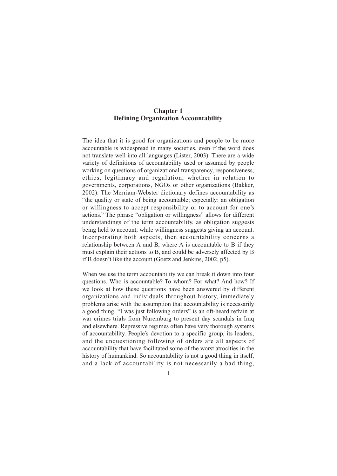## **Chapter 1 Defining Organization Accountability**

The idea that it is good for organizations and people to be more accountable is widespread in many societies, even if the word does not translate well into all languages (Lister, 2003). There are a wide variety of definitions of accountability used or assumed by people working on questions of organizational transparency, responsiveness, ethics, legitimacy and regulation, whether in relation to governments, corporations, NGOs or other organizations (Bakker, 2002). The Merriam-Webster dictionary defines accountability as "the quality or state of being accountable; especially: an obligation or willingness to accept responsibility or to account for one's actions." The phrase "obligation or willingness" allows for different understandings of the term accountability, as obligation suggests being held to account, while willingness suggests giving an account. Incorporating both aspects, then accountability concerns a relationship between A and B, where A is accountable to B if they must explain their actions to B, and could be adversely affected by B if B doesn't like the account (Goetz and Jenkins, 2002, p5).

When we use the term accountability we can break it down into four questions. Who is accountable? To whom? For what? And how? If we look at how these questions have been answered by different organizations and individuals throughout history, immediately problems arise with the assumption that accountability is necessarily a good thing. "I was just following orders" is an oft-heard refrain at war crimes trials from Nuremburg to present day scandals in Iraq and elsewhere. Repressive regimes often have very thorough systems of accountability. People's devotion to a specific group, its leaders, and the unquestioning following of orders are all aspects of accountability that have facilitated some of the worst atrocities in the history of humankind. So accountability is not a good thing in itself, and a lack of accountability is not necessarily a bad thing,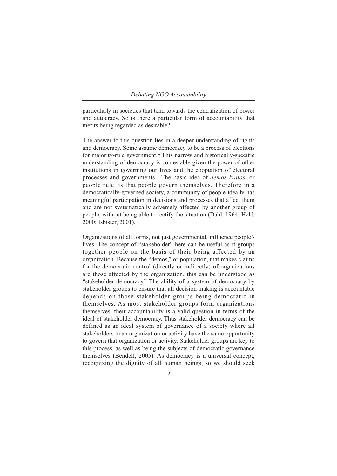particularly in societies that tend towards the centralization of power and autocracy. So is there a particular form of accountability that merits being regarded as desirable?

The answer to this question lies in a deeper understanding of rights and democracy. Some assume democracy to be a process of elections for majority-rule government.4 This narrow and historically-specific understanding of democracy is contestable given the power of other institutions in governing our lives and the cooptation of electoral processes and governments. The basic idea of *demos kratos*, or people rule, is that people govern themselves. Therefore in a democratically-governed society, a community of people ideally has meaningful participation in decisions and processes that affect them and are not systematically adversely affected by another group of people, without being able to rectify the situation (Dahl, 1964; Held, 2000; Isbister, 2001).

Organizations of all forms, not just governmental, influence people's lives. The concept of "stakeholder" here can be useful as it groups together people on the basis of their being affected by an organization. Because the "demos," or population, that makes claims for the democratic control (directly or indirectly) of organizations are those affected by the organization, this can be understood as "stakeholder democracy." The ability of a system of democracy by stakeholder groups to ensure that all decision making is accountable depends on those stakeholder groups being democratic in themselves. As most stakeholder groups form organizations themselves, their accountability is a valid question in terms of the ideal of stakeholder democracy. Thus stakeholder democracy can be defined as an ideal system of governance of a society where all stakeholders in an organization or activity have the same opportunity to govern that organization or activity. Stakeholder groups are key to this process, as well as being the subjects of democratic governance themselves (Bendell, 2005). As democracy is a universal concept, recognizing the dignity of all human beings, so we should seek

 $\overline{2}$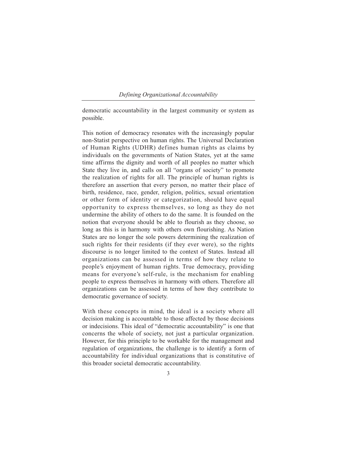#### *Defining Organizational Accountability*

democratic accountability in the largest community or system as possible.

This notion of democracy resonates with the increasingly popular non-Statist perspective on human rights. The Universal Declaration of Human Rights (UDHR) defines human rights as claims by individuals on the governments of Nation States, yet at the same time affirms the dignity and worth of all peoples no matter which State they live in, and calls on all "organs of society" to promote the realization of rights for all. The principle of human rights is therefore an assertion that every person, no matter their place of birth, residence, race, gender, religion, politics, sexual orientation or other form of identity or categorization, should have equal opportunity to express themselves, so long as they do not undermine the ability of others to do the same. It is founded on the notion that everyone should be able to flourish as they choose, so long as this is in harmony with others own flourishing. As Nation States are no longer the sole powers determining the realization of such rights for their residents (if they ever were), so the rights discourse is no longer limited to the context of States. Instead all organizations can be assessed in terms of how they relate to people's enjoyment of human rights. True democracy, providing means for everyone's self-rule, is the mechanism for enabling people to express themselves in harmony with others. Therefore all organizations can be assessed in terms of how they contribute to democratic governance of society.

With these concepts in mind, the ideal is a society where all decision making is accountable to those affected by those decisions or indecisions. This ideal of "democratic accountability" is one that concerns the whole of society, not just a particular organization. However, for this principle to be workable for the management and regulation of organizations, the challenge is to identify a form of accountability for individual organizations that is constitutive of this broader societal democratic accountability.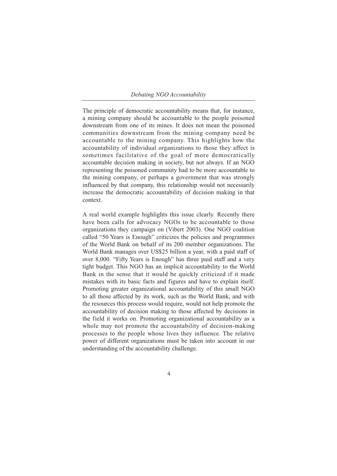The principle of democratic accountability means that, for instance, a mining company should be accountable to the people poisoned downstream from one of its mines. It does not mean the poisoned communities downstream from the mining company need be accountable to the mining company. This highlights how the accountability of individual organizations to those they affect is sometimes facilitative of the goal of more democratically accountable decision making in society, but not always. If an NGO representing the poisoned community had to be more accountable to the mining company, or perhaps a government that was strongly influenced by that company, this relationship would not necessarily increase the democratic accountability of decision making in that context.

A real world example highlights this issue clearly. Recently there have been calls for advocacy NGOs to be accountable to those organizations they campaign on (Vibert 2003). One NGO coalition called "50 Years is Enough" criticizes the policies and programmes of the World Bank on behalf of its 200 member organizations. The World Bank manages over US\$25 billion a year, with a paid staff of over 8,000. "Fifty Years is Enough" has three paid staff and a very tight budget. This NGO has an implicit accountability to the World Bank in the sense that it would be quickly criticized if it made mistakes with its basic facts and figures and have to explain itself. Promoting greater organizational accountability of this small NGO to all those affected by its work, such as the World Bank, and with the resources this process would require, would not help promote the accountability of decision making to those affected by decisions in the field it works on. Promoting organizational accountability as a whole may not promote the accountability of decision-making processes to the people whose lives they influence. The relative power of different organizations must be taken into account in our understanding of the accountability challenge.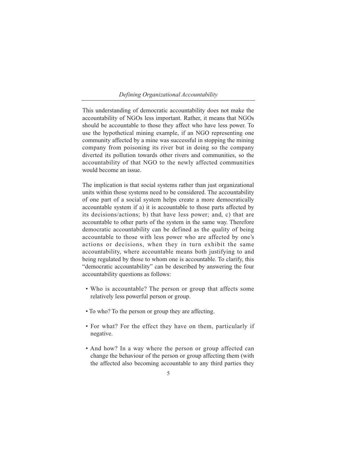#### *Defining Organizational Accountability*

This understanding of democratic accountability does not make the accountability of NGOs less important. Rather, it means that NGOs should be accountable to those they affect who have less power. To use the hypothetical mining example, if an NGO representing one community affected by a mine was successful in stopping the mining company from poisoning its river but in doing so the company diverted its pollution towards other rivers and communities, so the accountability of that NGO to the newly affected communities would become an issue.

The implication is that social systems rather than just organizational units within those systems need to be considered. The accountability of one part of a social system helps create a more democratically accountable system if a) it is accountable to those parts affected by its decisions/actions; b) that have less power; and, c) that are accountable to other parts of the system in the same way. Therefore democratic accountability can be defined as the quality of being accountable to those with less power who are affected by one's actions or decisions, when they in turn exhibit the same accountability, where accountable means both justifying to and being regulated by those to whom one is accountable. To clarify, this "democratic accountability" can be described by answering the four accountability questions as follows:

- Who is accountable? The person or group that affects some relatively less powerful person or group.
- To who? To the person or group they are affecting.
- For what? For the effect they have on them, particularly if negative.
- And how? In a way where the person or group affected can change the behaviour of the person or group affecting them (with the affected also becoming accountable to any third parties they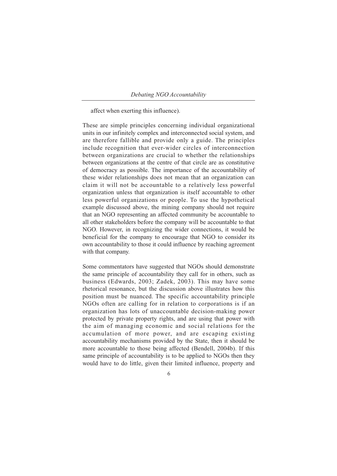affect when exerting this influence).

These are simple principles concerning individual organizational units in our infinitely complex and interconnected social system, and are therefore fallible and provide only a guide. The principles include recognition that ever-wider circles of interconnection between organizations are crucial to whether the relationships between organizations at the centre of that circle are as constitutive of democracy as possible. The importance of the accountability of these wider relationships does not mean that an organization can claim it will not be accountable to a relatively less powerful organization unless that organization is itself accountable to other less powerful organizations or people. To use the hypothetical example discussed above, the mining company should not require that an NGO representing an affected community be accountable to all other stakeholders before the company will be accountable to that NGO. However, in recognizing the wider connections, it would be beneficial for the company to encourage that NGO to consider its own accountability to those it could influence by reaching agreement with that company.

Some commentators have suggested that NGOs should demonstrate the same principle of accountability they call for in others, such as business (Edwards, 2003; Zadek, 2003). This may have some rhetorical resonance, but the discussion above illustrates how this position must be nuanced. The specific accountability principle NGOs often are calling for in relation to corporations is if an organization has lots of unaccountable decision-making power protected by private property rights, and are using that power with the aim of managing economic and social relations for the accumulation of more power, and are escaping existing accountability mechanisms provided by the State, then it should be more accountable to those being affected (Bendell, 2004b). If this same principle of accountability is to be applied to NGOs then they would have to do little, given their limited influence, property and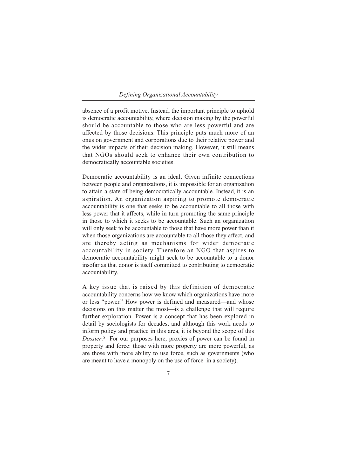#### *Defining Organizational Accountability*

absence of a profit motive. Instead, the important principle to uphold is democratic accountability, where decision making by the powerful should be accountable to those who are less powerful and are affected by those decisions. This principle puts much more of an onus on government and corporations due to their relative power and the wider impacts of their decision making. However, it still means that NGOs should seek to enhance their own contribution to democratically accountable societies.

Democratic accountability is an ideal. Given infinite connections between people and organizations, it is impossible for an organization to attain a state of being democratically accountable. Instead, it is an aspiration. An organization aspiring to promote democratic accountability is one that seeks to be accountable to all those with less power that it affects, while in turn promoting the same principle in those to which it seeks to be accountable. Such an organization will only seek to be accountable to those that have more power than it when those organizations are accountable to all those they affect, and are thereby acting as mechanisms for wider democratic accountability in society. Therefore an NGO that aspires to democratic accountability might seek to be accountable to a donor insofar as that donor is itself committed to contributing to democratic accountability.

A key issue that is raised by this definition of democratic accountability concerns how we know which organizations have more or less "power." How power is defined and measured—and whose decisions on this matter the most—is a challenge that will require further exploration. Power is a concept that has been explored in detail by sociologists for decades, and although this work needs to inform policy and practice in this area, it is beyond the scope of this *Dossier*.5 For our purposes here, proxies of power can be found in property and force: those with more property are more powerful, as are those with more ability to use force, such as governments (who are meant to have a monopoly on the use of force in a society).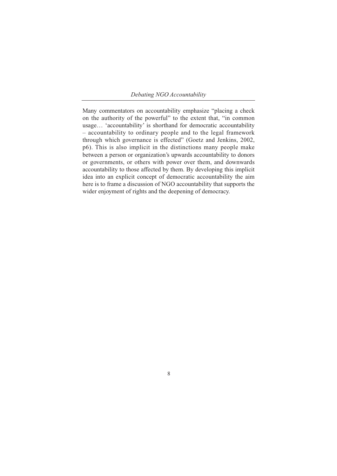Many commentators on accountability emphasize "placing a check on the authority of the powerful" to the extent that, "in common usage… 'accountability' is shorthand for democratic accountability – accountability to ordinary people and to the legal framework through which governance is effected" (Goetz and Jenkins, 2002, p6). This is also implicit in the distinctions many people make between a person or organization's upwards accountability to donors or governments, or others with power over them, and downwards accountability to those affected by them. By developing this implicit idea into an explicit concept of democratic accountability the aim here is to frame a discussion of NGO accountability that supports the wider enjoyment of rights and the deepening of democracy.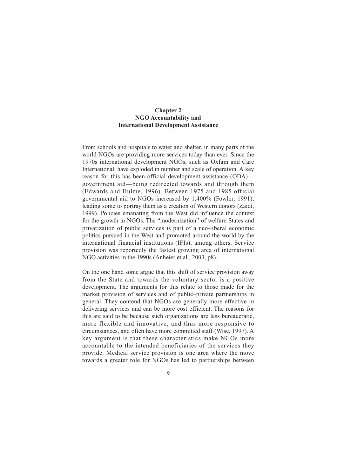## **Chapter 2 NGO Accountability and International Development Assistance**

From schools and hospitals to water and shelter, in many parts of the world NGOs are providing more services today than ever. Since the 1970s international development NGOs, such as Oxfam and Care International, have exploded in number and scale of operation. A key reason for this has been official development assistance (ODA) government aid—being redirected towards and through them (Edwards and Hulme, 1996). Between 1975 and 1985 official governmental aid to NGOs increased by 1,400% (Fowler, 1991), leading some to portray them as a creation of Western donors (Zaidi, 1999). Policies emanating from the West did influence the context for the growth in NGOs. The "modernization" of welfare States and privatization of public services is part of a neo-liberal economic politics pursued in the West and promoted around the world by the international financial institutions (IFIs), among others. Service provision was reportedly the fastest growing area of international NGO activities in the 1990s (Anheier et al., 2003, p8).

On the one hand some argue that this shift of service provision away from the State and towards the voluntary sector is a positive development. The arguments for this relate to those made for the market provision of services and of public–private partnerships in general. They contend that NGOs are generally more effective in delivering services and can be more cost efficient. The reasons for this are said to be because such organizations are less bureaucratic, more flexible and innovative, and thus more responsive to circumstances, and often have more committed staff (Wise, 1997). A key argument is that these characteristics make NGOs more accountable to the intended beneficiaries of the services they provide. Medical service provision is one area where the move towards a greater role for NGOs has led to partnerships between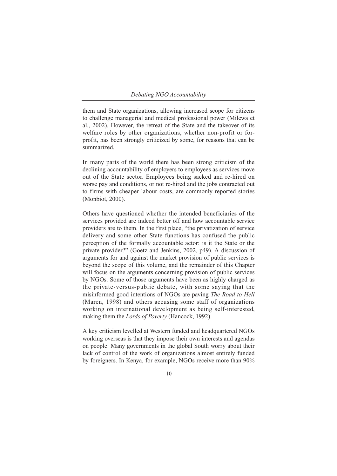them and State organizations, allowing increased scope for citizens to challenge managerial and medical professional power (Milewa et al., 2002). However, the retreat of the State and the takeover of its welfare roles by other organizations, whether non-profit or forprofit, has been strongly criticized by some, for reasons that can be summarized.

In many parts of the world there has been strong criticism of the declining accountability of employers to employees as services move out of the State sector. Employees being sacked and re-hired on worse pay and conditions, or not re-hired and the jobs contracted out to firms with cheaper labour costs, are commonly reported stories (Monbiot, 2000).

Others have questioned whether the intended beneficiaries of the services provided are indeed better off and how accountable service providers are to them. In the first place, "the privatization of service delivery and some other State functions has confused the public perception of the formally accountable actor: is it the State or the private provider?" (Goetz and Jenkins, 2002, p49). A discussion of arguments for and against the market provision of public services is beyond the scope of this volume, and the remainder of this Chapter will focus on the arguments concerning provision of public services by NGOs. Some of those arguments have been as highly charged as the private-versus-public debate, with some saying that the misinformed good intentions of NGOs are paving *The Road to Hell* (Maren, 1998) and others accusing some staff of organizations working on international development as being self-interested, making them the *Lords of Poverty* (Hancock, 1992).

A key criticism levelled at Western funded and headquartered NGOs working overseas is that they impose their own interests and agendas on people. Many governments in the global South worry about their lack of control of the work of organizations almost entirely funded by foreigners. In Kenya, for example, NGOs receive more than 90%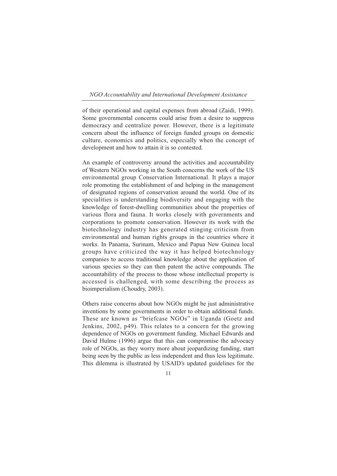#### *NGO Accountability and International Development Assistance*

of their operational and capital expenses from abroad (Zaidi, 1999). Some governmental concerns could arise from a desire to suppress democracy and centralize power. However, there is a legitimate concern about the influence of foreign funded groups on domestic culture, economics and politics, especially when the concept of development and how to attain it is so contested.

An example of controversy around the activities and accountability of Western NGOs working in the South concerns the work of the US environmental group Conservation International. It plays a major role promoting the establishment of and helping in the management of designated regions of conservation around the world. One of its specialities is understanding biodiversity and engaging with the knowledge of forest-dwelling communities about the properties of various flora and fauna. It works closely with governments and corporations to promote conservation. However its work with the biotechnology industry has generated stinging criticism from environmental and human rights groups in the countries where it works. In Panama, Surinam, Mexico and Papua New Guinea local groups have criticized the way it has helped biotechnology companies to access traditional knowledge about the application of various species so they can then patent the active compounds. The accountability of the process to those whose intellectual property is accessed is challenged, with some describing the process as bioimperialism (Choudry, 2003).

Others raise concerns about how NGOs might be just administrative inventions by some governments in order to obtain additional funds. These are known as "briefcase NGOs" in Uganda (Goetz and Jenkins, 2002, p49). This relates to a concern for the growing dependence of NGOs on government funding. Michael Edwards and David Hulme (1996) argue that this can compromise the advocacy role of NGOs, as they worry more about jeopardizing funding, start being seen by the public as less independent and thus less legitimate. This dilemma is illustrated by USAID's updated guidelines for the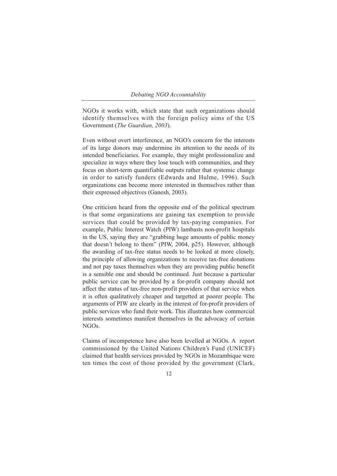NGOs it works with, which state that such organizations should identify themselves with the foreign policy aims of the US Government (*The Guardian, 2003*).

Even without overt interference, an NGO's concern for the interests of its large donors may undermine its attention to the needs of its intended beneficiaries. For example, they might professionalize and specialize in ways where they lose touch with communities, and they focus on short-term quantifiable outputs rather that systemic change in order to satisfy funders (Edwards and Hulme, 1996). Such organizations can become more interested in themselves rather than their expressed objectives (Ganesh, 2003).

One criticism heard from the opposite end of the political spectrum is that some organizations are gaining tax exemption to provide services that could be provided by tax-paying companies. For example, Public Interest Watch (PIW) lambasts non-profit hospitals in the US, saying they are "grabbing huge amounts of public money that doesn't belong to them" (PIW, 2004, p25). However, although the awarding of tax-free status needs to be looked at more closely, the principle of allowing organizations to receive tax-free donations and not pay taxes themselves when they are providing public benefit is a sensible one and should be continued. Just because a particular public service can be provided by a for-profit company should not affect the status of tax-free non-profit providers of that service when it is often qualitatively cheaper and targetted at poorer people. The arguments of PIW are clearly in the interest of for-profit providers of public services who fund their work. This illustrates how commercial interests sometimes manifest themselves in the advocacy of certain NGOs.

Claims of incompetence have also been levelled at NGOs. A report commissioned by the United Nations Children's Fund (UNICEF) claimed that health services provided by NGOs in Mozambique were ten times the cost of those provided by the government (Clark,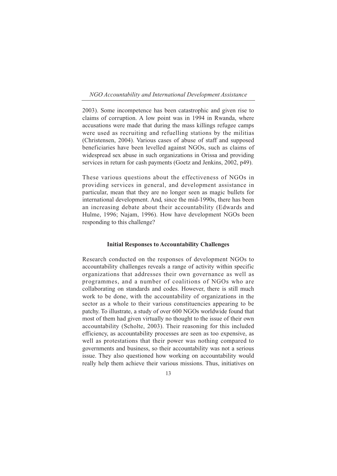#### *NGO Accountability and International Development Assistance*

2003). Some incompetence has been catastrophic and given rise to claims of corruption. A low point was in 1994 in Rwanda, where accusations were made that during the mass killings refugee camps were used as recruiting and refuelling stations by the militias (Christensen, 2004). Various cases of abuse of staff and supposed beneficiaries have been levelled against NGOs, such as claims of widespread sex abuse in such organizations in Orissa and providing services in return for cash payments (Goetz and Jenkins, 2002, p49).

These various questions about the effectiveness of NGOs in providing services in general, and development assistance in particular, mean that they are no longer seen as magic bullets for international development. And, since the mid-1990s, there has been an increasing debate about their accountability (Edwards and Hulme, 1996; Najam, 1996). How have development NGOs been responding to this challenge?

#### **Initial Responses to Accountability Challenges**

Research conducted on the responses of development NGOs to accountability challenges reveals a range of activity within specific organizations that addresses their own governance as well as programmes, and a number of coalitions of NGOs who are collaborating on standards and codes. However, there is still much work to be done, with the accountability of organizations in the sector as a whole to their various constituencies appearing to be patchy. To illustrate, a study of over 600 NGOs worldwide found that most of them had given virtually no thought to the issue of their own accountability (Scholte, 2003). Their reasoning for this included efficiency, as accountability processes are seen as too expensive, as well as protestations that their power was nothing compared to governments and business, so their accountability was not a serious issue. They also questioned how working on accountability would really help them achieve their various missions. Thus, initiatives on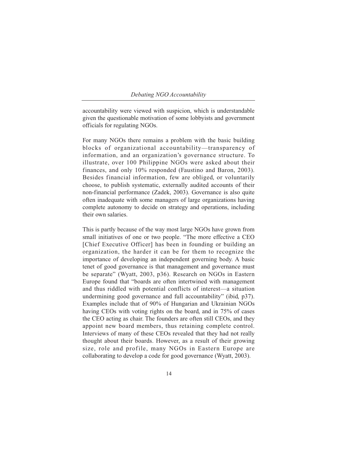accountability were viewed with suspicion, which is understandable given the questionable motivation of some lobbyists and government officials for regulating NGOs.

For many NGOs there remains a problem with the basic building blocks of organizational accountability—transparency of information, and an organization's governance structure. To illustrate, over 100 Philippine NGOs were asked about their finances, and only 10% responded (Faustino and Baron, 2003). Besides financial information, few are obliged, or voluntarily choose, to publish systematic, externally audited accounts of their non-financial performance (Zadek, 2003). Governance is also quite often inadequate with some managers of large organizations having complete autonomy to decide on strategy and operations, including their own salaries.

This is partly because of the way most large NGOs have grown from small initiatives of one or two people. "The more effective a CEO [Chief Executive Officer] has been in founding or building an organization, the harder it can be for them to recognize the importance of developing an independent governing body. A basic tenet of good governance is that management and governance must be separate" (Wyatt, 2003, p36). Research on NGOs in Eastern Europe found that "boards are often intertwined with management and thus riddled with potential conflicts of interest—a situation undermining good governance and full accountability" (ibid, p37). Examples include that of 90% of Hungarian and Ukrainian NGOs having CEOs with voting rights on the board, and in 75% of cases the CEO acting as chair. The founders are often still CEOs, and they appoint new board members, thus retaining complete control. Interviews of many of these CEOs revealed that they had not really thought about their boards. However, as a result of their growing size, role and profile, many NGOs in Eastern Europe are collaborating to develop a code for good governance (Wyatt, 2003).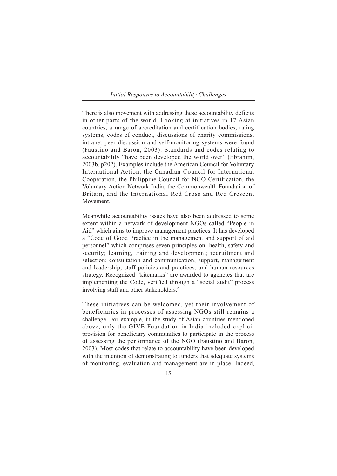#### *Initial Responses to Accountability Challenges*

There is also movement with addressing these accountability deficits in other parts of the world. Looking at initiatives in 17 Asian countries, a range of accreditation and certification bodies, rating systems, codes of conduct, discussions of charity commissions, intranet peer discussion and self-monitoring systems were found (Faustino and Baron, 2003). Standards and codes relating to accountability "have been developed the world over" (Ebrahim, 2003b, p202). Examples include the American Council for Voluntary International Action, the Canadian Council for International Cooperation, the Philippine Council for NGO Certification, the Voluntary Action Network India, the Commonwealth Foundation of Britain, and the International Red Cross and Red Crescent Movement.

Meanwhile accountability issues have also been addressed to some extent within a network of development NGOs called "People in Aid" which aims to improve management practices. It has developed a "Code of Good Practice in the management and support of aid personnel" which comprises seven principles on: health, safety and security; learning, training and development; recruitment and selection; consultation and communication; support, management and leadership; staff policies and practices; and human resources strategy. Recognized "kitemarks" are awarded to agencies that are implementing the Code, verified through a "social audit" process involving staff and other stakeholders.6

These initiatives can be welcomed, yet their involvement of beneficiaries in processes of assessing NGOs still remains a challenge. For example, in the study of Asian countries mentioned above, only the GIVE Foundation in India included explicit provision for beneficiary communities to participate in the process of assessing the performance of the NGO (Faustino and Baron, 2003). Most codes that relate to accountability have been developed with the intention of demonstrating to funders that adequate systems of monitoring, evaluation and management are in place. Indeed,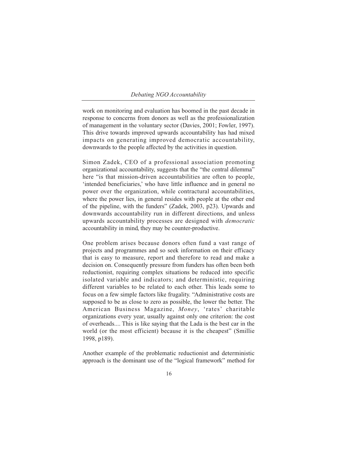work on monitoring and evaluation has boomed in the past decade in response to concerns from donors as well as the professionalization of management in the voluntary sector (Davies, 2001; Fowler, 1997). This drive towards improved upwards accountability has had mixed impacts on generating improved democratic accountability, downwards to the people affected by the activities in question.

Simon Zadek, CEO of a professional association promoting organizational accountability, suggests that the "the central dilemma" here "is that mission-driven accountabilities are often to people, 'intended beneficiaries,' who have little influence and in general no power over the organization, while contractural accountabilities, where the power lies, in general resides with people at the other end of the pipeline, with the funders" (Zadek, 2003, p23). Upwards and downwards accountability run in different directions, and unless upwards accountability processes are designed with *democratic* accountability in mind, they may be counter-productive.

One problem arises because donors often fund a vast range of projects and programmes and so seek information on their efficacy that is easy to measure, report and therefore to read and make a decision on. Consequently pressure from funders has often been both reductionist, requiring complex situations be reduced into specific isolated variable and indicators; and deterministic, requiring different variables to be related to each other. This leads some to focus on a few simple factors like frugality. "Administrative costs are supposed to be as close to zero as possible, the lower the better. The American Business Magazine, *Money*, 'rates' charitable organizations every year, usually against only one criterion: the cost of overheads.... This is like saying that the Lada is the best car in the world (or the most efficient) because it is the cheapest" (Smillie 1998, p189).

Another example of the problematic reductionist and deterministic approach is the dominant use of the "logical framework" method for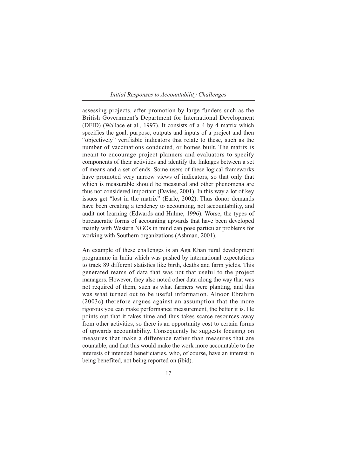#### *Initial Responses to Accountability Challenges*

assessing projects, after promotion by large funders such as the British Government's Department for International Development (DFID) (Wallace et al., 1997). It consists of a 4 by 4 matrix which specifies the goal, purpose, outputs and inputs of a project and then "objectively" verifiable indicators that relate to these, such as the number of vaccinations conducted, or homes built. The matrix is meant to encourage project planners and evaluators to specify components of their activities and identify the linkages between a set of means and a set of ends. Some users of these logical frameworks have promoted very narrow views of indicators, so that only that which is measurable should be measured and other phenomena are thus not considered important (Davies, 2001). In this way a lot of key issues get "lost in the matrix" (Earle, 2002). Thus donor demands have been creating a tendency to accounting, not accountability, and audit not learning (Edwards and Hulme, 1996). Worse, the types of bureaucratic forms of accounting upwards that have been developed mainly with Western NGOs in mind can pose particular problems for working with Southern organizations (Ashman, 2001).

An example of these challenges is an Aga Khan rural development programme in India which was pushed by international expectations to track 89 different statistics like birth, deaths and farm yields. This generated reams of data that was not that useful to the project managers. However, they also noted other data along the way that was not required of them, such as what farmers were planting, and this was what turned out to be useful information. Alnoor Ebrahim (2003c) therefore argues against an assumption that the more rigorous you can make performance measurement, the better it is. He points out that it takes time and thus takes scarce resources away from other activities, so there is an opportunity cost to certain forms of upwards accountability. Consequently he suggests focusing on measures that make a difference rather than measures that are countable, and that this would make the work more accountable to the interests of intended beneficiaries, who, of course, have an interest in being benefited, not being reported on (ibid).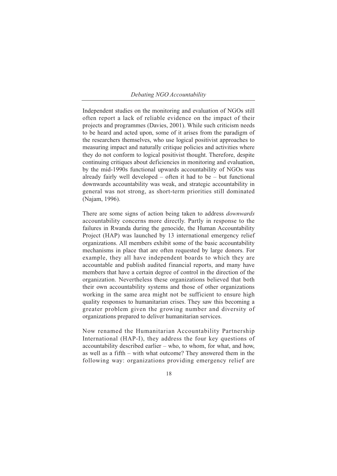Independent studies on the monitoring and evaluation of NGOs still often report a lack of reliable evidence on the impact of their projects and programmes (Davies, 2001). While such criticism needs to be heard and acted upon, some of it arises from the paradigm of the researchers themselves, who use logical positivist approaches to measuring impact and naturally critique policies and activities where they do not conform to logical positivist thought. Therefore, despite continuing critiques about deficiencies in monitoring and evaluation, by the mid-1990s functional upwards accountability of NGOs was already fairly well developed – often it had to be – but functional downwards accountability was weak, and strategic accountability in general was not strong, as short-term priorities still dominated (Najam, 1996).

There are some signs of action being taken to address *downwards* accountability concerns more directly. Partly in response to the failures in Rwanda during the genocide, the Human Accountability Project (HAP) was launched by 13 international emergency relief organizations. All members exhibit some of the basic accountability mechanisms in place that are often requested by large donors. For example, they all have independent boards to which they are accountable and publish audited financial reports, and many have members that have a certain degree of control in the direction of the organization. Nevertheless these organizations believed that both their own accountability systems and those of other organizations working in the same area might not be sufficient to ensure high quality responses to humanitarian crises. They saw this becoming a greater problem given the growing number and diversity of organizations prepared to deliver humanitarian services.

Now renamed the Humanitarian Accountability Partnership International (HAP-I), they address the four key questions of accountability described earlier – who, to whom, for what, and how, as well as a fifth – with what outcome? They answered them in the following way: organizations providing emergency relief are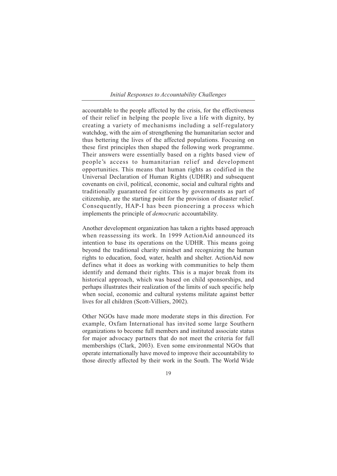#### *Initial Responses to Accountability Challenges*

accountable to the people affected by the crisis, for the effectiveness of their relief in helping the people live a life with dignity, by creating a variety of mechanisms including a self-regulatory watchdog, with the aim of strengthening the humanitarian sector and thus bettering the lives of the affected populations. Focusing on these first principles then shaped the following work programme. Their answers were essentially based on a rights based view of people's access to humanitarian relief and development opportunities. This means that human rights as codified in the Universal Declaration of Human Rights (UDHR) and subsequent covenants on civil, political, economic, social and cultural rights and traditionally guaranteed for citizens by governments as part of citizenship, are the starting point for the provision of disaster relief. Consequently, HAP-I has been pioneering a process which implements the principle of *democratic* accountability.

Another development organization has taken a rights based approach when reassessing its work. In 1999 ActionAid announced its intention to base its operations on the UDHR. This means going beyond the traditional charity mindset and recognizing the human rights to education, food, water, health and shelter. ActionAid now defines what it does as working with communities to help them identify and demand their rights. This is a major break from its historical approach, which was based on child sponsorships, and perhaps illustrates their realization of the limits of such specific help when social, economic and cultural systems militate against better lives for all children (Scott-Villiers, 2002).

Other NGOs have made more moderate steps in this direction. For example, Oxfam International has invited some large Southern organizations to become full members and instituted associate status for major advocacy partners that do not meet the criteria for full memberships (Clark, 2003). Even some environmental NGOs that operate internationally have moved to improve their accountability to those directly affected by their work in the South. The World Wide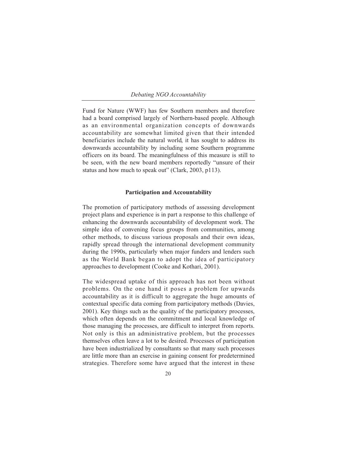Fund for Nature (WWF) has few Southern members and therefore had a board comprised largely of Northern-based people. Although as an environmental organization concepts of downwards accountability are somewhat limited given that their intended beneficiaries include the natural world, it has sought to address its downwards accountability by including some Southern programme officers on its board. The meaningfulness of this measure is still to be seen, with the new board members reportedly "unsure of their status and how much to speak out" (Clark, 2003, p113).

## **Participation and Accountability**

The promotion of participatory methods of assessing development project plans and experience is in part a response to this challenge of enhancing the downwards accountability of development work. The simple idea of convening focus groups from communities, among other methods, to discuss various proposals and their own ideas, rapidly spread through the international development community during the 1990s, particularly when major funders and lenders such as the World Bank began to adopt the idea of participatory approaches to development (Cooke and Kothari, 2001).

The widespread uptake of this approach has not been without problems. On the one hand it poses a problem for upwards accountability as it is difficult to aggregate the huge amounts of contextual specific data coming from participatory methods (Davies, 2001). Key things such as the quality of the participatory processes, which often depends on the commitment and local knowledge of those managing the processes, are difficult to interpret from reports. Not only is this an administrative problem, but the processes themselves often leave a lot to be desired. Processes of participation have been industrialized by consultants so that many such processes are little more than an exercise in gaining consent for predetermined strategies. Therefore some have argued that the interest in these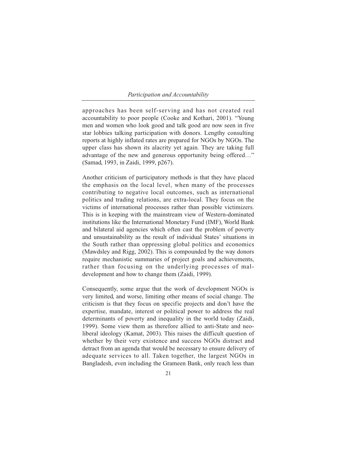## *Participation and Accountability*

approaches has been self-serving and has not created real accountability to poor people (Cooke and Kothari, 2001). "Young men and women who look good and talk good are now seen in five star lobbies talking participation with donors. Lengthy consulting reports at highly inflated rates are prepared for NGOs by NGOs. The upper class has shown its alacrity yet again. They are taking full advantage of the new and generous opportunity being offered…" (Samad, 1993, in Zaidi, 1999, p267).

Another criticism of participatory methods is that they have placed the emphasis on the local level, when many of the processes contributing to negative local outcomes, such as international politics and trading relations, are extra-local. They focus on the victims of international processes rather than possible victimizers. This is in keeping with the mainstream view of Western-dominated institutions like the International Monetary Fund (IMF), World Bank and bilateral aid agencies which often cast the problem of poverty and unsustainability as the result of individual States' situations in the South rather than oppressing global politics and economics (Mawdsley and Rigg, 2002). This is compounded by the way donors require mechanistic summaries of project goals and achievements, rather than focusing on the underlying processes of maldevelopment and how to change them (Zaidi, 1999).

Consequently, some argue that the work of development NGOs is very limited, and worse, limiting other means of social change. The criticism is that they focus on specific projects and don't have the expertise, mandate, interest or political power to address the real determinants of poverty and inequality in the world today (Zaidi, 1999). Some view them as therefore allied to anti-State and neoliberal ideology (Kamat, 2003). This raises the difficult question of whether by their very existence and success NGOs distract and detract from an agenda that would be necessary to ensure delivery of adequate services to all. Taken together, the largest NGOs in Bangladesh, even including the Grameen Bank, only reach less than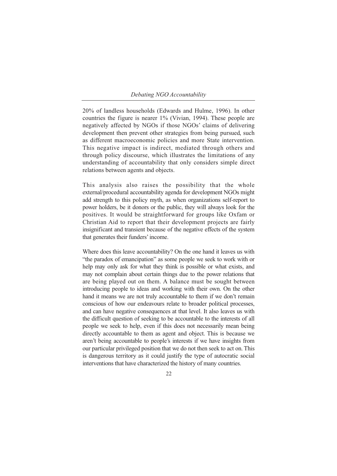20% of landless households (Edwards and Hulme, 1996). In other countries the figure is nearer 1% (Vivian, 1994). These people are negatively affected by NGOs if those NGOs' claims of delivering development then prevent other strategies from being pursued, such as different macroeconomic policies and more State intervention. This negative impact is indirect, mediated through others and through policy discourse, which illustrates the limitations of any understanding of accountability that only considers simple direct relations between agents and objects.

This analysis also raises the possibility that the whole external/procedural accountability agenda for development NGOs might add strength to this policy myth, as when organizations self-report to power holders, be it donors or the public, they will always look for the positives. It would be straightforward for groups like Oxfam or Christian Aid to report that their development projects are fairly insignificant and transient because of the negative effects of the system that generates their funders' income.

Where does this leave accountability? On the one hand it leaves us with "the paradox of emancipation" as some people we seek to work with or help may only ask for what they think is possible or what exists, and may not complain about certain things due to the power relations that are being played out on them. A balance must be sought between introducing people to ideas and working with their own. On the other hand it means we are not truly accountable to them if we don't remain conscious of how our endeavours relate to broader political processes, and can have negative consequences at that level. It also leaves us with the difficult question of seeking to be accountable to the interests of all people we seek to help, even if this does not necessarily mean being directly accountable to them as agent and object. This is because we aren't being accountable to people's interests if we have insights from our particular privileged position that we do not then seek to act on. This is dangerous territory as it could justify the type of autocratic social interventions that have characterized the history of many countries.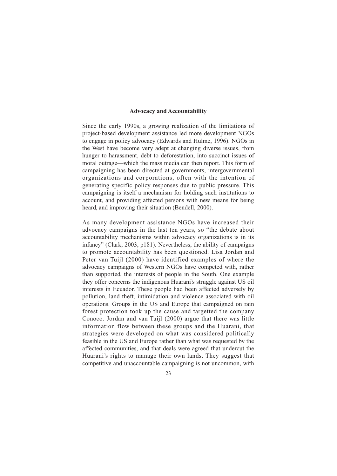## **Advocacy and Accountability**

Since the early 1990s, a growing realization of the limitations of project-based development assistance led more development NGOs to engage in policy advocacy (Edwards and Hulme, 1996). NGOs in the West have become very adept at changing diverse issues, from hunger to harassment, debt to deforestation, into succinct issues of moral outrage—which the mass media can then report. This form of campaigning has been directed at governments, intergovernmental organizations and corporations, often with the intention of generating specific policy responses due to public pressure. This campaigning is itself a mechanism for holding such institutions to account, and providing affected persons with new means for being heard, and improving their situation (Bendell, 2000).

As many development assistance NGOs have increased their advocacy campaigns in the last ten years, so "the debate about accountability mechanisms within advocacy organizations is in its infancy" (Clark, 2003, p181). Nevertheless, the ability of campaigns to promote accountability has been questioned. Lisa Jordan and Peter van Tuijl (2000) have identified examples of where the advocacy campaigns of Western NGOs have competed with, rather than supported, the interests of people in the South. One example they offer concerns the indigenous Huarani's struggle against US oil interests in Ecuador. These people had been affected adversely by pollution, land theft, intimidation and violence associated with oil operations. Groups in the US and Europe that campaigned on rain forest protection took up the cause and targetted the company Conoco. Jordan and van Tuijl (2000) argue that there was little information flow between these groups and the Huarani, that strategies were developed on what was considered politically feasible in the US and Europe rather than what was requested by the affected communities, and that deals were agreed that undercut the Huarani's rights to manage their own lands. They suggest that competitive and unaccountable campaigning is not uncommon, with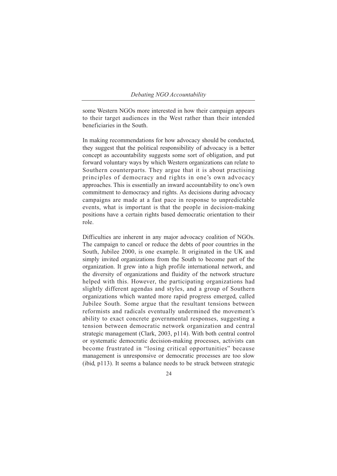some Western NGOs more interested in how their campaign appears to their target audiences in the West rather than their intended beneficiaries in the South.

In making recommendations for how advocacy should be conducted, they suggest that the political responsibility of advocacy is a better concept as accountability suggests some sort of obligation, and put forward voluntary ways by which Western organizations can relate to Southern counterparts. They argue that it is about practising principles of democracy and rights in one's own advocacy approaches. This is essentially an inward accountability to one's own commitment to democracy and rights. As decisions during advocacy campaigns are made at a fast pace in response to unpredictable events, what is important is that the people in decision-making positions have a certain rights based democratic orientation to their role.

Difficulties are inherent in any major advocacy coalition of NGOs. The campaign to cancel or reduce the debts of poor countries in the South, Jubilee 2000, is one example. It originated in the UK and simply invited organizations from the South to become part of the organization. It grew into a high profile international network, and the diversity of organizations and fluidity of the network structure helped with this. However, the participating organizations had slightly different agendas and styles, and a group of Southern organizations which wanted more rapid progress emerged, called Jubilee South. Some argue that the resultant tensions between reformists and radicals eventually undermined the movement's ability to exact concrete governmental responses, suggesting a tension between democratic network organization and central strategic management (Clark, 2003, p114). With both central control or systematic democratic decision-making processes, activists can become frustrated in "losing critical opportunities" because management is unresponsive or democratic processes are too slow (ibid, p113). It seems a balance needs to be struck between strategic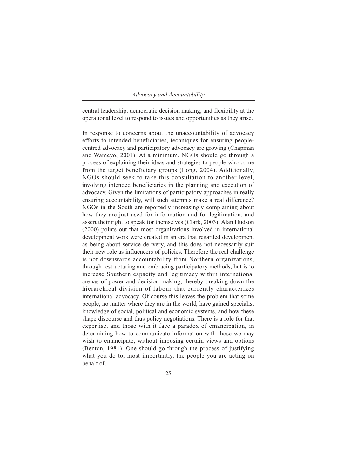## *Advocacy and Accountability*

central leadership, democratic decision making, and flexibility at the operational level to respond to issues and opportunities as they arise.

In response to concerns about the unaccountability of advocacy efforts to intended beneficiaries, techniques for ensuring peoplecentred advocacy and participatory advocacy are growing (Chapman and Wameyo, 2001). At a minimum, NGOs should go through a process of explaining their ideas and strategies to people who come from the target beneficiary groups (Long, 2004). Additionally, NGOs should seek to take this consultation to another level, involving intended beneficiaries in the planning and execution of advocacy. Given the limitations of participatory approaches in really ensuring accountability, will such attempts make a real difference? NGOs in the South are reportedly increasingly complaining about how they are just used for information and for legitimation, and assert their right to speak for themselves (Clark, 2003). Alan Hudson (2000) points out that most organizations involved in international development work were created in an era that regarded development as being about service delivery, and this does not necessarily suit their new role as influencers of policies. Therefore the real challenge is not downwards accountability from Northern organizations, through restructuring and embracing participatory methods, but is to increase Southern capacity and legitimacy within international arenas of power and decision making, thereby breaking down the hierarchical division of labour that currently characterizes international advocacy. Of course this leaves the problem that some people, no matter where they are in the world, have gained specialist knowledge of social, political and economic systems, and how these shape discourse and thus policy negotiations. There is a role for that expertise, and those with it face a paradox of emancipation, in determining how to communicate information with those we may wish to emancipate, without imposing certain views and options (Benton, 1981). One should go through the process of justifying what you do to, most importantly, the people you are acting on behalf of.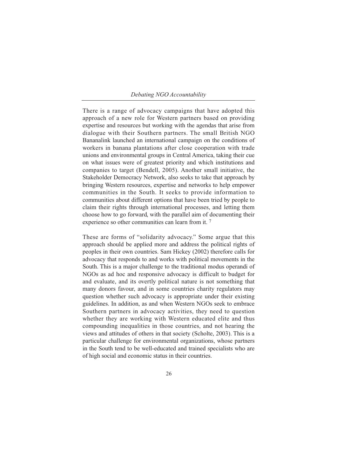There is a range of advocacy campaigns that have adopted this approach of a new role for Western partners based on providing expertise and resources but working with the agendas that arise from dialogue with their Southern partners. The small British NGO Bananalink launched an international campaign on the conditions of workers in banana plantations after close cooperation with trade unions and environmental groups in Central America, taking their cue on what issues were of greatest priority and which institutions and companies to target (Bendell, 2005). Another small initiative, the Stakeholder Democracy Network, also seeks to take that approach by bringing Western resources, expertise and networks to help empower communities in the South. It seeks to provide information to communities about different options that have been tried by people to claim their rights through international processes, and letting them choose how to go forward, with the parallel aim of documenting their experience so other communities can learn from it.<sup>7</sup>

These are forms of "solidarity advocacy." Some argue that this approach should be applied more and address the political rights of peoples in their own countries. Sam Hickey (2002) therefore calls for advocacy that responds to and works with political movements in the South. This is a major challenge to the traditional modus operandi of NGOs as ad hoc and responsive advocacy is difficult to budget for and evaluate, and its overtly political nature is not something that many donors favour, and in some countries charity regulators may question whether such advocacy is appropriate under their existing guidelines. In addition, as and when Western NGOs seek to embrace Southern partners in advocacy activities, they need to question whether they are working with Western educated elite and thus compounding inequalities in those countries, and not hearing the views and attitudes of others in that society (Scholte, 2003). This is a particular challenge for environmental organizations, whose partners in the South tend to be well-educated and trained specialists who are of high social and economic status in their countries.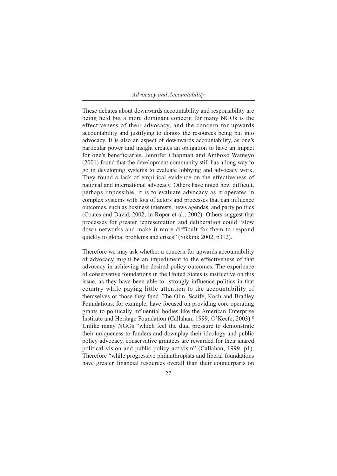## *Advocacy and Accountability*

These debates about downwards accountability and responsibility are being held but a more dominant concern for many NGOs is the effectiveness of their advocacy, and the concern for upwards accountability and justifying to donors the resources being put into advocacy. It is also an aspect of downwards accountability, as one's particular power and insight creates an obligation to have an impact for one's beneficiaries. Jennifer Chapman and Amboko Wameyo (2001) found that the development community still has a long way to go in developing systems to evaluate lobbying and advocacy work. They found a lack of empirical evidence on the effectiveness of national and international advocacy. Others have noted how difficult, perhaps impossible, it is to evaluate advocacy as it operates in complex systems with lots of actors and processes that can influence outcomes, such as business interests, news agendas, and party politics (Coates and David, 2002, in Roper et al., 2002). Others suggest that processes for greater representation and deliberation could "slow down networks and make it more difficult for them to respond quickly to global problems and crises" (Sikkink 2002, p312).

Therefore we may ask whether a concern for upwards accountability of advocacy might be an impediment to the effectiveness of that advocacy in achieving the desired policy outcomes. The experience of conservative foundations in the United States is instructive on this issue, as they have been able to strongly influence politics in that country while paying little attention to the accountability of themselves or those they fund. The Olin, Scaife, Koch and Bradley Foundations, for example, have focused on providing core operating grants to politically influential bodies like the American Enterprise Institute and Heritage Foundation (Callahan, 1999; O'Keefe, 2003).8 Unlike many NGOs "which feel the dual pressure to demonstrate their uniqueness to funders and downplay their ideology and public policy advocacy, conservative grantees are rewarded for their shared political vision and public policy activism" (Callahan, 1999, p1). Therefore "while progressive philanthropists and liberal foundations have greater financial resources overall than their counterparts on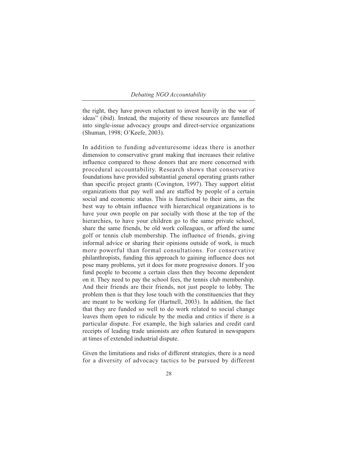the right, they have proven reluctant to invest heavily in the war of ideas" (ibid). Instead, the majority of these resources are funnelled into single-issue advocacy groups and direct-service organizations (Shuman, 1998; O'Keefe, 2003).

In addition to funding adventuresome ideas there is another dimension to conservative grant making that increases their relative influence compared to those donors that are more concerned with procedural accountability. Research shows that conservative foundations have provided substantial general operating grants rather than specific project grants (Covington, 1997). They support elitist organizations that pay well and are staffed by people of a certain social and economic status. This is functional to their aims, as the best way to obtain influence with hierarchical organizations is to have your own people on par socially with those at the top of the hierarchies, to have your children go to the same private school, share the same friends, be old work colleagues, or afford the same golf or tennis club membership. The influence of friends, giving informal advice or sharing their opinions outside of work, is much more powerful than formal consultations. For conservative philanthropists, funding this approach to gaining influence does not pose many problems, yet it does for more progressive donors. If you fund people to become a certain class then they become dependent on it. They need to pay the school fees, the tennis club membership. And their friends are their friends, not just people to lobby. The problem then is that they lose touch with the constituencies that they are meant to be working for (Hartnell, 2003). In addition, the fact that they are funded so well to do work related to social change leaves them open to ridicule by the media and critics if there is a particular dispute. For example, the high salaries and credit card receipts of leading trade unionists are often featured in newspapers at times of extended industrial dispute.

Given the limitations and risks of different strategies, there is a need for a diversity of advocacy tactics to be pursued by different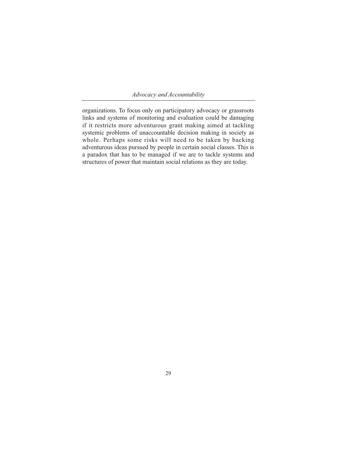*Advocacy and Accountability*

organizations. To focus only on participatory advocacy or grassroots links and systems of monitoring and evaluation could be damaging if it restricts more adventurous grant making aimed at tackling systemic problems of unaccountable decision making in society as whole. Perhaps some risks will need to be taken by backing adventurous ideas pursued by people in certain social classes. This is a paradox that has to be managed if we are to tackle systems and structures of power that maintain social relations as they are today.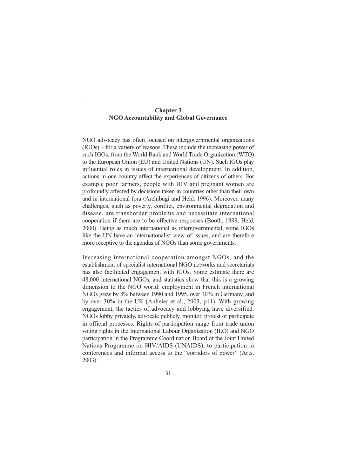# **Chapter 3 NGO Accountability and Global Governance**

NGO advocacy has often focused on intergovernmental organizations (IGOs) – for a variety of reasons. These include the increasing power of such IGOs, from the World Bank and World Trade Organization (WTO) to the European Union (EU) and United Nations (UN). Such IGOs play influential roles in issues of international development. In addition, actions in one country affect the experiences of citizens of others. For example poor farmers, people with HIV and pregnant women are profoundly affected by decisions taken in countries other than their own and in international fora (Archibugi and Held, 1996). Moreover, many challenges, such as poverty, conflict, environmental degradation and disease, are transborder problems and necessitate international cooperation if there are to be effective responses (Booth, 1999; Held, 2000). Being as much international as intergovernmental, some IGOs like the UN have an internationalist view of issues, and are therefore more receptive to the agendas of NGOs than some governments.

Increasing international cooperation amongst NGOs, and the establishment of specialist international NGO networks and secretariats has also facilitated engagement with IGOs. Some estimate there are 48,000 international NGOs, and statistics show that this is a growing dimension to the NGO world: employment in French international NGOs grew by 8% between 1990 and 1995, over 10% in Germany, and by over 30% in the UK (Anheier et al., 2003, p11). With growing engagement, the tactics of advocacy and lobbying have diversified. NGOs lobby privately, advocate publicly, monitor, protest or participate in official processes. Rights of participation range from trade union voting rights in the International Labour Organization (ILO) and NGO participation in the Programme Coordination Board of the Joint United Nations Programme on HIV/AIDS (UNAIDS), to participation in conferences and informal access to the "corridors of power" (Arts, 2003).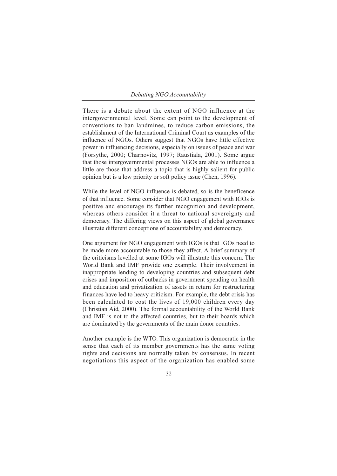There is a debate about the extent of NGO influence at the intergovernmental level. Some can point to the development of conventions to ban landmines, to reduce carbon emissions, the establishment of the International Criminal Court as examples of the influence of NGOs. Others suggest that NGOs have little effective power in influencing decisions, especially on issues of peace and war (Forsythe, 2000; Charnovitz, 1997; Raustiala, 2001). Some argue that those intergovernmental processes NGOs are able to influence a little are those that address a topic that is highly salient for public opinion but is a low priority or soft policy issue (Chen, 1996).

While the level of NGO influence is debated, so is the beneficence of that influence. Some consider that NGO engagement with IGOs is positive and encourage its further recognition and development, whereas others consider it a threat to national sovereignty and democracy. The differing views on this aspect of global governance illustrate different conceptions of accountability and democracy.

One argument for NGO engagement with IGOs is that IGOs need to be made more accountable to those they affect. A brief summary of the criticisms levelled at some IGOs will illustrate this concern. The World Bank and IMF provide one example. Their involvement in inappropriate lending to developing countries and subsequent debt crises and imposition of cutbacks in government spending on health and education and privatization of assets in return for restructuring finances have led to heavy criticism. For example, the debt crisis has been calculated to cost the lives of 19,000 children every day (Christian Aid, 2000). The formal accountability of the World Bank and IMF is not to the affected countries, but to their boards which are dominated by the governments of the main donor countries.

Another example is the WTO. This organization is democratic in the sense that each of its member governments has the same voting rights and decisions are normally taken by consensus. In recent negotiations this aspect of the organization has enabled some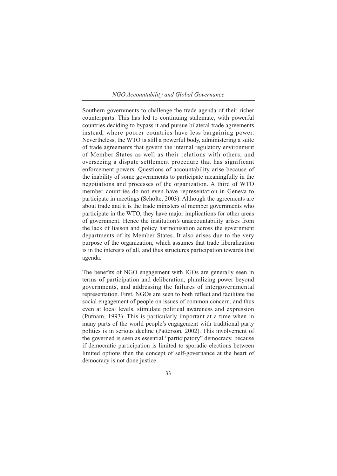## *NGO Accountability and Global Governance*

Southern governments to challenge the trade agenda of their richer counterparts. This has led to continuing stalemate, with powerful countries deciding to bypass it and pursue bilateral trade agreements instead, where poorer countries have less bargaining power. Nevertheless, the WTO is still a powerful body, administering a suite of trade agreements that govern the internal regulatory environment of Member States as well as their relations with others, and overseeing a dispute settlement procedure that has significant enforcement powers. Questions of accountability arise because of the inability of some governments to participate meaningfully in the negotiations and processes of the organization. A third of WTO member countries do not even have representation in Geneva to participate in meetings (Scholte, 2003). Although the agreements are about trade and it is the trade ministers of member governments who participate in the WTO, they have major implications for other areas of government. Hence the institution's unaccountability arises from the lack of liaison and policy harmonisation across the government departments of its Member States. It also arises due to the very purpose of the organization, which assumes that trade liberalization is in the interests of all, and thus structures participation towards that agenda.

The benefits of NGO engagement with IGOs are generally seen in terms of participation and deliberation, pluralizing power beyond governments, and addressing the failures of intergovernmental representation. First, NGOs are seen to both reflect and facilitate the social engagement of people on issues of common concern, and thus even at local levels, stimulate political awareness and expression (Putnam, 1993). This is particularly important at a time when in many parts of the world people's engagement with traditional party politics is in serious decline (Patterson, 2002). This involvement of the governed is seen as essential "participatory" democracy, because if democratic participation is limited to sporadic elections between limited options then the concept of self-governance at the heart of democracy is not done justice.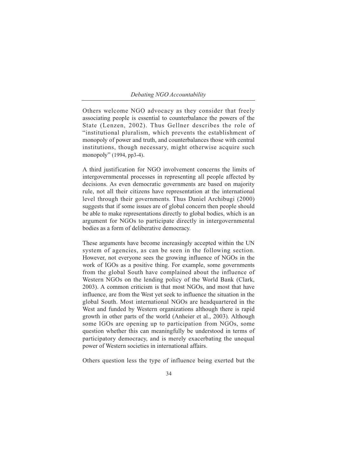Others welcome NGO advocacy as they consider that freely associating people is essential to counterbalance the powers of the State (Lenzen, 2002). Thus Gellner describes the role of "institutional pluralism, which prevents the establishment of monopoly of power and truth, and counterbalances those with central institutions, though necessary, might otherwise acquire such monopoly" (1994, pp3-4).

A third justification for NGO involvement concerns the limits of intergovernmental processes in representing all people affected by decisions. As even democratic governments are based on majority rule, not all their citizens have representation at the international level through their governments. Thus Daniel Archibugi (2000) suggests that if some issues are of global concern then people should be able to make representations directly to global bodies, which is an argument for NGOs to participate directly in intergovernmental bodies as a form of deliberative democracy.

These arguments have become increasingly accepted within the UN system of agencies, as can be seen in the following section. However, not everyone sees the growing influence of NGOs in the work of IGOs as a positive thing. For example, some governments from the global South have complained about the influence of Western NGOs on the lending policy of the World Bank (Clark, 2003). A common criticism is that most NGOs, and most that have influence, are from the West yet seek to influence the situation in the global South. Most international NGOs are headquartered in the West and funded by Western organizations although there is rapid growth in other parts of the world (Anheier et al., 2003). Although some IGOs are opening up to participation from NGOs, some question whether this can meaningfully be understood in terms of participatory democracy, and is merely exacerbating the unequal power of Western societies in international affairs.

Others question less the type of influence being exerted but the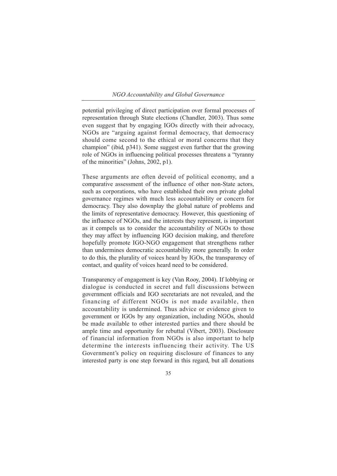## *NGO Accountability and Global Governance*

potential privileging of direct participation over formal processes of representation through State elections (Chandler, 2003). Thus some even suggest that by engaging IGOs directly with their advocacy, NGOs are "arguing against formal democracy, that democracy should come second to the ethical or moral concerns that they champion" (ibid, p341). Some suggest even further that the growing role of NGOs in influencing political processes threatens a "tyranny of the minorities" (Johns, 2002, p1).

These arguments are often devoid of political economy, and a comparative assessment of the influence of other non-State actors, such as corporations, who have established their own private global governance regimes with much less accountability or concern for democracy. They also downplay the global nature of problems and the limits of representative democracy. However, this questioning of the influence of NGOs, and the interests they represent, is important as it compels us to consider the accountability of NGOs to those they may affect by influencing IGO decision making, and therefore hopefully promote IGO-NGO engagement that strengthens rather than undermines democratic accountability more generally. In order to do this, the plurality of voices heard by IGOs, the transparency of contact, and quality of voices heard need to be considered.

Transparency of engagement is key (Van Rooy, 2004). If lobbying or dialogue is conducted in secret and full discussions between government officials and IGO secretariats are not revealed, and the financing of different NGOs is not made available, then accountability is undermined. Thus advice or evidence given to government or IGOs by any organization, including NGOs, should be made available to other interested parties and there should be ample time and opportunity for rebuttal (Vibert, 2003). Disclosure of financial information from NGOs is also important to help determine the interests influencing their activity. The US Government's policy on requiring disclosure of finances to any interested party is one step forward in this regard, but all donations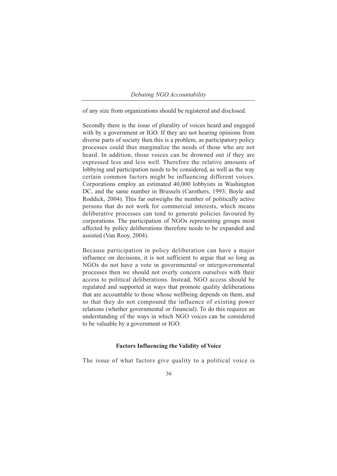of any size from organizations should be registered and disclosed.

Secondly there is the issue of plurality of voices heard and engaged with by a government or IGO. If they are not hearing opinions from diverse parts of society then this is a problem, as participatory policy processes could thus marginalize the needs of those who are not heard. In addition, those voices can be drowned out if they are expressed less and less well. Therefore the relative amounts of lobbying and participation needs to be considered, as well as the way certain common factors might be influencing different voices. Corporations employ an estimated 40,000 lobbyists in Washington DC, and the same number in Brussels (Carothers, 1993; Boyle and Roddick, 2004). This far outweighs the number of politically active persons that do not work for commercial interests, which means deliberative processes can tend to generate policies favoured by corporations. The participation of NGOs representing groups most affected by policy deliberations therefore needs to be expanded and assisted (Van Rooy, 2004).

Because participation in policy deliberation can have a major influence on decisions, it is not sufficient to argue that so long as NGOs do not have a vote in governmental or intergovernmental processes then we should not overly concern ourselves with their access to political deliberations. Instead, NGO access should be regulated and supported in ways that promote quality deliberations that are accountable to those whose wellbeing depends on them, and so that they do not compound the influence of existing power relations (whether governmental or financial). To do this requires an understanding of the ways in which NGO voices can be considered to be valuable by a government or IGO.

## **Factors Influencing the Validity of Voice**

The issue of what factors give quality to a political voice is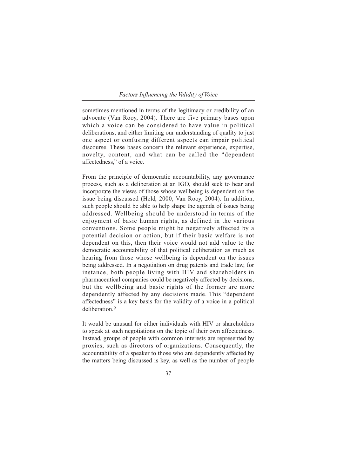## *Factors Influencing the Validity of Voice*

sometimes mentioned in terms of the legitimacy or credibility of an advocate (Van Rooy, 2004). There are five primary bases upon which a voice can be considered to have value in political deliberations, and either limiting our understanding of quality to just one aspect or confusing different aspects can impair political discourse. These bases concern the relevant experience, expertise, novelty, content, and what can be called the "dependent affectedness," of a voice.

From the principle of democratic accountability, any governance process, such as a deliberation at an IGO, should seek to hear and incorporate the views of those whose wellbeing is dependent on the issue being discussed (Held, 2000; Van Rooy, 2004). In addition, such people should be able to help shape the agenda of issues being addressed. Wellbeing should be understood in terms of the enjoyment of basic human rights, as defined in the various conventions. Some people might be negatively affected by a potential decision or action, but if their basic welfare is not dependent on this, then their voice would not add value to the democratic accountability of that political deliberation as much as hearing from those whose wellbeing is dependent on the issues being addressed. In a negotiation on drug patents and trade law, for instance, both people living with HIV and shareholders in pharmaceutical companies could be negatively affected by decisions, but the wellbeing and basic rights of the former are more dependently affected by any decisions made. This "dependent affectedness" is a key basis for the validity of a voice in a political deliberation<sup>9</sup>

It would be unusual for either individuals with HIV or shareholders to speak at such negotiations on the topic of their own affectedness. Instead, groups of people with common interests are represented by proxies, such as directors of organizations. Consequently, the accountability of a speaker to those who are dependently affected by the matters being discussed is key, as well as the number of people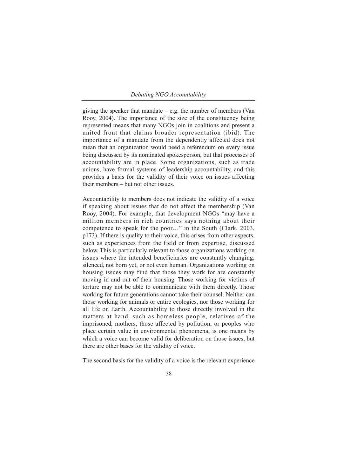giving the speaker that mandate  $-$  e.g. the number of members (Van Rooy, 2004). The importance of the size of the constituency being represented means that many NGOs join in coalitions and present a united front that claims broader representation (ibid). The importance of a mandate from the dependently affected does not mean that an organization would need a referendum on every issue being discussed by its nominated spokesperson, but that processes of accountability are in place. Some organizations, such as trade unions, have formal systems of leadership accountability, and this provides a basis for the validity of their voice on issues affecting their members – but not other issues.

Accountability to members does not indicate the validity of a voice if speaking about issues that do not affect the membership (Van Rooy, 2004). For example, that development NGOs "may have a million members in rich countries says nothing about their competence to speak for the poor…" in the South (Clark, 2003, p173). If there is quality to their voice, this arises from other aspects, such as experiences from the field or from expertise, discussed below. This is particularly relevant to those organizations working on issues where the intended beneficiaries are constantly changing, silenced, not born yet, or not even human. Organizations working on housing issues may find that those they work for are constantly moving in and out of their housing. Those working for victims of torture may not be able to communicate with them directly. Those working for future generations cannot take their counsel. Neither can those working for animals or entire ecologies, nor those working for all life on Earth. Accountability to those directly involved in the matters at hand, such as homeless people, relatives of the imprisoned, mothers, those affected by pollution, or peoples who place certain value in environmental phenomena, is one means by which a voice can become valid for deliberation on those issues, but there are other bases for the validity of voice.

The second basis for the validity of a voice is the relevant experience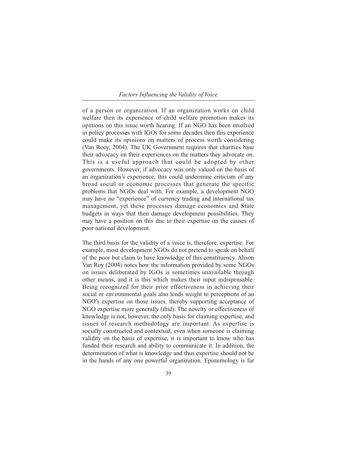## *Factors Influencing the Validity of Voice*

of a person or organization. If an organization works on child welfare then its experience of child welfare promotion makes its opinions on this issue worth hearing. If an NGO has been involved in policy processes with IGOs for some decades then this experience could make its opinions on matters of process worth considering (Van Rooy, 2004). The UK Government requires that charities base their advocacy on their experiences on the matters they advocate on. This is a useful approach that could be adopted by other governments. However, if advocacy was only valued on the basis of an organization's experience, this could undermine criticism of any broad social or economic processes that generate the specific problems that NGOs deal with. For example, a development NGO may have no "experience" of currency trading and international tax management, yet these processes damage economies and State budgets in ways that then damage development possibilities. They may have a position on this due to their expertise on the causes of poor national development.

The third basis for the validity of a voice is, therefore, expertise. For example, most development NGOs do not pretend to speak on behalf of the poor but claim to have knowledge of this constituency. Alison Van Roy (2004) notes how the information provided by some NGOs on issues deliberated by IGOs is sometimes unavailable through other means, and it is this which makes their input indispensable. Being recognized for their prior effectiveness in achieving their social or environmental goals also lends weight to perceptions of an NGO's expertise on those issues, thereby supporting acceptance of NGO expertise more generally (ibid). The novelty or effectiveness of knowledge is not, however, the only basis for claiming expertise, and issues of research methodology are important. As expertise is socially constructed and contextual, even when someone is claiming validity on the basis of expertise, it is important to know who has funded their research and ability to communicate it. In addition, the determination of what is knowledge and thus expertise should not be in the hands of any one powerful organization. Epistemology is far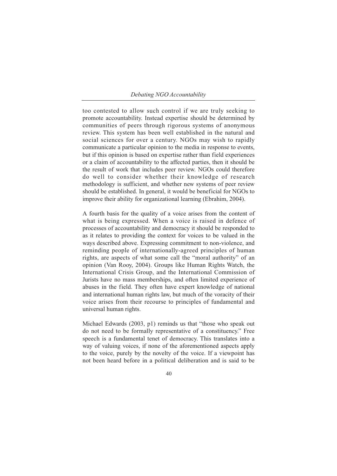too contested to allow such control if we are truly seeking to promote accountability. Instead expertise should be determined by communities of peers through rigorous systems of anonymous review. This system has been well established in the natural and social sciences for over a century. NGOs may wish to rapidly communicate a particular opinion to the media in response to events, but if this opinion is based on expertise rather than field experiences or a claim of accountability to the affected parties, then it should be the result of work that includes peer review. NGOs could therefore do well to consider whether their knowledge of research methodology is sufficient, and whether new systems of peer review should be established. In general, it would be beneficial for NGOs to improve their ability for organizational learning (Ebrahim, 2004).

A fourth basis for the quality of a voice arises from the content of what is being expressed. When a voice is raised in defence of processes of accountability and democracy it should be responded to as it relates to providing the context for voices to be valued in the ways described above. Expressing commitment to non-violence, and reminding people of internationally-agreed principles of human rights, are aspects of what some call the "moral authority" of an opinion (Van Rooy, 2004). Groups like Human Rights Watch, the International Crisis Group, and the International Commission of Jurists have no mass memberships, and often limited experience of abuses in the field. They often have expert knowledge of national and international human rights law, but much of the voracity of their voice arises from their recourse to principles of fundamental and universal human rights.

Michael Edwards (2003, p1) reminds us that "those who speak out do not need to be formally representative of a constituency." Free speech is a fundamental tenet of democracy. This translates into a way of valuing voices, if none of the aforementioned aspects apply to the voice, purely by the novelty of the voice. If a viewpoint has not been heard before in a political deliberation and is said to be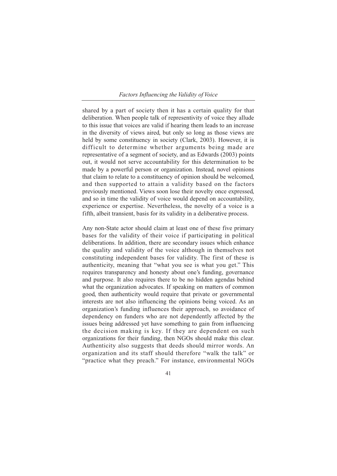## *Factors Influencing the Validity of Voice*

shared by a part of society then it has a certain quality for that deliberation. When people talk of representivity of voice they allude to this issue that voices are valid if hearing them leads to an increase in the diversity of views aired, but only so long as those views are held by some constituency in society (Clark, 2003). However, it is difficult to determine whether arguments being made are representative of a segment of society, and as Edwards (2003) points out, it would not serve accountability for this determination to be made by a powerful person or organization. Instead, novel opinions that claim to relate to a constituency of opinion should be welcomed, and then supported to attain a validity based on the factors previously mentioned. Views soon lose their novelty once expressed, and so in time the validity of voice would depend on accountability, experience or expertise. Nevertheless, the novelty of a voice is a fifth, albeit transient, basis for its validity in a deliberative process.

Any non-State actor should claim at least one of these five primary bases for the validity of their voice if participating in political deliberations. In addition, there are secondary issues which enhance the quality and validity of the voice although in themselves not constituting independent bases for validity. The first of these is authenticity, meaning that "what you see is what you get." This requires transparency and honesty about one's funding, governance and purpose. It also requires there to be no hidden agendas behind what the organization advocates. If speaking on matters of common good, then authenticity would require that private or governmental interests are not also influencing the opinions being voiced. As an organization's funding influences their approach, so avoidance of dependency on funders who are not dependently affected by the issues being addressed yet have something to gain from influencing the decision making is key. If they are dependent on such organizations for their funding, then NGOs should make this clear. Authenticity also suggests that deeds should mirror words. An organization and its staff should therefore "walk the talk" or "practice what they preach." For instance, environmental NGOs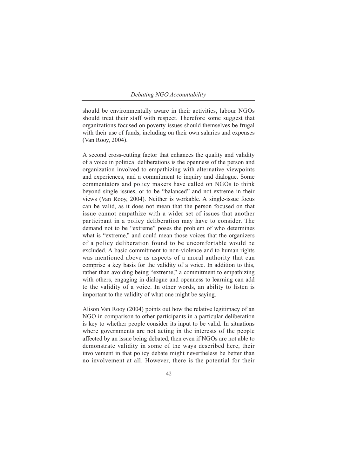should be environmentally aware in their activities, labour NGOs should treat their staff with respect. Therefore some suggest that organizations focused on poverty issues should themselves be frugal with their use of funds, including on their own salaries and expenses (Van Rooy, 2004).

A second cross-cutting factor that enhances the quality and validity of a voice in political deliberations is the openness of the person and organization involved to empathizing with alternative viewpoints and experiences, and a commitment to inquiry and dialogue. Some commentators and policy makers have called on NGOs to think beyond single issues, or to be "balanced" and not extreme in their views (Van Rooy, 2004). Neither is workable. A single-issue focus can be valid, as it does not mean that the person focused on that issue cannot empathize with a wider set of issues that another participant in a policy deliberation may have to consider. The demand not to be "extreme" poses the problem of who determines what is "extreme," and could mean those voices that the organizers of a policy deliberation found to be uncomfortable would be excluded. A basic commitment to non-violence and to human rights was mentioned above as aspects of a moral authority that can comprise a key basis for the validity of a voice. In addition to this, rather than avoiding being "extreme," a commitment to empathizing with others, engaging in dialogue and openness to learning can add to the validity of a voice. In other words, an ability to listen is important to the validity of what one might be saying.

Alison Van Rooy (2004) points out how the relative legitimacy of an NGO in comparison to other participants in a particular deliberation is key to whether people consider its input to be valid. In situations where governments are not acting in the interests of the people affected by an issue being debated, then even if NGOs are not able to demonstrate validity in some of the ways described here, their involvement in that policy debate might nevertheless be better than no involvement at all. However, there is the potential for their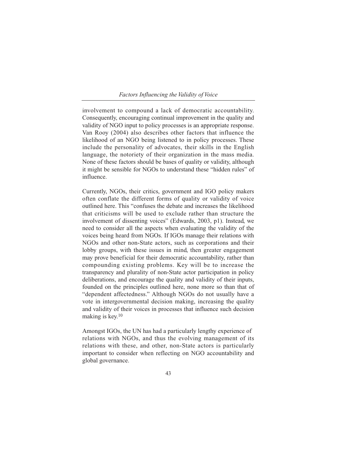*Factors Influencing the Validity of Voice*

involvement to compound a lack of democratic accountability. Consequently, encouraging continual improvement in the quality and validity of NGO input to policy processes is an appropriate response. Van Rooy (2004) also describes other factors that influence the likelihood of an NGO being listened to in policy processes. These include the personality of advocates, their skills in the English language, the notoriety of their organization in the mass media. None of these factors should be bases of quality or validity, although it might be sensible for NGOs to understand these "hidden rules" of influence.

Currently, NGOs, their critics, government and IGO policy makers often conflate the different forms of quality or validity of voice outlined here. This "confuses the debate and increases the likelihood that criticisms will be used to exclude rather than structure the involvement of dissenting voices" (Edwards, 2003, p1). Instead, we need to consider all the aspects when evaluating the validity of the voices being heard from NGOs. If IGOs manage their relations with NGOs and other non-State actors, such as corporations and their lobby groups, with these issues in mind, then greater engagement may prove beneficial for their democratic accountability, rather than compounding existing problems. Key will be to increase the transparency and plurality of non-State actor participation in policy deliberations, and encourage the quality and validity of their inputs, founded on the principles outlined here, none more so than that of "dependent affectedness." Although NGOs do not usually have a vote in intergovernmental decision making, increasing the quality and validity of their voices in processes that influence such decision making is key.10

Amongst IGOs, the UN has had a particularly lengthy experience of relations with NGOs, and thus the evolving management of its relations with these, and other, non-State actors is particularly important to consider when reflecting on NGO accountability and global governance.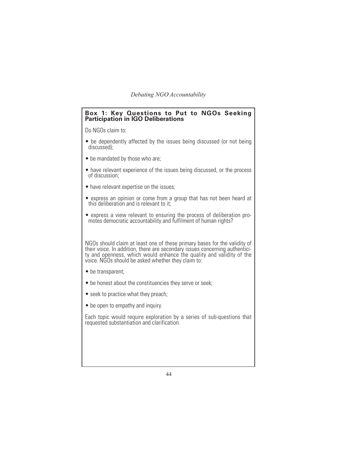## **Box 1: Key Questions to Put to NGOs Seeking Participation in IGO Deliberations**

Do NGOs claim to:

- be dependently affected by the issues being discussed (or not being discussed);
- be mandated by those who are:
- have relevant experience of the issues being discussed, or the process of discussion;
- have relevant expertise on the issues;
- express an opinion or come from a group that has not been heard at this deliberation and is relevant to it;
- express a view relevant to ensuring the process of deliberation promotes democratic accountability and fulfilment of human rights?

NGOs should claim at least one of these primary bases for the validity of their voice. In addition, there are secondary issues concerning authenticity and openness, which would enhance the quality and validity of the voice. NGOs should be asked whether they claim to:

- be transparent;
- be honest about the constituencies they serve or seek;
- seek to practice what they preach;
- be open to empathy and inquiry.

Each topic would require exploration by a series of sub-questions that requested substantiation and clarification.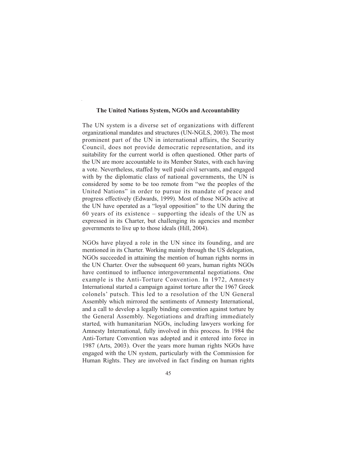## **The United Nations System, NGOs and Accountability**

The UN system is a diverse set of organizations with different organizational mandates and structures (UN-NGLS, 2003). The most prominent part of the UN in international affairs, the Security Council, does not provide democratic representation, and its suitability for the current world is often questioned. Other parts of the UN are more accountable to its Member States, with each having a vote. Nevertheless, staffed by well paid civil servants, and engaged with by the diplomatic class of national governments, the UN is considered by some to be too remote from "we the peoples of the United Nations" in order to pursue its mandate of peace and progress effectively (Edwards, 1999). Most of those NGOs active at the UN have operated as a "loyal opposition" to the UN during the 60 years of its existence – supporting the ideals of the UN as expressed in its Charter, but challenging its agencies and member governments to live up to those ideals (Hill, 2004).

NGOs have played a role in the UN since its founding, and are mentioned in its Charter. Working mainly through the US delegation, NGOs succeeded in attaining the mention of human rights norms in the UN Charter. Over the subsequent 60 years, human rights NGOs have continued to influence intergovernmental negotiations. One example is the Anti-Torture Convention. In 1972, Amnesty International started a campaign against torture after the 1967 Greek colonels' putsch. This led to a resolution of the UN General Assembly which mirrored the sentiments of Amnesty International, and a call to develop a legally binding convention against torture by the General Assembly. Negotiations and drafting immediately started, with humanitarian NGOs, including lawyers working for Amnesty International, fully involved in this process. In 1984 the Anti-Torture Convention was adopted and it entered into force in 1987 (Arts, 2003). Over the years more human rights NGOs have engaged with the UN system, particularly with the Commission for Human Rights. They are involved in fact finding on human rights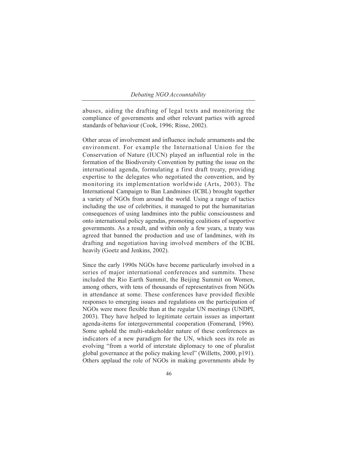abuses, aiding the drafting of legal texts and monitoring the compliance of governments and other relevant parties with agreed standards of behaviour (Cook, 1996; Risse, 2002).

Other areas of involvement and influence include armaments and the environment. For example the International Union for the Conservation of Nature (IUCN) played an influential role in the formation of the Biodiversity Convention by putting the issue on the international agenda, formulating a first draft treaty, providing expertise to the delegates who negotiated the convention, and by monitoring its implementation worldwide (Arts, 2003). The International Campaign to Ban Landmines (ICBL) brought together a variety of NGOs from around the world. Using a range of tactics including the use of celebrities, it managed to put the humanitarian consequences of using landmines into the public consciousness and onto international policy agendas, promoting coalitions of supportive governments. As a result, and within only a few years, a treaty was agreed that banned the production and use of landmines, with its drafting and negotiation having involved members of the ICBL heavily (Goetz and Jenkins, 2002).

Since the early 1990s NGOs have become particularly involved in a series of major international conferences and summits. These included the Rio Earth Summit, the Beijing Summit on Women, among others, with tens of thousands of representatives from NGOs in attendance at some. These conferences have provided flexible responses to emerging issues and regulations on the participation of NGOs were more flexible than at the regular UN meetings (UNDPI, 2003). They have helped to legitimate certain issues as important agenda-items for intergovernmental cooperation (Fomerand, 1996). Some uphold the multi-stakeholder nature of these conferences as indicators of a new paradigm for the UN, which sees its role as evolving "from a world of interstate diplomacy to one of pluralist global governance at the policy making level" (Willetts, 2000, p191). Others applaud the role of NGOs in making governments abide by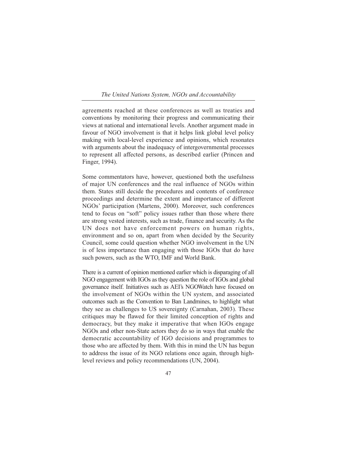#### *The United Nations System, NGOs and Accountability*

agreements reached at these conferences as well as treaties and conventions by monitoring their progress and communicating their views at national and international levels. Another argument made in favour of NGO involvement is that it helps link global level policy making with local-level experience and opinions, which resonates with arguments about the inadequacy of intergovernmental processes to represent all affected persons, as described earlier (Princen and Finger, 1994).

Some commentators have, however, questioned both the usefulness of major UN conferences and the real influence of NGOs within them. States still decide the procedures and contents of conference proceedings and determine the extent and importance of different NGOs' participation (Martens, 2000). Moreover, such conferences tend to focus on "soft" policy issues rather than those where there are strong vested interests, such as trade, finance and security. As the UN does not have enforcement powers on human rights, environment and so on, apart from when decided by the Security Council, some could question whether NGO involvement in the UN is of less importance than engaging with those IGOs that do have such powers, such as the WTO, IMF and World Bank.

There is a current of opinion mentioned earlier which is disparaging of all NGO engagement with IGOs as they question the role of IGOs and global governance itself. Initiatives such as AEI's NGOWatch have focused on the involvement of NGOs within the UN system, and associated outcomes such as the Convention to Ban Landmines, to highlight what they see as challenges to US sovereignty (Carnahan, 2003). These critiques may be flawed for their limited conception of rights and democracy, but they make it imperative that when IGOs engage NGOs and other non-State actors they do so in ways that enable the democratic accountability of IGO decisions and programmes to those who are affected by them. With this in mind the UN has begun to address the issue of its NGO relations once again, through highlevel reviews and policy recommendations (UN, 2004).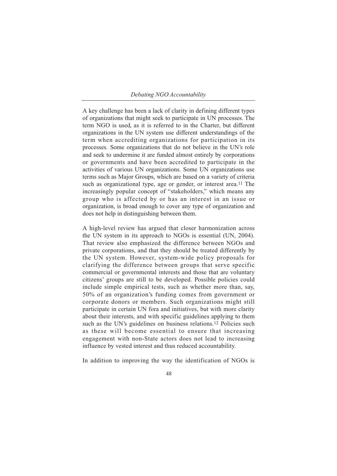A key challenge has been a lack of clarity in defining different types of organizations that might seek to participate in UN processes. The term NGO is used, as it is referred to in the Charter, but different organizations in the UN system use different understandings of the term when accrediting organizations for participation in its processes. Some organizations that do not believe in the UN's role and seek to undermine it are funded almost entirely by corporations or governments and have been accredited to participate in the activities of various UN organizations. Some UN organizations use terms such as Major Groups, which are based on a variety of criteria such as organizational type, age or gender, or interest area.<sup>11</sup> The increasingly popular concept of "stakeholders," which means any group who is affected by or has an interest in an issue or organization, is broad enough to cover any type of organization and does not help in distinguishing between them.

A high-level review has argued that closer harmonization across the UN system in its approach to NGOs is essential (UN, 2004). That review also emphasized the difference between NGOs and private corporations, and that they should be treated differently by the UN system. However, system-wide policy proposals for clarifying the difference between groups that serve specific commercial or governmental interests and those that are voluntary citizens' groups are still to be developed. Possible policies could include simple empirical tests, such as whether more than, say, 50% of an organization's funding comes from government or corporate donors or members. Such organizations might still participate in certain UN fora and initiatives, but with more clarity about their interests, and with specific guidelines applying to them such as the UN's guidelines on business relations.<sup>12</sup> Policies such as these will become essential to ensure that increasing engagement with non-State actors does not lead to increasing influence by vested interest and thus reduced accountability.

In addition to improving the way the identification of NGOs is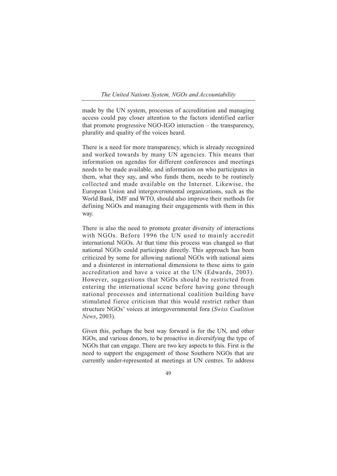#### *The United Nations System, NGOs and Accountability*

made by the UN system, processes of accreditation and managing access could pay closer attention to the factors identified earlier that promote progressive NGO-IGO interaction – the transparency, plurality and quality of the voices heard.

There is a need for more transparency, which is already recognized and worked towards by many UN agencies. This means that information on agendas for different conferences and meetings needs to be made available, and information on who participates in them, what they say, and who funds them, needs to be routinely collected and made available on the Internet. Likewise, the European Union and intergovernmental organizations, such as the World Bank, IMF and WTO, should also improve their methods for defining NGOs and managing their engagements with them in this way.

There is also the need to promote greater diversity of interactions with NGOs. Before 1996 the UN used to mainly accredit international NGOs. At that time this process was changed so that national NGOs could participate directly. This approach has been criticized by some for allowing national NGOs with national aims and a disinterest in international dimensions to these aims to gain accreditation and have a voice at the UN (Edwards, 2003). However, suggestions that NGOs should be restricted from entering the international scene before having gone through national processes and international coalition building have stimulated fierce criticism that this would restrict rather than structure NGOs' voices at intergovernmental fora (*Swiss Coalition News*, 2003).

Given this, perhaps the best way forward is for the UN, and other IGOs, and various donors, to be proactive in diversifying the type of NGOs that can engage. There are two key aspects to this. First is the need to support the engagement of those Southern NGOs that are currently under-represented at meetings at UN centres. To address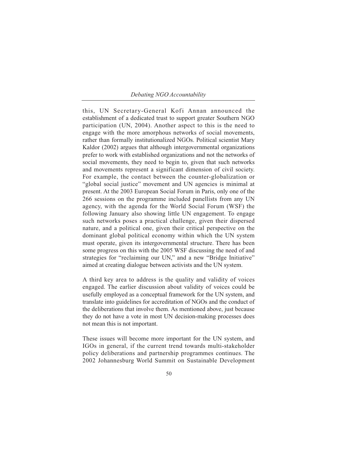this, UN Secretary-General Kofi Annan announced the establishment of a dedicated trust to support greater Southern NGO participation (UN, 2004). Another aspect to this is the need to engage with the more amorphous networks of social movements, rather than formally institutionalized NGOs. Political scientist Mary Kaldor (2002) argues that although intergovernmental organizations prefer to work with established organizations and not the networks of social movements, they need to begin to, given that such networks and movements represent a significant dimension of civil society. For example, the contact between the counter-globalization or "global social justice" movement and UN agencies is minimal at present. At the 2003 European Social Forum in Paris, only one of the 266 sessions on the programme included panellists from any UN agency, with the agenda for the World Social Forum (WSF) the following January also showing little UN engagement. To engage such networks poses a practical challenge, given their dispersed nature, and a political one, given their critical perspective on the dominant global political economy within which the UN system must operate, given its intergovernmental structure. There has been some progress on this with the 2005 WSF discussing the need of and strategies for "reclaiming our UN," and a new "Bridge Initiative" aimed at creating dialogue between activists and the UN system.

A third key area to address is the quality and validity of voices engaged. The earlier discussion about validity of voices could be usefully employed as a conceptual framework for the UN system, and translate into guidelines for accreditation of NGOs and the conduct of the deliberations that involve them. As mentioned above, just because they do not have a vote in most UN decision-making processes does not mean this is not important.

These issues will become more important for the UN system, and IGOs in general, if the current trend towards multi-stakeholder policy deliberations and partnership programmes continues. The 2002 Johannesburg World Summit on Sustainable Development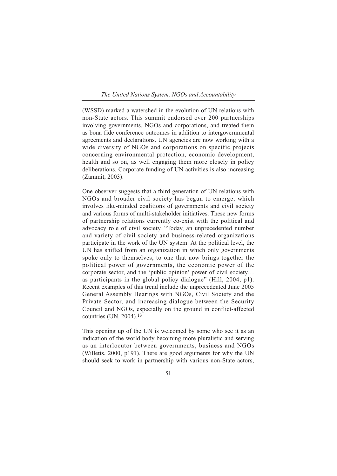*The United Nations System, NGOs and Accountability*

(WSSD) marked a watershed in the evolution of UN relations with non-State actors. This summit endorsed over 200 partnerships involving governments, NGOs and corporations, and treated them as bona fide conference outcomes in addition to intergovernmental agreements and declarations. UN agencies are now working with a wide diversity of NGOs and corporations on specific projects concerning environmental protection, economic development, health and so on, as well engaging them more closely in policy deliberations. Corporate funding of UN activities is also increasing (Zammit, 2003).

One observer suggests that a third generation of UN relations with NGOs and broader civil society has begun to emerge, which involves like-minded coalitions of governments and civil society and various forms of multi-stakeholder initiatives. These new forms of partnership relations currently co-exist with the political and advocacy role of civil society. "Today, an unprecedented number and variety of civil society and business-related organizations participate in the work of the UN system. At the political level, the UN has shifted from an organization in which only governments spoke only to themselves, to one that now brings together the political power of governments, the economic power of the corporate sector, and the 'public opinion' power of civil society… as participants in the global policy dialogue" (Hill, 2004, p1). Recent examples of this trend include the unprecedented June 2005 General Assembly Hearings with NGOs, Civil Society and the Private Sector, and increasing dialogue between the Security Council and NGOs, especially on the ground in conflict-affected countries (UN, 2004).13

This opening up of the UN is welcomed by some who see it as an indication of the world body becoming more pluralistic and serving as an interlocutor between governments, business and NGOs (Willetts, 2000, p191). There are good arguments for why the UN should seek to work in partnership with various non-State actors,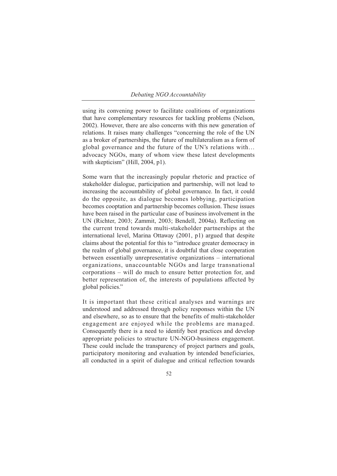using its convening power to facilitate coalitions of organizations that have complementary resources for tackling problems (Nelson, 2002). However, there are also concerns with this new generation of relations. It raises many challenges "concerning the role of the UN as a broker of partnerships, the future of multilateralism as a form of global governance and the future of the UN's relations with… advocacy NGOs, many of whom view these latest developments with skepticism" (Hill, 2004, p1).

Some warn that the increasingly popular rhetoric and practice of stakeholder dialogue, participation and partnership, will not lead to increasing the accountability of global governance. In fact, it could do the opposite, as dialogue becomes lobbying, participation becomes cooptation and partnership becomes collusion. These issues have been raised in the particular case of business involvement in the UN (Richter, 2003; Zammit, 2003; Bendell, 2004a). Reflecting on the current trend towards multi-stakeholder partnerships at the international level, Marina Ottaway (2001, p1) argued that despite claims about the potential for this to "introduce greater democracy in the realm of global governance, it is doubtful that close cooperation between essentially unrepresentative organizations – international organizations, unaccountable NGOs and large transnational corporations – will do much to ensure better protection for, and better representation of, the interests of populations affected by global policies."

It is important that these critical analyses and warnings are understood and addressed through policy responses within the UN and elsewhere, so as to ensure that the benefits of multi-stakeholder engagement are enjoyed while the problems are managed. Consequently there is a need to identify best practices and develop appropriate policies to structure UN-NGO-business engagement. These could include the transparency of project partners and goals, participatory monitoring and evaluation by intended beneficiaries, all conducted in a spirit of dialogue and critical reflection towards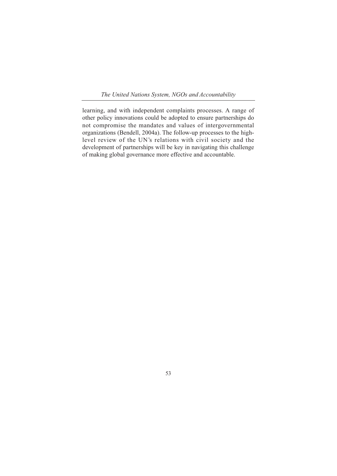*The United Nations System, NGOs and Accountability*

learning, and with independent complaints processes. A range of other policy innovations could be adopted to ensure partnerships do not compromise the mandates and values of intergovernmental organizations (Bendell, 2004a). The follow-up processes to the highlevel review of the UN's relations with civil society and the development of partnerships will be key in navigating this challenge of making global governance more effective and accountable.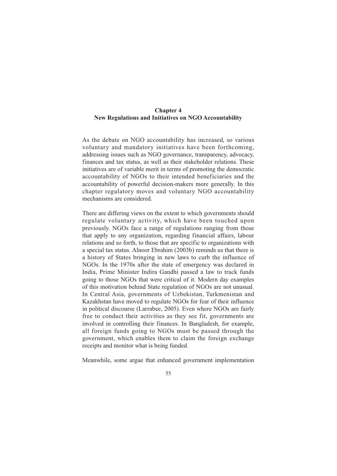# **Chapter 4 New Regulations and Initiatives on NGO Accountability**

As the debate on NGO accountability has increased, so various voluntary and mandatory initiatives have been forthcoming, addressing issues such as NGO governance, transparency, advocacy, finances and tax status, as well as their stakeholder relations. These initiatives are of variable merit in terms of promoting the democratic accountability of NGOs to their intended beneficiaries and the accountability of powerful decision-makers more generally. In this chapter regulatory moves and voluntary NGO accountability mechanisms are considered.

There are differing views on the extent to which governments should regulate voluntary activity, which have been touched upon previously. NGOs face a range of regulations ranging from those that apply to any organization, regarding financial affairs, labour relations and so forth, to those that are specific to organizations with a special tax status. Alnoor Ebrahim (2003b) reminds us that there is a history of States bringing in new laws to curb the influence of NGOs. In the 1970s after the state of emergency was declared in India, Prime Minister Indira Gandhi passed a law to track funds going to those NGOs that were critical of it. Modern day examples of this motivation behind State regulation of NGOs are not unusual. In Central Asia, governments of Uzbekistan, Turkmenistan and Kazakhstan have moved to regulate NGOs for fear of their influence in political discourse (Larrabee, 2005). Even where NGOs are fairly free to conduct their activities as they see fit, governments are involved in controlling their finances. In Bangladesh, for example, all foreign funds going to NGOs must be passed through the government, which enables them to claim the foreign exchange receipts and monitor what is being funded.

Meanwhile, some argue that enhanced government implementation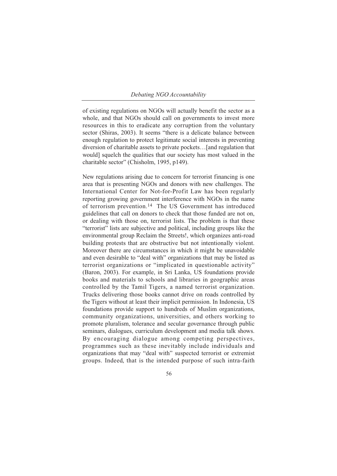of existing regulations on NGOs will actually benefit the sector as a whole, and that NGOs should call on governments to invest more resources in this to eradicate any corruption from the voluntary sector (Shiras, 2003). It seems "there is a delicate balance between enough regulation to protect legitimate social interests in preventing diversion of charitable assets to private pockets…[and regulation that would] squelch the qualities that our society has most valued in the charitable sector" (Chisholm, 1995, p149).

New regulations arising due to concern for terrorist financing is one area that is presenting NGOs and donors with new challenges. The International Center for Not-for-Profit Law has been regularly reporting growing government interference with NGOs in the name of terrorism prevention.14 The US Government has introduced guidelines that call on donors to check that those funded are not on, or dealing with those on, terrorist lists. The problem is that these "terrorist" lists are subjective and political, including groups like the environmental group Reclaim the Streets!, which organizes anti-road building protests that are obstructive but not intentionally violent. Moreover there are circumstances in which it might be unavoidable and even desirable to "deal with" organizations that may be listed as terrorist organizations or "implicated in questionable activity" (Baron, 2003). For example, in Sri Lanka, US foundations provide books and materials to schools and libraries in geographic areas controlled by the Tamil Tigers, a named terrorist organization. Trucks delivering those books cannot drive on roads controlled by the Tigers without at least their implicit permission. In Indonesia, US foundations provide support to hundreds of Muslim organizations, community organizations, universities, and others working to promote pluralism, tolerance and secular governance through public seminars, dialogues, curriculum development and media talk shows. By encouraging dialogue among competing perspectives, programmes such as these inevitably include individuals and organizations that may "deal with" suspected terrorist or extremist groups. Indeed, that is the intended purpose of such intra-faith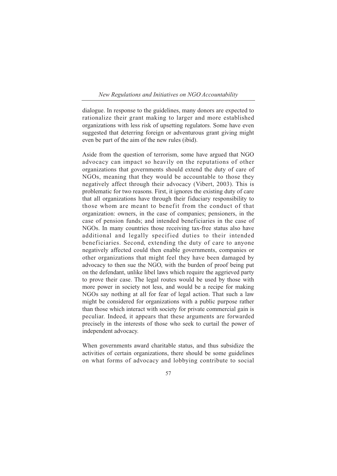### *New Regulations and Initiatives on NGO Accountability*

dialogue. In response to the guidelines, many donors are expected to rationalize their grant making to larger and more established organizations with less risk of upsetting regulators. Some have even suggested that deterring foreign or adventurous grant giving might even be part of the aim of the new rules (ibid).

Aside from the question of terrorism, some have argued that NGO advocacy can impact so heavily on the reputations of other organizations that governments should extend the duty of care of NGOs, meaning that they would be accountable to those they negatively affect through their advocacy (Vibert, 2003). This is problematic for two reasons. First, it ignores the existing duty of care that all organizations have through their fiduciary responsibility to those whom are meant to benefit from the conduct of that organization: owners, in the case of companies; pensioners, in the case of pension funds; and intended beneficiaries in the case of NGOs. In many countries those receiving tax-free status also have additional and legally specified duties to their intended beneficiaries. Second, extending the duty of care to anyone negatively affected could then enable governments, companies or other organizations that might feel they have been damaged by advocacy to then sue the NGO, with the burden of proof being put on the defendant, unlike libel laws which require the aggrieved party to prove their case. The legal routes would be used by those with more power in society not less, and would be a recipe for making NGOs say nothing at all for fear of legal action. That such a law might be considered for organizations with a public purpose rather than those which interact with society for private commercial gain is peculiar. Indeed, it appears that these arguments are forwarded precisely in the interests of those who seek to curtail the power of independent advocacy.

When governments award charitable status, and thus subsidize the activities of certain organizations, there should be some guidelines on what forms of advocacy and lobbying contribute to social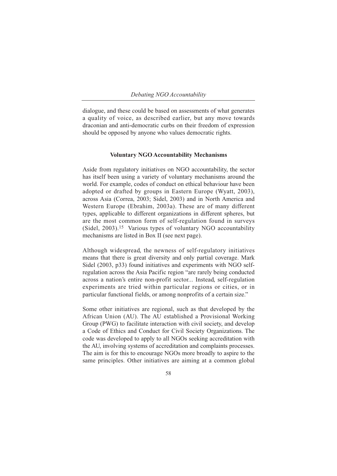dialogue, and these could be based on assessments of what generates a quality of voice, as described earlier, but any move towards draconian and anti-democratic curbs on their freedom of expression should be opposed by anyone who values democratic rights.

# **Voluntary NGO Accountability Mechanisms**

Aside from regulatory initiatives on NGO accountability, the sector has itself been using a variety of voluntary mechanisms around the world. For example, codes of conduct on ethical behaviour have been adopted or drafted by groups in Eastern Europe (Wyatt, 2003), across Asia (Correa, 2003; Sidel, 2003) and in North America and Western Europe (Ebrahim, 2003a). These are of many different types, applicable to different organizations in different spheres, but are the most common form of self-regulation found in surveys (Sidel, 2003).15 Various types of voluntary NGO accountability mechanisms are listed in Box II (see next page).

Although widespread, the newness of self-regulatory initiatives means that there is great diversity and only partial coverage. Mark Sidel (2003, p33) found initiatives and experiments with NGO selfregulation across the Asia Pacific region "are rarely being conducted across a nation's entire non-profit sector... Instead, self-regulation experiments are tried within particular regions or cities, or in particular functional fields, or among nonprofits of a certain size."

Some other initiatives are regional, such as that developed by the African Union (AU). The AU established a Provisional Working Group (PWG) to facilitate interaction with civil society, and develop a Code of Ethics and Conduct for Civil Society Organizations. The code was developed to apply to all NGOs seeking accreditation with the AU, involving systems of accreditation and complaints processes. The aim is for this to encourage NGOs more broadly to aspire to the same principles. Other initiatives are aiming at a common global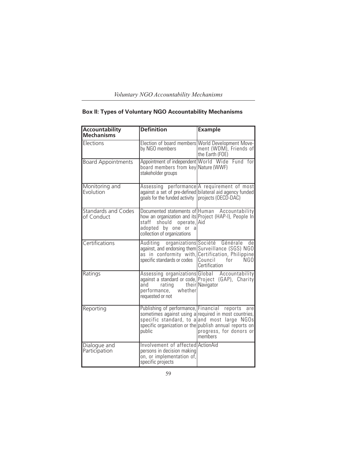| Voluntary NGO Accountability Mechanisms |  |  |  |
|-----------------------------------------|--|--|--|
|                                         |  |  |  |

| Accountability<br><b>Mechanisms</b>      | <b>Definition</b>                                                                                                 | <b>Example</b>                                                                                                                                                                                              |
|------------------------------------------|-------------------------------------------------------------------------------------------------------------------|-------------------------------------------------------------------------------------------------------------------------------------------------------------------------------------------------------------|
| Elections                                | by NGO members                                                                                                    | Election of board members World Development Move-<br>ment (WDM), Friends of<br>the Earth (FOE)                                                                                                              |
| <b>Board Appointments</b>                | board members from key Nature (WWF)<br>stakeholder groups                                                         | Appointment of independent World Wide Fund for                                                                                                                                                              |
| Monitoring and<br>Evolution              | goals for the funded activity projects (OECD-DAC)                                                                 | Assessing performance A requirement of most<br>against a set of pre-defined bilateral aid agency funded                                                                                                     |
| <b>Standards and Codes</b><br>of Conduct | staff<br>should<br>operate, Aid<br>adopted by one or a<br>collection of organizations                             | Documented statements of Human Accountability<br>how an organization and its Project (HAP-I), People In                                                                                                     |
| Certifications                           | Auditing<br>specific standards or codes                                                                           | organizations Société Générale<br>de<br>against, and endorsing them Surveillance (SGS) NGO<br>as in conformity with, Certification, Philippine<br>Council<br>for<br>NGO<br>Certification                    |
| Ratings                                  | and<br>rating<br>performance, whether<br>requested or not                                                         | Assessing organizations Global Accountability<br>against a standard or code, Project (GAP), Charity<br>their Navigator                                                                                      |
| Reporting                                | Publishing of performance, Financial reports<br>public                                                            | are<br>sometimes against using a required in most countries,<br>specific standard, to a and most large NGOs<br>specific organization or the publish annual reports on<br>progress, for donors or<br>members |
| Dialogue and<br>Participation            | Involvement of affected ActionAid<br>persons in decision making<br>on, or implementation of,<br>specific projects |                                                                                                                                                                                                             |

# **Box II: Types of Voluntary NGO Accountability Mechanisms**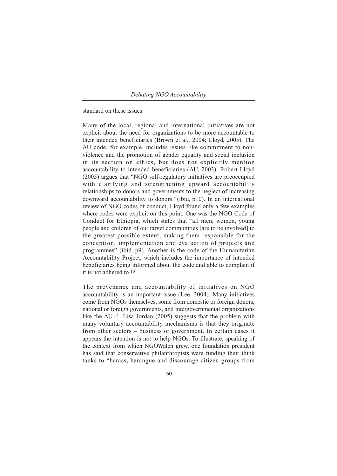standard on these issues.

Many of the local, regional and international initiatives are not explicit about the need for organizations to be more accountable to their intended beneficiaries (Brown et al., 2004; Lloyd, 2005). The AU code, for example, includes issues like commitment to nonviolence and the promotion of gender equality and social inclusion in its section on ethics, but does not explicitly mention accountability to intended beneficiaries (AU, 2003). Robert Lloyd (2005) argues that "NGO self-regulatory initiatives are preoccupied with clarifying and strengthening upward accountability relationships to donors and governments to the neglect of increasing downward accountability to donors" (ibid, p10). In an international review of NGO codes of conduct, Lloyd found only a few examples where codes were explicit on this point. One was the NGO Code of Conduct for Ethiopia, which states that "all men, women, young people and children of our target communities [are to be involved] to the greatest possible extent, making them responsible for the conception, implementation and evaluation of projects and programmes" (ibid, p9). Another is the code of the Humanitarian Accountability Project, which includes the importance of intended beneficiaries being informed about the code and able to complain if it is not adhered to.16

The provenance and accountability of initiatives on NGO accountability is an important issue (Lee, 2004). Many initiatives come from NGOs themselves, some from domestic or foreign donors, national or foreign governments, and intergovernmental organizations like the AU.17 Lisa Jordan (2005) suggests that the problem with many voluntary accountability mechanisms is that they originate from other sectors – business or government. In certain cases it appears the intention is not to help NGOs. To illustrate, speaking of the context from which NGOWatch grew, one foundation president has said that conservative philanthropists were funding their think tanks to "harass, harangue and discourage citizen groups from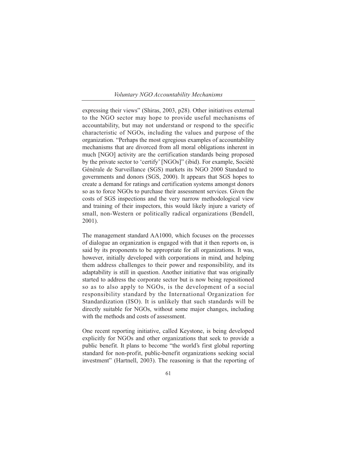#### *Voluntary NGO Accountability Mechanisms*

expressing their views" (Shiras, 2003, p28). Other initiatives external to the NGO sector may hope to provide useful mechanisms of accountability, but may not understand or respond to the specific characteristic of NGOs, including the values and purpose of the organization. "Perhaps the most egregious examples of accountability mechanisms that are divorced from all moral obligations inherent in much [NGO] activity are the certification standards being proposed by the private sector to 'certify' [NGOs]" (ibid). For example, Société Générale de Surveillance (SGS) markets its NGO 2000 Standard to governments and donors (SGS, 2000). It appears that SGS hopes to create a demand for ratings and certification systems amongst donors so as to force NGOs to purchase their assessment services. Given the costs of SGS inspections and the very narrow methodological view and training of their inspectors, this would likely injure a variety of small, non-Western or politically radical organizations (Bendell, 2001).

The management standard AA1000, which focuses on the processes of dialogue an organization is engaged with that it then reports on, is said by its proponents to be appropriate for all organizations. It was, however, initially developed with corporations in mind, and helping them address challenges to their power and responsibility, and its adaptability is still in question. Another initiative that was originally started to address the corporate sector but is now being repositioned so as to also apply to NGOs, is the development of a social responsibility standard by the International Organization for Standardization (ISO). It is unlikely that such standards will be directly suitable for NGOs, without some major changes, including with the methods and costs of assessment.

One recent reporting initiative, called Keystone, is being developed explicitly for NGOs and other organizations that seek to provide a public benefit. It plans to become "the world's first global reporting standard for non-profit, public-benefit organizations seeking social investment" (Hartnell, 2003). The reasoning is that the reporting of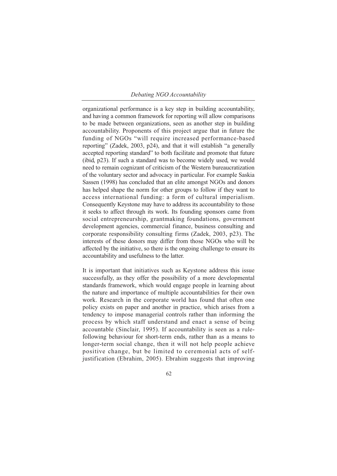organizational performance is a key step in building accountability, and having a common framework for reporting will allow comparisons to be made between organizations, seen as another step in building accountability. Proponents of this project argue that in future the funding of NGOs "will require increased performance-based reporting" (Zadek, 2003, p24), and that it will establish "a generally accepted reporting standard" to both facilitate and promote that future (ibid, p23). If such a standard was to become widely used, we would need to remain cognizant of criticism of the Western bureaucratization of the voluntary sector and advocacy in particular. For example Saskia Sassen (1998) has concluded that an elite amongst NGOs and donors has helped shape the norm for other groups to follow if they want to access international funding: a form of cultural imperialism. Consequently Keystone may have to address its accountability to those it seeks to affect through its work. Its founding sponsors came from social entrepreneurship, grantmaking foundations, government development agencies, commercial finance, business consulting and corporate responsibility consulting firms (Zadek, 2003, p23). The interests of these donors may differ from those NGOs who will be affected by the initiative, so there is the ongoing challenge to ensure its accountability and usefulness to the latter.

It is important that initiatives such as Keystone address this issue successfully, as they offer the possibility of a more developmental standards framework, which would engage people in learning about the nature and importance of multiple accountabilities for their own work. Research in the corporate world has found that often one policy exists on paper and another in practice, which arises from a tendency to impose managerial controls rather than informing the process by which staff understand and enact a sense of being accountable (Sinclair, 1995). If accountability is seen as a rulefollowing behaviour for short-term ends, rather than as a means to longer-term social change, then it will not help people achieve positive change, but be limited to ceremonial acts of selfjustification (Ebrahim, 2005). Ebrahim suggests that improving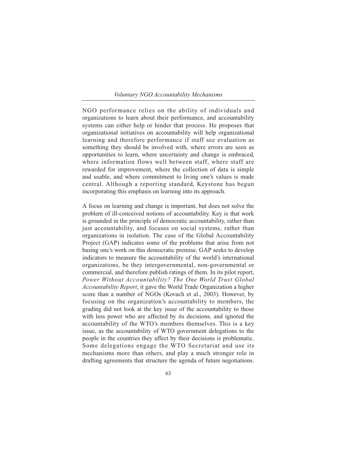### *Voluntary NGO Accountability Mechanisms*

NGO performance relies on the ability of individuals and organizations to learn about their performance, and accountability systems can either help or hinder that process. He proposes that organizational initiatives on accountability will help organizational learning and therefore performance if staff see evaluation as something they should be involved with, where errors are seen as opportunities to learn, where uncertainty and change is embraced, where information flows well between staff, where staff are rewarded for improvement, where the collection of data is simple and usable, and where commitment to living one's values is made central. Although a reporting standard, Keystone has begun incorporating this emphasis on learning into its approach.

A focus on learning and change is important, but does not solve the problem of ill-conceived notions of accountability. Key is that work is grounded in the principle of democratic accountability, rather than just accountability, and focuses on social systems, rather than organizations in isolation. The case of the Global Accountability Project (GAP) indicates some of the problems that arise from not basing one's work on this democratic premise. GAP seeks to develop indicators to measure the accountability of the world's international organizations, be they intergovernmental, non-governmental or commercial, and therefore publish ratings of them. In its pilot report, *Power Without Accountability? The One World Trust Global Accountability Report*, it gave the World Trade Organization a higher score than a number of NGOs (Kovach et al., 2003). However, by focusing on the organization's accountability to members, the grading did not look at the key issue of the accountability to those with less power who are affected by its decisions, and ignored the accountability of the WTO's members themselves. This is a key issue, as the accountability of WTO government delegations to the people in the countries they affect by their decisions is problematic. Some delegations engage the WTO Secretariat and use its mechanisms more than others, and play a much stronger role in drafting agreements that structure the agenda of future negotiations.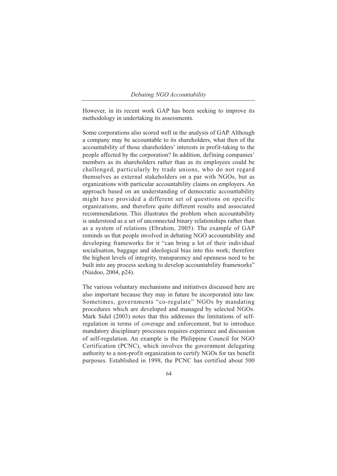However, in its recent work GAP has been seeking to improve its methodology in undertaking its assessments.

Some corporations also scored well in the analysis of GAP. Although a company may be accountable to its shareholders, what then of the accountability of those shareholders' interests in profit-taking to the people affected by the corporation? In addition, defining companies' members as its shareholders rather than as its employees could be challenged, particularly by trade unions, who do not regard themselves as external stakeholders on a par with NGOs, but as organizations with particular accountability claims on employers. An approach based on an understanding of democratic accountability might have provided a different set of questions on specific organizations, and therefore quite different results and associated recommendations. This illustrates the problem when accountability is understood as a set of unconnected binary relationships rather than as a system of relations (Ebrahim, 2005). The example of GAP reminds us that people involved in debating NGO accountability and developing frameworks for it "can bring a lot of their individual socialisation, baggage and ideological bias into this work; therefore the highest levels of integrity, transparency and openness need to be built into any process seeking to develop accountability frameworks" (Naidoo, 2004, p24).

The various voluntary mechanisms and initiatives discussed here are also important because they may in future be incorporated into law. Sometimes, governments "co-regulate" NGOs by mandating procedures which are developed and managed by selected NGOs. Mark Sidel (2003) notes that this addresses the limitations of selfregulation in terms of coverage and enforcement, but to introduce mandatory disciplinary processes requires experience and discussion of self-regulation. An example is the Philippine Council for NGO Certification (PCNC), which involves the government delegating authority to a non-profit organization to certify NGOs for tax benefit purposes. Established in 1998, the PCNC has certified about 500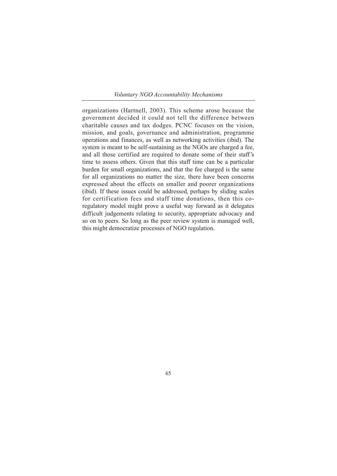*Voluntary NGO Accountability Mechanisms*

organizations (Hartnell, 2003). This scheme arose because the government decided it could not tell the difference between charitable causes and tax dodges. PCNC focuses on the vision, mission, and goals, governance and administration, programme operations and finances, as well as networking activities (ibid). The system is meant to be self-sustaining as the NGOs are charged a fee. and all those certified are required to donate some of their staff's time to assess others. Given that this staff time can be a particular burden for small organizations, and that the fee charged is the same for all organizations no matter the size, there have been concerns expressed about the effects on smaller and poorer organizations (ibid). If these issues could be addressed, perhaps by sliding scales for certification fees and staff time donations, then this coregulatory model might prove a useful way forward as it delegates difficult judgements relating to security, appropriate advocacy and so on to peers. So long as the peer review system is managed well, this might democratize processes of NGO regulation.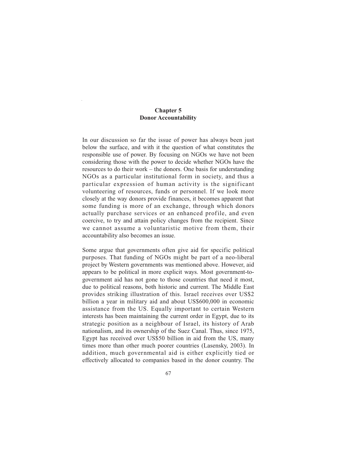# **Chapter 5 Donor Accountability**

In our discussion so far the issue of power has always been just below the surface, and with it the question of what constitutes the responsible use of power. By focusing on NGOs we have not been considering those with the power to decide whether NGOs have the resources to do their work – the donors. One basis for understanding NGOs as a particular institutional form in society, and thus a particular expression of human activity is the significant volunteering of resources, funds or personnel. If we look more closely at the way donors provide finances, it becomes apparent that some funding is more of an exchange, through which donors actually purchase services or an enhanced profile, and even coercive, to try and attain policy changes from the recipient. Since we cannot assume a voluntaristic motive from them, their accountability also becomes an issue.

Some argue that governments often give aid for specific political purposes. That funding of NGOs might be part of a neo-liberal project by Western governments was mentioned above. However, aid appears to be political in more explicit ways. Most government-togovernment aid has not gone to those countries that need it most, due to political reasons, both historic and current. The Middle East provides striking illustration of this. Israel receives over US\$2 billion a year in military aid and about US\$600,000 in economic assistance from the US. Equally important to certain Western interests has been maintaining the current order in Egypt, due to its strategic position as a neighbour of Israel, its history of Arab nationalism, and its ownership of the Suez Canal. Thus, since 1975, Egypt has received over US\$50 billion in aid from the US, many times more than other much poorer countries (Lasensky, 2003). In addition, much governmental aid is either explicitly tied or effectively allocated to companies based in the donor country. The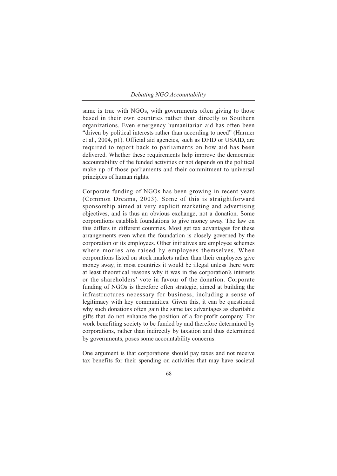same is true with NGOs, with governments often giving to those based in their own countries rather than directly to Southern organizations. Even emergency humanitarian aid has often been "driven by political interests rather than according to need" (Harmer et al., 2004, p1). Official aid agencies, such as DFID or USAID, are required to report back to parliaments on how aid has been delivered. Whether these requirements help improve the democratic accountability of the funded activities or not depends on the political make up of those parliaments and their commitment to universal principles of human rights.

Corporate funding of NGOs has been growing in recent years (Common Dreams, 2003). Some of this is straightforward sponsorship aimed at very explicit marketing and advertising objectives, and is thus an obvious exchange, not a donation. Some corporations establish foundations to give money away. The law on this differs in different countries. Most get tax advantages for these arrangements even when the foundation is closely governed by the corporation or its employees. Other initiatives are employee schemes where monies are raised by employees themselves. When corporations listed on stock markets rather than their employees give money away, in most countries it would be illegal unless there were at least theoretical reasons why it was in the corporation's interests or the shareholders' vote in favour of the donation. Corporate funding of NGOs is therefore often strategic, aimed at building the infrastructures necessary for business, including a sense of legitimacy with key communities. Given this, it can be questioned why such donations often gain the same tax advantages as charitable gifts that do not enhance the position of a for-profit company. For work benefiting society to be funded by and therefore determined by corporations, rather than indirectly by taxation and thus determined by governments, poses some accountability concerns.

One argument is that corporations should pay taxes and not receive tax benefits for their spending on activities that may have societal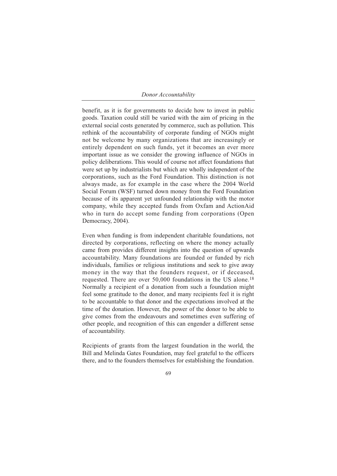#### *Donor Accountability*

benefit, as it is for governments to decide how to invest in public goods. Taxation could still be varied with the aim of pricing in the external social costs generated by commerce, such as pollution. This rethink of the accountability of corporate funding of NGOs might not be welcome by many organizations that are increasingly or entirely dependent on such funds, yet it becomes an ever more important issue as we consider the growing influence of NGOs in policy deliberations. This would of course not affect foundations that were set up by industrialists but which are wholly independent of the corporations, such as the Ford Foundation. This distinction is not always made, as for example in the case where the 2004 World Social Forum (WSF) turned down money from the Ford Foundation because of its apparent yet unfounded relationship with the motor company, while they accepted funds from Oxfam and ActionAid who in turn do accept some funding from corporations (Open Democracy, 2004).

Even when funding is from independent charitable foundations, not directed by corporations, reflecting on where the money actually came from provides different insights into the question of upwards accountability. Many foundations are founded or funded by rich individuals, families or religious institutions and seek to give away money in the way that the founders request, or if deceased, requested. There are over 50,000 foundations in the US alone.18 Normally a recipient of a donation from such a foundation might feel some gratitude to the donor, and many recipients feel it is right to be accountable to that donor and the expectations involved at the time of the donation. However, the power of the donor to be able to give comes from the endeavours and sometimes even suffering of other people, and recognition of this can engender a different sense of accountability.

Recipients of grants from the largest foundation in the world, the Bill and Melinda Gates Foundation, may feel grateful to the officers there, and to the founders themselves for establishing the foundation.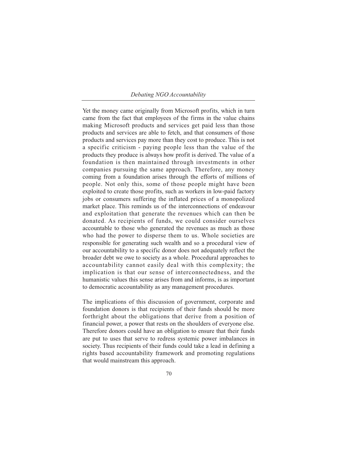Yet the money came originally from Microsoft profits, which in turn came from the fact that employees of the firms in the value chains making Microsoft products and services get paid less than those products and services are able to fetch, and that consumers of those products and services pay more than they cost to produce. This is not a specific criticism - paying people less than the value of the products they produce is always how profit is derived. The value of a foundation is then maintained through investments in other companies pursuing the same approach. Therefore, any money coming from a foundation arises through the efforts of millions of people. Not only this, some of those people might have been exploited to create those profits, such as workers in low-paid factory jobs or consumers suffering the inflated prices of a monopolized market place. This reminds us of the interconnections of endeavour and exploitation that generate the revenues which can then be donated. As recipients of funds, we could consider ourselves accountable to those who generated the revenues as much as those who had the power to disperse them to us. Whole societies are responsible for generating such wealth and so a procedural view of our accountability to a specific donor does not adequately reflect the broader debt we owe to society as a whole. Procedural approaches to accountability cannot easily deal with this complexity; the implication is that our sense of interconnectedness, and the humanistic values this sense arises from and informs, is as important to democratic accountability as any management procedures.

The implications of this discussion of government, corporate and foundation donors is that recipients of their funds should be more forthright about the obligations that derive from a position of financial power, a power that rests on the shoulders of everyone else. Therefore donors could have an obligation to ensure that their funds are put to uses that serve to redress systemic power imbalances in society. Thus recipients of their funds could take a lead in defining a rights based accountability framework and promoting regulations that would mainstream this approach.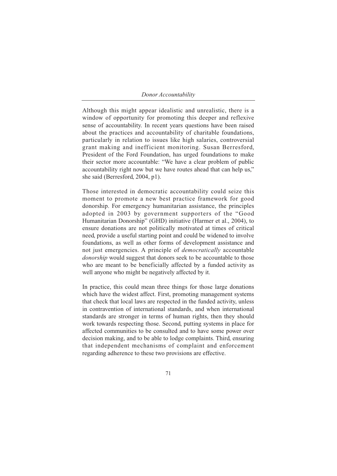*Donor Accountability*

Although this might appear idealistic and unrealistic, there is a window of opportunity for promoting this deeper and reflexive sense of accountability. In recent years questions have been raised about the practices and accountability of charitable foundations, particularly in relation to issues like high salaries, controversial grant making and inefficient monitoring. Susan Berresford, President of the Ford Foundation, has urged foundations to make their sector more accountable: "We have a clear problem of public accountability right now but we have routes ahead that can help us," she said (Berresford, 2004, p1).

Those interested in democratic accountability could seize this moment to promote a new best practice framework for good donorship. For emergency humanitarian assistance, the principles adopted in 2003 by government supporters of the "Good Humanitarian Donorship" (GHD) initiative (Harmer et al., 2004), to ensure donations are not politically motivated at times of critical need, provide a useful starting point and could be widened to involve foundations, as well as other forms of development assistance and not just emergencies. A principle of *democratically* accountable *donorship* would suggest that donors seek to be accountable to those who are meant to be beneficially affected by a funded activity as well anyone who might be negatively affected by it.

In practice, this could mean three things for those large donations which have the widest affect. First, promoting management systems that check that local laws are respected in the funded activity, unless in contravention of international standards, and when international standards are stronger in terms of human rights, then they should work towards respecting those. Second, putting systems in place for affected communities to be consulted and to have some power over decision making, and to be able to lodge complaints. Third, ensuring that independent mechanisms of complaint and enforcement regarding adherence to these two provisions are effective.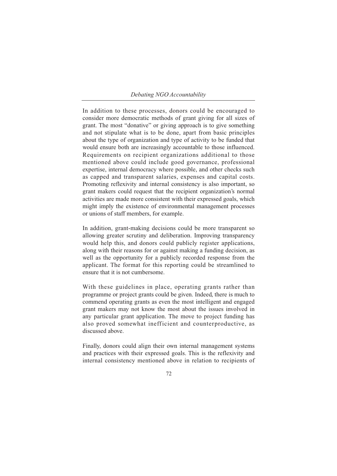In addition to these processes, donors could be encouraged to consider more democratic methods of grant giving for all sizes of grant. The most "donative" or giving approach is to give something and not stipulate what is to be done, apart from basic principles about the type of organization and type of activity to be funded that would ensure both are increasingly accountable to those influenced. Requirements on recipient organizations additional to those mentioned above could include good governance, professional expertise, internal democracy where possible, and other checks such as capped and transparent salaries, expenses and capital costs. Promoting reflexivity and internal consistency is also important, so grant makers could request that the recipient organization's normal activities are made more consistent with their expressed goals, which might imply the existence of environmental management processes or unions of staff members, for example.

In addition, grant-making decisions could be more transparent so allowing greater scrutiny and deliberation. Improving transparency would help this, and donors could publicly register applications, along with their reasons for or against making a funding decision, as well as the opportunity for a publicly recorded response from the applicant. The format for this reporting could be streamlined to ensure that it is not cumbersome.

With these guidelines in place, operating grants rather than programme or project grants could be given. Indeed, there is much to commend operating grants as even the most intelligent and engaged grant makers may not know the most about the issues involved in any particular grant application. The move to project funding has also proved somewhat inefficient and counterproductive, as discussed above.

Finally, donors could align their own internal management systems and practices with their expressed goals. This is the reflexivity and internal consistency mentioned above in relation to recipients of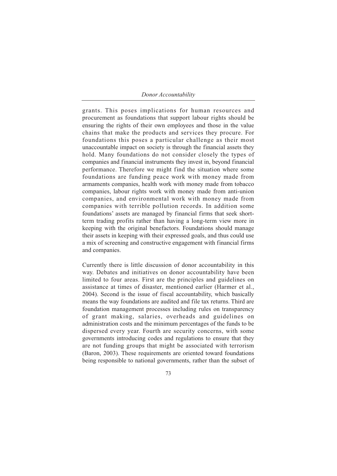#### *Donor Accountability*

grants. This poses implications for human resources and procurement as foundations that support labour rights should be ensuring the rights of their own employees and those in the value chains that make the products and services they procure. For foundations this poses a particular challenge as their most unaccountable impact on society is through the financial assets they hold. Many foundations do not consider closely the types of companies and financial instruments they invest in, beyond financial performance. Therefore we might find the situation where some foundations are funding peace work with money made from armaments companies, health work with money made from tobacco companies, labour rights work with money made from anti-union companies, and environmental work with money made from companies with terrible pollution records. In addition some foundations' assets are managed by financial firms that seek shortterm trading profits rather than having a long-term view more in keeping with the original benefactors. Foundations should manage their assets in keeping with their expressed goals, and thus could use a mix of screening and constructive engagement with financial firms and companies.

Currently there is little discussion of donor accountability in this way. Debates and initiatives on donor accountability have been limited to four areas. First are the principles and guidelines on assistance at times of disaster, mentioned earlier (Harmer et al., 2004). Second is the issue of fiscal accountability, which basically means the way foundations are audited and file tax returns. Third are foundation management processes including rules on transparency of grant making, salaries, overheads and guidelines on administration costs and the minimum percentages of the funds to be dispersed every year. Fourth are security concerns, with some governments introducing codes and regulations to ensure that they are not funding groups that might be associated with terrorism (Baron, 2003). These requirements are oriented toward foundations being responsible to national governments, rather than the subset of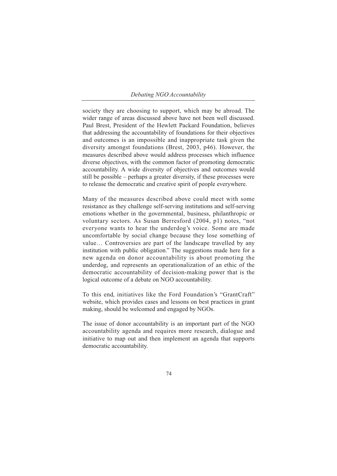society they are choosing to support, which may be abroad. The wider range of areas discussed above have not been well discussed. Paul Brest, President of the Hewlett Packard Foundation, believes that addressing the accountability of foundations for their objectives and outcomes is an impossible and inappropriate task given the diversity amongst foundations (Brest, 2003, p46). However, the measures described above would address processes which influence diverse objectives, with the common factor of promoting democratic accountability. A wide diversity of objectives and outcomes would still be possible – perhaps a greater diversity, if these processes were to release the democratic and creative spirit of people everywhere.

Many of the measures described above could meet with some resistance as they challenge self-serving institutions and self-serving emotions whether in the governmental, business, philanthropic or voluntary sectors. As Susan Berresford (2004, p1) notes, "not everyone wants to hear the underdog's voice. Some are made uncomfortable by social change because they lose something of value… Controversies are part of the landscape travelled by any institution with public obligation." The suggestions made here for a new agenda on donor accountability is about promoting the underdog, and represents an operationalization of an ethic of the democratic accountability of decision-making power that is the logical outcome of a debate on NGO accountability.

To this end, initiatives like the Ford Foundation's "GrantCraft" website, which provides cases and lessons on best practices in grant making, should be welcomed and engaged by NGOs.

The issue of donor accountability is an important part of the NGO accountability agenda and requires more research, dialogue and initiative to map out and then implement an agenda that supports democratic accountability.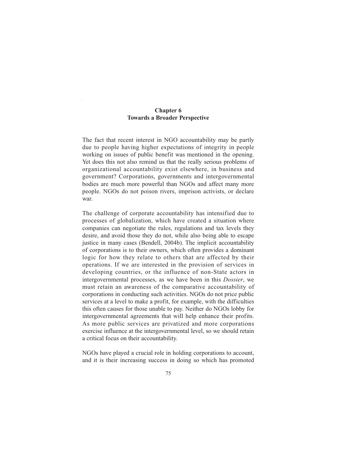# **Chapter 6 Towards a Broader Perspective**

The fact that recent interest in NGO accountability may be partly due to people having higher expectations of integrity in people working on issues of public benefit was mentioned in the opening. Yet does this not also remind us that the really serious problems of organizational accountability exist elsewhere, in business and government? Corporations, governments and intergovernmental bodies are much more powerful than NGOs and affect many more people. NGOs do not poison rivers, imprison activists, or declare war.

The challenge of corporate accountability has intensified due to processes of globalization, which have created a situation where companies can negotiate the rules, regulations and tax levels they desire, and avoid those they do not, while also being able to escape justice in many cases (Bendell, 2004b). The implicit accountability of corporations is to their owners, which often provides a dominant logic for how they relate to others that are affected by their operations. If we are interested in the provision of services in developing countries, or the influence of non-State actors in intergovernmental processes, as we have been in this *Dossier*, we must retain an awareness of the comparative accountability of corporations in conducting such activities. NGOs do not price public services at a level to make a profit, for example, with the difficulties this often causes for those unable to pay. Neither do NGOs lobby for intergovernmental agreements that will help enhance their profits. As more public services are privatized and more corporations exercise influence at the intergovernmental level, so we should retain a critical focus on their accountability.

NGOs have played a crucial role in holding corporations to account, and it is their increasing success in doing so which has promoted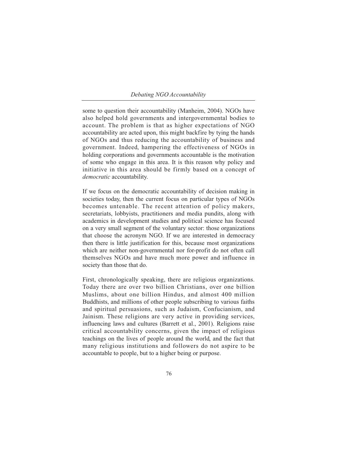some to question their accountability (Manheim, 2004). NGOs have also helped hold governments and intergovernmental bodies to account. The problem is that as higher expectations of NGO accountability are acted upon, this might backfire by tying the hands of NGOs and thus reducing the accountability of business and government. Indeed, hampering the effectiveness of NGOs in holding corporations and governments accountable is the motivation of some who engage in this area. It is this reason why policy and initiative in this area should be firmly based on a concept of *democratic* accountability.

If we focus on the democratic accountability of decision making in societies today, then the current focus on particular types of NGOs becomes untenable. The recent attention of policy makers, secretariats, lobbyists, practitioners and media pundits, along with academics in development studies and political science has focused on a very small segment of the voluntary sector: those organizations that choose the acronym NGO. If we are interested in democracy then there is little justification for this, because most organizations which are neither non-governmental nor for-profit do not often call themselves NGOs and have much more power and influence in society than those that do.

First, chronologically speaking, there are religious organizations. Today there are over two billion Christians, over one billion Muslims, about one billion Hindus, and almost 400 million Buddhists, and millions of other people subscribing to various faiths and spiritual persuasions, such as Judaism, Confucianism, and Jainism. These religions are very active in providing services, influencing laws and cultures (Barrett et al., 2001). Religions raise critical accountability concerns, given the impact of religious teachings on the lives of people around the world, and the fact that many religious institutions and followers do not aspire to be accountable to people, but to a higher being or purpose.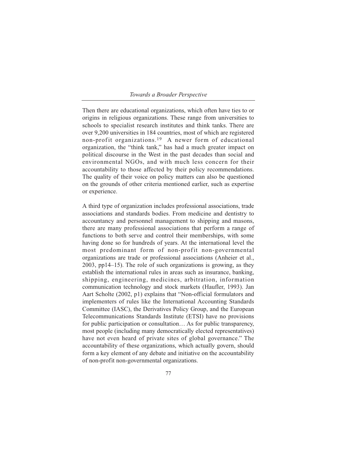### *Towards a Broader Perspective*

Then there are educational organizations, which often have ties to or origins in religious organizations. These range from universities to schools to specialist research institutes and think tanks. There are over 9,200 universities in 184 countries, most of which are registered non-profit organizations.19 A newer form of educational organization, the "think tank," has had a much greater impact on political discourse in the West in the past decades than social and environmental NGOs, and with much less concern for their accountability to those affected by their policy recommendations. The quality of their voice on policy matters can also be questioned on the grounds of other criteria mentioned earlier, such as expertise or experience.

A third type of organization includes professional associations, trade associations and standards bodies. From medicine and dentistry to accountancy and personnel management to shipping and masons, there are many professional associations that perform a range of functions to both serve and control their memberships, with some having done so for hundreds of years. At the international level the most predominant form of non-profit non-governmental organizations are trade or professional associations (Anheier et al., 2003, pp14–15). The role of such organizations is growing, as they establish the international rules in areas such as insurance, banking, shipping, engineering, medicines, arbitration, information communication technology and stock markets (Haufler, 1993). Jan Aart Scholte (2002, p1) explains that "Non-official formulators and implementers of rules like the International Accounting Standards Committee (IASC), the Derivatives Policy Group, and the European Telecommunications Standards Institute (ETSI) have no provisions for public participation or consultation... As for public transparency, most people (including many democratically elected representatives) have not even heard of private sites of global governance." The accountability of these organizations, which actually govern, should form a key element of any debate and initiative on the accountability of non-profit non-governmental organizations.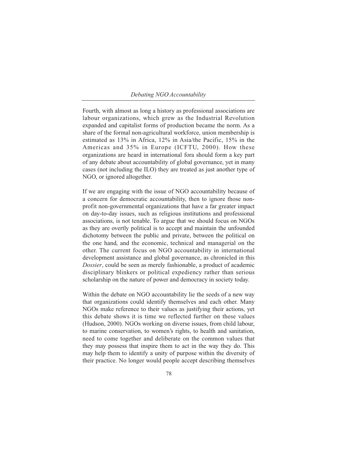Fourth, with almost as long a history as professional associations are labour organizations, which grew as the Industrial Revolution expanded and capitalist forms of production became the norm. As a share of the formal non-agricultural workforce, union membership is estimated as 13% in Africa, 12% in Asia/the Pacific, 15% in the Americas and 35% in Europe (ICFTU, 2000). How these organizations are heard in international fora should form a key part of any debate about accountability of global governance, yet in many cases (not including the ILO) they are treated as just another type of NGO, or ignored altogether.

If we are engaging with the issue of NGO accountability because of a concern for democratic accountability, then to ignore those nonprofit non-governmental organizations that have a far greater impact on day-to-day issues, such as religious institutions and professional associations, is not tenable. To argue that we should focus on NGOs as they are overtly political is to accept and maintain the unfounded dichotomy between the public and private, between the political on the one hand, and the economic, technical and managerial on the other. The current focus on NGO accountability in international development assistance and global governance, as chronicled in this *Dossier*, could be seen as merely fashionable, a product of academic disciplinary blinkers or political expediency rather than serious scholarship on the nature of power and democracy in society today.

Within the debate on NGO accountability lie the seeds of a new way that organizations could identify themselves and each other. Many NGOs make reference to their values as justifying their actions, yet this debate shows it is time we reflected further on these values (Hudson, 2000). NGOs working on diverse issues, from child labour, to marine conservation, to women's rights, to health and sanitation, need to come together and deliberate on the common values that they may possess that inspire them to act in the way they do. This may help them to identify a unity of purpose within the diversity of their practice. No longer would people accept describing themselves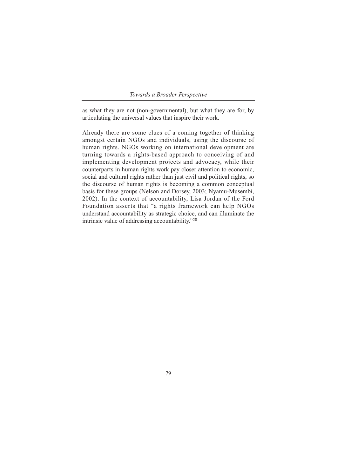# *Towards a Broader Perspective*

as what they are not (non-governmental), but what they are for, by articulating the universal values that inspire their work.

Already there are some clues of a coming together of thinking amongst certain NGOs and individuals, using the discourse of human rights. NGOs working on international development are turning towards a rights-based approach to conceiving of and implementing development projects and advocacy, while their counterparts in human rights work pay closer attention to economic, social and cultural rights rather than just civil and political rights, so the discourse of human rights is becoming a common conceptual basis for these groups (Nelson and Dorsey, 2003; Nyamu-Musembi, 2002). In the context of accountability, Lisa Jordan of the Ford Foundation asserts that "a rights framework can help NGOs understand accountability as strategic choice, and can illuminate the intrinsic value of addressing accountability."20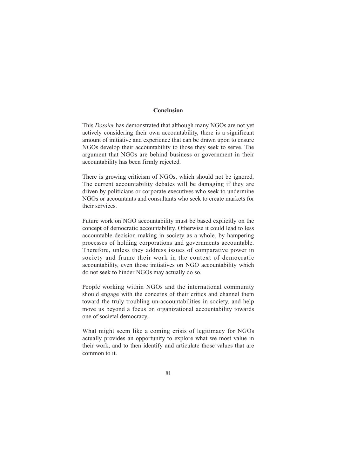# **Conclusion**

This *Dossier* has demonstrated that although many NGOs are not yet actively considering their own accountability, there is a significant amount of initiative and experience that can be drawn upon to ensure NGOs develop their accountability to those they seek to serve. The argument that NGOs are behind business or government in their accountability has been firmly rejected.

There is growing criticism of NGOs, which should not be ignored. The current accountability debates will be damaging if they are driven by politicians or corporate executives who seek to undermine NGOs or accountants and consultants who seek to create markets for their services.

Future work on NGO accountability must be based explicitly on the concept of democratic accountability. Otherwise it could lead to less accountable decision making in society as a whole, by hampering processes of holding corporations and governments accountable. Therefore, unless they address issues of comparative power in society and frame their work in the context of democratic accountability, even those initiatives on NGO accountability which do not seek to hinder NGOs may actually do so.

People working within NGOs and the international community should engage with the concerns of their critics and channel them toward the truly troubling un-accountabilities in society, and help move us beyond a focus on organizational accountability towards one of societal democracy.

What might seem like a coming crisis of legitimacy for NGOs actually provides an opportunity to explore what we most value in their work, and to then identify and articulate those values that are common to it.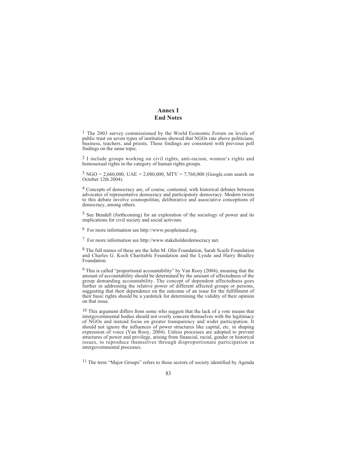# **Annex I End Notes**

1 The 2003 survey commissioned by the World Economic Forum on levels of public trust on seven types of institutions showed that NGOs rate above politicians, business, teachers, and priests. These findings are consistent with previous poll findings on the same topic.

2 I include groups working on civil rights, anti-racism, women's rights and homosexual rights in the category of human rights groups.

 $3 NGO = 2,660,000, UAE = 2,080,000, MTV = 7,760,000 (Google.com search on$ October 12th 2004).

4 Concepts of democracy are, of course, contested, with historical debates between advocates of representative democracy and participatory democracy. Modern twists to this debate involve cosmopolitan, deliberative and associative conceptions of democracy, among others.

5 See Bendell (forthcoming) for an exploration of the sociology of power and its implications for civil society and social activism.

6 For more information see http://www.peopleinaid.org.

7 For more information see http://www.stakeholderdemocracy.net.

8 The full names of these are the John M. Olin Foundation, Sarah Scaife Foundation and Charles G. Koch Charitable Foundation and the Lynde and Harry Bradley Foundation.

9 This is called "proportional accountability" by Van Rooy (2004), meaning that the amount of accountability should be determined by the amount of affectedness of the group demanding accountability. The concept of dependent affectedness goes further in addressing the relative power of different affected groups or persons, suggesting that their dependence on the outcome of an issue for the fulfillment of their basic rights should be a yardstick for determining the validity of their opinion on that issue.

<sup>10</sup> This argument differs from some who suggest that the lack of a vote means that intergovernmental bodies should not overly concern themselves with the legitimacy of NGOs and instead focus on greater transparency and wider participation. It should not ignore the influences of power structures like capital, etc. in shaping expression of voice (Van Rooy, 2004). Unless processes are adopted to prevent structures of power and privilege, arising from financial, racial, gender or historical issues, to reproduce themselves through disproportionate participation in intergovernmental processes.

11 The term "Major Groups" refers to those sectors of society identified by Agenda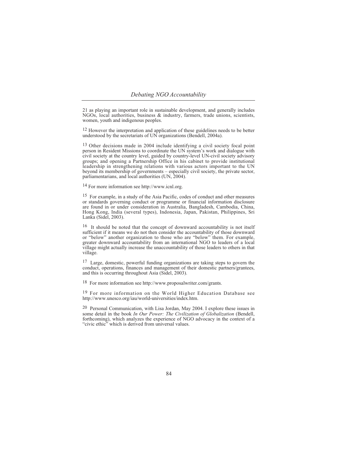21 as playing an important role in sustainable development, and generally includes NGOs, local authorities, business & industry, farmers, trade unions, scientists, women, youth and indigenous peoples.

<sup>12</sup> However the interpretation and application of these guidelines needs to be better understood by the secretariats of UN organizations (Bendell, 2004a).

13 Other decisions made in 2004 include identifying a civil society focal point person in Resident Missions to coordinate the UN system's work and dialogue with civil society at the country level, guided by country-level UN-civil society advisory groups; and opening a Partnership Office in his cabinet to provide institutional leadership in strengthening relations with various actors important to the UN beyond its membership of governments – especially civil society, the private sector, parliamentarians, and local authorities (UN, 2004).

14 For more information see http://www.icnl.org.

15 For example, in a study of the Asia Pacific, codes of conduct and other measures or standards governing conduct or programme or financial information disclosure are found in or under consideration in Australia, Bangladesh, Cambodia, China, Hong Kong, India (several types), Indonesia, Japan, Pakistan, Philippines, Sri Lanka (Sidel, 2003).

16 It should be noted that the concept of downward accountability is not itself sufficient if it means we do not then consider the accountability of those downward or "below" another organization to those who are "below" them. For example, greater downward accountability from an international NGO to leaders of a local village might actually increase the unaccountability of those leaders to others in that village.

17 Large, domestic, powerful funding organizations are taking steps to govern the conduct, operations, finances and management of their domestic partners/grantees, and this is occurring throughout Asia (Sidel, 2003).

18 For more information see http://www.proposalwriter.com/grants.

19 For more information on the World Higher Education Database see http://www.unesco.org/iau/world-universities/index.htm.

<sup>20</sup> Personal Communication, with Lisa Jordan, May 2004. I explore these issues in some detail in the book *In Our Power: The Civilization of Globalization* (Bendell, forthcoming), which analyzes the experience of NGO advocacy in the context of a "civic ethic" which is derived from universal values.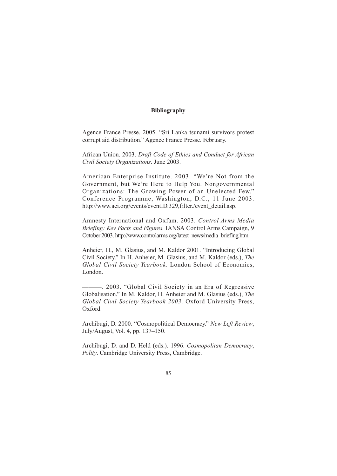# **Bibliography**

Agence France Presse. 2005. "Sri Lanka tsunami survivors protest corrupt aid distribution." Agence France Presse. February.

African Union. 2003. *Draft Code of Ethics and Conduct for African Civil Society Organizations*. June 2003.

American Enterprise Institute. 2003. "We're Not from the Government, but We're Here to Help You. Nongovernmental Organizations: The Growing Power of an Unelected Few." Conference Programme, Washington, D.C., 11 June 2003. http://www.aei.org/events/eventID.329,filter./event\_detail.asp.

Amnesty International and Oxfam. 2003. *Control Arms Media Briefing: Key Facts and Figures.* IANSA Control Arms Campaign, 9 October 2003. http://www.controlarms.org/latest\_news/media\_briefing.htm.

Anheier, H., M. Glasius, and M. Kaldor 2001. "Introducing Global Civil Society." In H. Anheier, M. Glasius, and M. Kaldor (eds.), *The Global Civil Society Yearbook*. London School of Economics, London.

———. 2003. "Global Civil Society in an Era of Regressive Globalisation." In M. Kaldor, H. Anheier and M. Glasius (eds.), *The Global Civil Society Yearbook 2003*. Oxford University Press, Oxford.

Archibugi, D. 2000. "Cosmopolitical Democracy." *New Left Review*, July/August, Vol. 4, pp. 137–150.

Archibugi, D. and D. Held (eds.). 1996. *Cosmopolitan Democracy*, *Polity*. Cambridge University Press, Cambridge.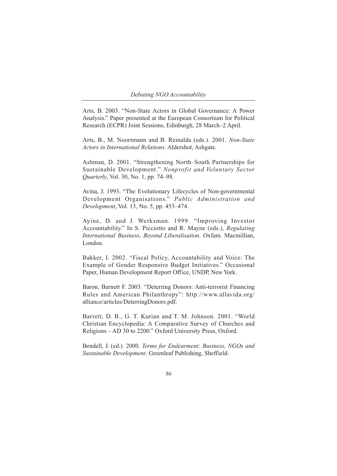Arts, B. 2003. "Non-State Actors in Global Governance: A Power Analysis." Paper presented at the European Consortium for Political Research (ECPR) Joint Sessions, Edinburgh, 28 March–2 April.

Arts, B., M. Noortmann and B. Reinalda (eds.). 2001. *Non-State Actors in International Relations*. Aldershot, Ashgate.

Ashman, D. 2001. "Strengthening North–South Partnerships for Sustainable Development." *Nonprofit and Voluntary Sector Quarterly*, Vol. 30, No. 1, pp. 74–98.

Avina, J. 1993. "The Evolutionary Lifecycles of Non-governmental Development Organisations." *Public Administration and Development*, Vol. 13, No. 5, pp. 453–474.

Ayine, D. and J. Werksman. 1999. "Improving Investor Accountability." In S. Picciotto and R. Mayne (eds.), *Regulating International Business*, *Beyond Liberalisation*. Oxfam. Macmillian, London.

Bakker, I. 2002. "Fiscal Policy, Accountability and Voice: The Example of Gender Responsive Budget Initiatives." Occasional Paper, Human Development Report Office, UNDP, New York.

Baron, Barnett F. 2003. "Deterring Donors: Anti-terrorist Financing Rules and American Philanthropy": http://www.allavida.org/ alliance/articles/DeterringDonors.pdf.

Barrett, D. B., G. T. Kurian and T. M. Johnson. 2001. "World Christian Encyclopedia: A Comparative Survey of Churches and Religions – AD 30 to 2200." Oxford University Press, Oxford.

Bendell, J. (ed.). 2000. *Terms for Endearment: Business, NGOs and Sustainable Development*. Greenleaf Publishing, Sheffield.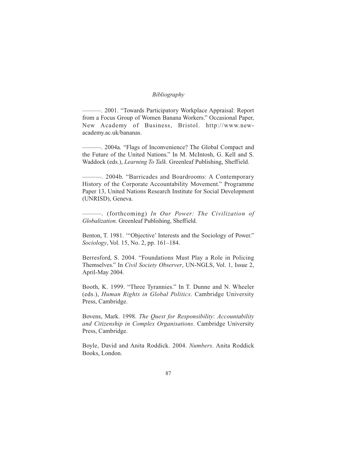# *Bibliography*

———. 2001. "Towards Participatory Workplace Appraisal: Report from a Focus Group of Women Banana Workers." Occasional Paper, New Academy of Business, Bristol. http://www.newacademy.ac.uk/bananas.

———. 2004a. "Flags of Inconvenience? The Global Compact and the Future of the United Nations." In M. McIntosh, G. Kell and S. Waddock (eds.), *Learning To Talk*. Greenleaf Publishing, Sheffield.

———. 2004b. "Barricades and Boardrooms: A Contemporary History of the Corporate Accountability Movement." Programme Paper 13, United Nations Research Institute for Social Development (UNRISD), Geneva.

———. (forthcoming) *In Our Power: The Civilization of Globalization*. Greenleaf Publishing, Sheffield.

Benton, T. 1981. '"Objective' Interests and the Sociology of Power." *Sociology*, Vol. 15, No. 2, pp. 161–184.

Berresford, S. 2004. "Foundations Must Play a Role in Policing Themselves." In *Civil Society Observer*, UN-NGLS, Vol. 1, Issue 2, April-May 2004.

Booth, K. 1999. "Three Tyrannies." In T. Dunne and N. Wheeler (eds.), *Human Rights in Global Politics*. Cambridge University Press, Cambridge.

Bovens, Mark. 1998. *The Quest for Responsibility*: *Accountability and Citizenship in Complex Organisations*. Cambridge University Press, Cambridge.

Boyle, David and Anita Roddick. 2004. *Numbers*. Anita Roddick Books, London.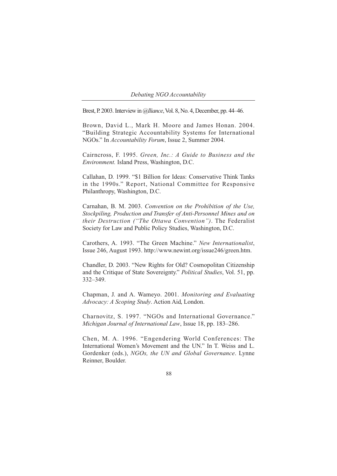Brest, P. 2003. Interview in *@lliance*, Vol. 8, No. 4, December, pp. 44–46.

Brown, David L., Mark H. Moore and James Honan. 2004. "Building Strategic Accountability Systems for International NGOs." In *Accountability Forum*, Issue 2, Summer 2004.

Cairncross, F. 1995. *Green, Inc.: A Guide to Business and the Environment.* Island Press, Washington, D.C.

Callahan, D. 1999. "\$1 Billion for Ideas: Conservative Think Tanks in the 1990s." Report, National Committee for Responsive Philanthropy, Washington, D.C.

Carnahan, B. M. 2003. *Convention on the Prohibition of the Use, Stockpiling, Production and Transfer of Anti-Personnel Mines and on their Destruction ("The Ottawa Convention")*. The Federalist Society for Law and Public Policy Studies, Washington, D.C.

Carothers, A. 1993. "The Green Machine." *New Internationalist*, Issue 246, August 1993. http://www.newint.org/issue246/green.htm.

Chandler, D. 2003. "New Rights for Old? Cosmopolitan Citizenship and the Critique of State Sovereignty." *Political Studies*, Vol. 51, pp. 332–349.

Chapman, J. and A. Wameyo. 2001. *Monitoring and Evaluating Advocacy: A Scoping Study*. Action Aid, London.

Charnovitz, S. 1997. "NGOs and International Governance." *Michigan Journal of International Law*, Issue 18, pp. 183–286.

Chen, M. A. 1996. "Engendering World Conferences: The International Women's Movement and the UN." In T. Weiss and L. Gordenker (eds.), *NGOs, the UN and Global Governance*. Lynne Reinner, Boulder.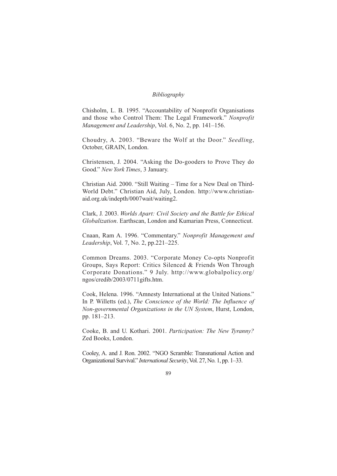# *Bibliography*

Chisholm, L. B. 1995. "Accountability of Nonprofit Organisations and those who Control Them: The Legal Framework." *Nonprofit Management and Leadership*, Vol. 6, No. 2, pp. 141–156.

Choudry, A. 2003. "Beware the Wolf at the Door." *Seedling*, October, GRAIN, London.

Christensen, J. 2004. "Asking the Do-gooders to Prove They do Good." *New York Times*, 3 January.

Christian Aid. 2000. "Still Waiting – Time for a New Deal on Third-World Debt." Christian Aid, July, London. http://www.christianaid.org.uk/indepth/0007wait/waiting2.

Clark, J. 2003. *Worlds Apart: Civil Society and the Battle for Ethical Globalization*. Earthscan, London and Kumarian Press, Connecticut.

Cnaan, Ram A. 1996. "Commentary." *Nonprofit Management and Leadership*, Vol. 7, No. 2, pp.221–225.

Common Dreams. 2003. "Corporate Money Co-opts Nonprofit Groups, Says Report: Critics Silenced & Friends Won Through Corporate Donations." 9 July. http://www.globalpolicy.org/ ngos/credib/2003/0711gifts.htm.

Cook, Helena. 1996. "Amnesty International at the United Nations." In P. Willetts (ed.), *The Conscience of the World: The Influence of Non-governmental Organizations in the UN System*, Hurst, London, pp. 181–213.

Cooke, B. and U. Kothari. 2001. *Participation: The New Tyranny?* Zed Books, London.

Cooley, A. and J. Ron. 2002. "NGO Scramble: Transnational Action and Organizational Survival." *International Security*, Vol. 27, No. 1, pp. 1–33.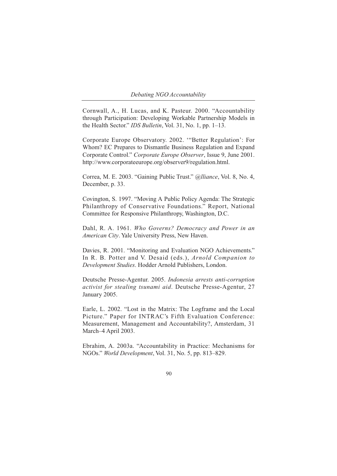Cornwall, A., H. Lucas, and K. Pasteur. 2000. "Accountability through Participation: Developing Workable Partnership Models in the Health Sector." *IDS Bulletin*, Vol. 31, No. 1, pp. 1–13.

Corporate Europe Observatory. 2002. '"Better Regulation': For Whom? EC Prepares to Dismantle Business Regulation and Expand Corporate Control." *Corporate Europe Observer*, Issue 9, June 2001. http://www.corporateeurope.org/observer9/regulation.html.

Correa, M. E. 2003. "Gaining Public Trust." *@lliance*, Vol. 8, No. 4, December, p. 33.

Covington, S. 1997. "Moving A Public Policy Agenda: The Strategic Philanthropy of Conservative Foundations." Report, National Committee for Responsive Philanthropy, Washington, D.C.

Dahl, R. A. 1961. *Who Governs? Democracy and Power in an American City*. Yale University Press, New Haven.

Davies, R. 2001. "Monitoring and Evaluation NGO Achievements." In R. B. Potter and V. Desaid (eds.), *Arnold Companion to Development Studies*. Hodder Arnold Publishers, London.

Deutsche Presse-Agentur. 2005. *Indonesia arrests anti-corruption activist for stealing tsunami aid*. Deutsche Presse-Agentur, 27 January 2005.

Earle, L. 2002. "Lost in the Matrix: The Logframe and the Local Picture." Paper for INTRAC's Fifth Evaluation Conference: Measurement, Management and Accountability?, Amsterdam, 31 March–4 April 2003.

Ebrahim, A. 2003a. "Accountability in Practice: Mechanisms for NGOs." *World Development*, Vol. 31, No. 5, pp. 813–829.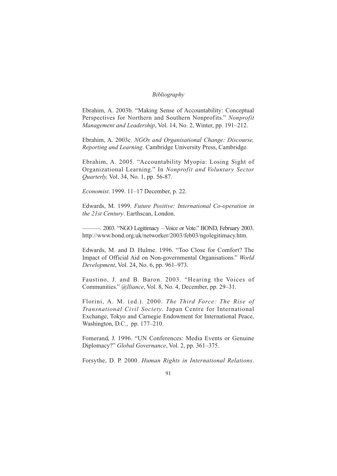# *Bibliography*

Ebrahim, A. 2003b. "Making Sense of Accountability: Conceptual Perspectives for Northern and Southern Nonprofits." *Nonprofit Management and Leadership*, Vol. 14, No. 2, Winter, pp. 191–212.

Ebrahim, A. 2003c. *NGOs and Organisational Change: Discourse, Reporting and Learning*. Cambridge University Press, Cambridge.

Ebrahim, A. 2005. "Accountability Myopia: Losing Sight of Organizational Learning." In *Nonprofit and Voluntary Sector Quarterly,* Vol. 34, No. 1, pp. 56-87.

*Economist*. 1999. 11–17 December, p. 22.

Edwards, M. 1999. *Future Positive: International Co-operation in the 21st Century*. Earthscan, London.

———. 2003. "NGO Legitimacy – Voice or Vote." BOND, February 2003. http://www.bond.org.uk/networker/2003/feb03/ngolegitimacy.htm.

Edwards, M. and D. Hulme. 1996. "Too Close for Comfort? The Impact of Official Aid on Non-governmental Organisations." *World Development*, Vol. 24, No. 6, pp. 961–973.

Faustino, J. and B. Baron. 2003. "Hearing the Voices of Communities." *@lliance*, Vol. 8, No. 4, December, pp. 29–31.

Florini, A. M. (ed.). 2000. *The Third Force: The Rise of Transnational Civil Society*. Japan Centre for International Exchange, Tokyo and Carnegie Endowment for International Peace, Washington, D.C., pp. 177–210.

Fomerand, J. 1996. "UN Conferences: Media Events or Genuine Diplomacy?" *Global Governance*, Vol. 2, pp. 361–375.

Forsythe, D. P. 2000. *Human Rights in International Relations*.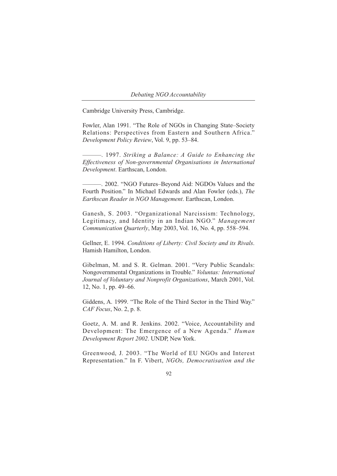Cambridge University Press, Cambridge.

Fowler, Alan 1991. "The Role of NGOs in Changing State–Society Relations: Perspectives from Eastern and Southern Africa." *Development Policy Review*, Vol. 9, pp. 53–84.

———. 1997. *Striking a Balance: A Guide to Enhancing the Effectiveness of Non-governmental Organisations in International Development*. Earthscan, London.

———. 2002. "NGO Futures–Beyond Aid: NGDOs Values and the Fourth Position." In Michael Edwards and Alan Fowler (eds.), *The Earthscan Reader in NGO Management*. Earthscan, London.

Ganesh, S. 2003. "Organizational Narcissism: Technology, Legitimacy, and Identity in an Indian NGO." *Management Communication Quarterly*, May 2003, Vol. 16, No. 4, pp. 558–594.

Gellner, E. 1994. *Conditions of Liberty: Civil Society and its Rivals*. Hamish Hamilton, London.

Gibelman, M. and S. R. Gelman. 2001. "Very Public Scandals: Nongovernmental Organizations in Trouble." *Voluntas: International Journal of Voluntary and Nonprofit Organizations*, March 2001, Vol. 12, No. 1, pp. 49–66.

Giddens, A. 1999. "The Role of the Third Sector in the Third Way." *CAF Focus*, No. 2, p. 8.

Goetz, A. M. and R. Jenkins. 2002. "Voice, Accountability and Development: The Emergence of a New Agenda." *Human Development Report 2002*. UNDP, New York.

Greenwood, J. 2003. "The World of EU NGOs and Interest Representation." In F. Vibert, *NGOs, Democratisation and the*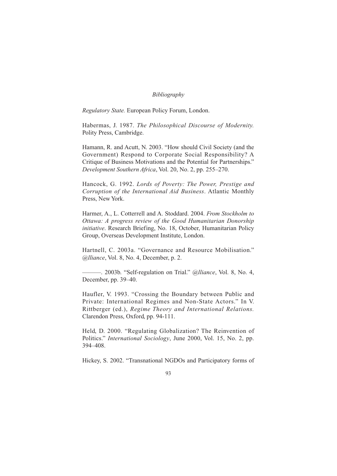*Regulatory State.* European Policy Forum, London.

Habermas, J. 1987. *The Philosophical Discourse of Modernity.* Polity Press, Cambridge.

Hamann, R. and Acutt, N. 2003. "How should Civil Society (and the Government) Respond to Corporate Social Responsibility? A Critique of Business Motivations and the Potential for Partnerships." *Development Southern Africa*, Vol. 20, No. 2, pp. 255–270.

Hancock, G. 1992. *Lords of Poverty: The Power, Prestige and Corruption of the International Aid Business*. Atlantic Monthly Press, New York.

Harmer, A., L. Cotterrell and A. Stoddard. 2004. *From Stockholm to Ottawa: A progress review of the Good Humanitarian Donorship initiative*. Research Briefing, No. 18, October, Humanitarian Policy Group, Overseas Development Institute, London.

Hartnell, C. 2003a. "Governance and Resource Mobilisation." *@lliance*, Vol. 8, No. 4, December, p. 2.

———. 2003b. "Self-regulation on Trial." *@lliance*, Vol. 8, No. 4, December, pp. 39–40.

Haufler, V. 1993. "Crossing the Boundary between Public and Private: International Regimes and Non-State Actors." In V. Rittberger (ed.), *Regime Theory and International Relations.* Clarendon Press, Oxford, pp. 94-111.

Held, D. 2000. "Regulating Globalization? The Reinvention of Politics." *International Sociology*, June 2000, Vol. 15, No. 2, pp. 394–408.

Hickey, S. 2002. "Transnational NGDOs and Participatory forms of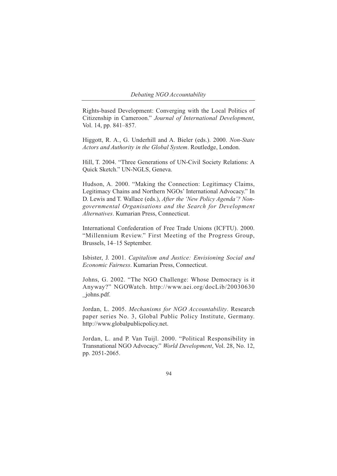Rights-based Development: Converging with the Local Politics of Citizenship in Cameroon." *Journal of International Development*, Vol. 14, pp. 841–857.

Higgott, R. A., G. Underhill and A. Bieler (eds.). 2000. *Non-State Actors and Authority in the Global System*. Routledge, London.

Hill, T. 2004. "Three Generations of UN-Civil Society Relations: A Quick Sketch." UN-NGLS, Geneva.

Hudson, A. 2000. "Making the Connection: Legitimacy Claims, Legitimacy Chains and Northern NGOs' International Advocacy." In D. Lewis and T. Wallace (eds.), *After the 'New Policy Agenda'? Nongovernmental Organisations and the Search for Development Alternatives*. Kumarian Press, Connecticut.

International Confederation of Free Trade Unions (ICFTU). 2000. "Millennium Review." First Meeting of the Progress Group, Brussels, 14–15 September.

Isbister, J. 2001. *Capitalism and Justice: Envisioning Social and Economic Fairness*. Kumarian Press, Connecticut.

Johns, G. 2002. "The NGO Challenge: Whose Democracy is it Anyway?" NGOWatch. http://www.aei.org/docLib/20030630 \_johns.pdf.

Jordan, L. 2005. *Mechanisms for NGO Accountability*. Research paper series No. 3, Global Public Policy Institute, Germany. http://www.globalpublicpolicy.net.

Jordan, L. and P. Van Tuijl. 2000. "Political Responsibility in Transnational NGO Advocacy." *World Development*, Vol. 28, No. 12, pp. 2051-2065.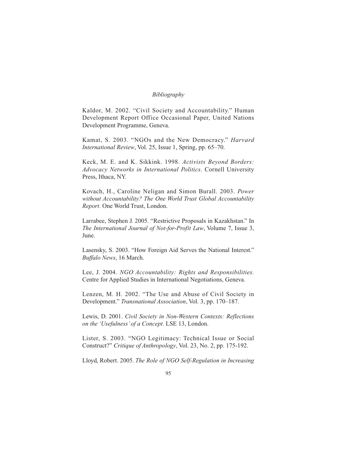Kaldor, M. 2002. "Civil Society and Accountability." Human Development Report Office Occasional Paper, United Nations Development Programme, Geneva.

Kamat, S. 2003. "NGOs and the New Democracy." *Harvard International Review*, Vol. 25, Issue 1, Spring, pp. 65–70.

Keck, M. E. and K. Sikkink. 1998. *Activists Beyond Borders: Advocacy Networks in International Politics*. Cornell University Press, Ithaca, NY.

Kovach, H., Caroline Neligan and Simon Burall. 2003. *Power without Accountability? The One World Trust Global Accountability Report*. One World Trust, London.

Larrabee, Stephen J. 2005. "Restrictive Proposals in Kazakhstan." In *The International Journal of Not-for-Profit Law*, Volume 7, Issue 3, June.

Lasensky, S. 2003. "How Foreign Aid Serves the National Interest." *Buffalo News*, 16 March.

Lee, J. 2004. *NGO Accountability: Rights and Responsibilities.* Centre for Applied Studies in International Negotiations, Geneva.

Lenzen, M. H. 2002. "The Use and Abuse of Civil Society in Development." *Transnational Association*, Vol. 3, pp. 170–187.

Lewis, D. 2001. *Civil Society in Non-Western Contexts: Reflections on the 'Usefulness' of a Concept*. LSE 13, London.

Lister, S. 2003. "NGO Legitimacy: Technical Issue or Social Construct?" *Critique of Anthropology*, Vol. 23, No. 2, pp. 175-192.

Lloyd, Robert. 2005. *The Role of NGO Self-Regulation in Increasing*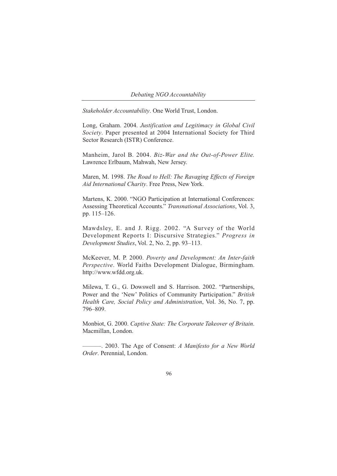*Stakeholder Accountability*. One World Trust, London.

Long, Graham. 2004. *Justification and Legitimacy in Global Civil Society*. Paper presented at 2004 International Society for Third Sector Research (ISTR) Conference.

Manheim, Jarol B. 2004. *Biz-War and the Out-of-Power Elite.* Lawrence Erlbaum, Mahwah, New Jersey.

Maren, M. 1998. *The Road to Hell: The Ravaging Effects of Foreign Aid International Charity*. Free Press, New York.

Martens, K. 2000. "NGO Participation at International Conferences: Assessing Theoretical Accounts." *Transnational Associations*, Vol. 3, pp. 115–126.

Mawdsley, E. and J. Rigg. 2002. "A Survey of the World Development Reports I: Discursive Strategies." *Progress in Development Studies*, Vol. 2, No. 2, pp. 93–113.

McKeever, M. P. 2000. *Poverty and Development: An Inter-faith Perspective*. World Faiths Development Dialogue, Birmingham. http://www.wfdd.org.uk.

Milewa, T. G., G. Dowswell and S. Harrison. 2002. "Partnerships, Power and the 'New' Politics of Community Participation." *British Health Care, Social Policy and Administration*, Vol. 36, No. 7, pp. 796–809.

Monbiot, G. 2000. *Captive State: The Corporate Takeover of Britain*. Macmillan, London.

———. 2003. The Age of Consent: *A Manifesto for a New World Order*. Perennial, London.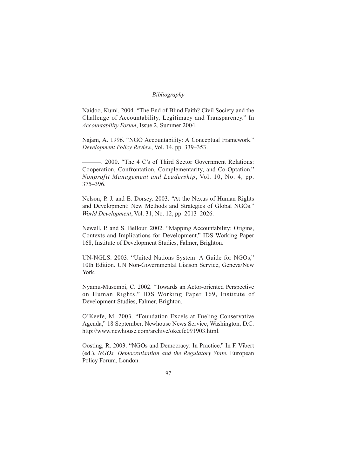Naidoo, Kumi. 2004. "The End of Blind Faith? Civil Society and the Challenge of Accountability, Legitimacy and Transparency." In *Accountability Forum*, Issue 2, Summer 2004.

Najam, A. 1996. "NGO Accountability: A Conceptual Framework." *Development Policy Review*, Vol. 14, pp. 339–353.

———. 2000. "The 4 C's of Third Sector Government Relations: Cooperation, Confrontation, Complementarity, and Co-Optation." *Nonprofit Management and Leadership*, Vol. 10, No. 4, pp. 375–396.

Nelson, P. J. and E. Dorsey. 2003. "At the Nexus of Human Rights and Development: New Methods and Strategies of Global NGOs." *World Development*, Vol. 31, No. 12, pp. 2013–2026.

Newell, P. and S. Bellour. 2002. "Mapping Accountability: Origins, Contexts and Implications for Development." IDS Working Paper 168, Institute of Development Studies, Falmer, Brighton.

UN-NGLS. 2003. "United Nations System: A Guide for NGOs," 10th Edition. UN Non-Governmental Liaison Service, Geneva/New York.

Nyamu-Musembi, C. 2002. "Towards an Actor-oriented Perspective on Human Rights." IDS Working Paper 169, Institute of Development Studies, Falmer, Brighton.

O'Keefe, M. 2003. "Foundation Excels at Fueling Conservative Agenda," 18 September, Newhouse News Service, Washington, D.C. http://www.newhouse.com/archive/okeefe091903.html.

Oosting, R. 2003. "NGOs and Democracy: In Practice." In F. Vibert (ed.), *NGOs, Democratisation and the Regulatory State.* European Policy Forum, London.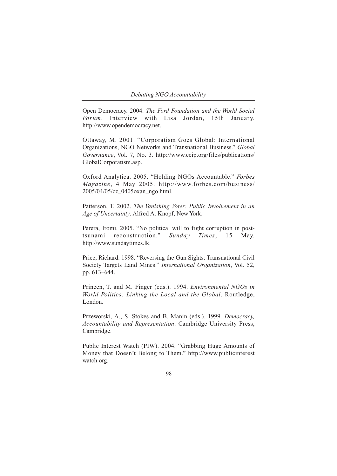Open Democracy. 2004. *The Ford Foundation and the World Social Forum*. Interview with Lisa Jordan, 15th January. http://www.opendemocracy.net.

Ottaway, M. 2001. "Corporatism Goes Global: International Organizations, NGO Networks and Transnational Business." *Global Governance*, Vol. 7, No. 3. http://www.ceip.org/files/publications/ GlobalCorporatism.asp.

Oxford Analytica. 2005. "Holding NGOs Accountable." *Forbes Magazine*, 4 May 2005. http://www.forbes.com/business/ 2005/04/05/cz\_0405oxan\_ngo.html.

Patterson, T. 2002. *The Vanishing Voter: Public Involvement in an Age of Uncertainty*. Alfred A. Knopf, New York.

Perera, Iromi. 2005. "No political will to fight corruption in posttsunami reconstruction." *Sunday Times*, 15 May. http://www.sundaytimes.lk.

Price, Richard. 1998. "Reversing the Gun Sights: Transnational Civil Society Targets Land Mines." *International Organization*, Vol. 52, pp. 613–644.

Princen, T. and M. Finger (eds.). 1994. *Environmental NGOs in World Politics: Linking the Local and the Global*. Routledge, London.

Przeworski, A., S. Stokes and B. Manin (eds.). 1999. *Democracy, Accountability and Representation*. Cambridge University Press, Cambridge.

Public Interest Watch (PIW). 2004. "Grabbing Huge Amounts of Money that Doesn't Belong to Them." http://www.publicinterest watch.org.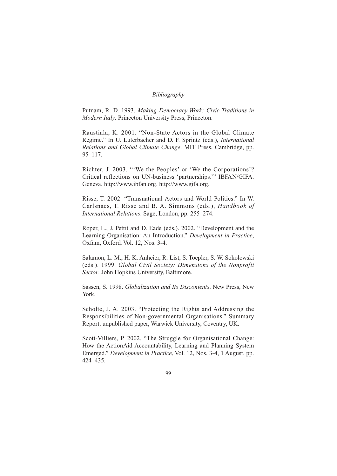Putnam, R. D. 1993. *Making Democracy Work: Civic Traditions in Modern Italy*. Princeton University Press, Princeton.

Raustiala, K. 2001. "Non-State Actors in the Global Climate Regime." In U. Luterbacher and D. F. Sprintz (eds.), *International Relations and Global Climate Change*. MIT Press, Cambridge, pp. 95–117.

Richter, J. 2003. "'We the Peoples' or 'We the Corporations'? Critical reflections on UN-business 'partnerships.'" IBFAN/GIFA. Geneva. http://www.ibfan.org. http://www.gifa.org.

Risse, T. 2002. "Transnational Actors and World Politics." In W. Carlsnaes, T. Risse and B. A. Simmons (eds.), *Handbook of International Relations*. Sage, London, pp. 255–274.

Roper, L., J. Pettit and D. Eade (eds.). 2002. "Development and the Learning Organisation: An Introduction." *Development in Practice*, Oxfam, Oxford, Vol. 12, Nos. 3-4.

Salamon, L. M., H. K. Anheier, R. List, S. Toepler, S. W. Sokolowski (eds.). 1999. *Global Civil Society: Dimensions of the Nonprofit Sector*. John Hopkins University, Baltimore.

Sassen, S. 1998. *Globalization and Its Discontents*. New Press, New York.

Scholte, J. A. 2003. "Protecting the Rights and Addressing the Responsibilities of Non-governmental Organisations." Summary Report, unpublished paper, Warwick University, Coventry, UK.

Scott-Villiers, P. 2002. "The Struggle for Organisational Change: How the ActionAid Accountability, Learning and Planning System Emerged." *Development in Practice*, Vol. 12, Nos. 3-4, 1 August, pp. 424–435.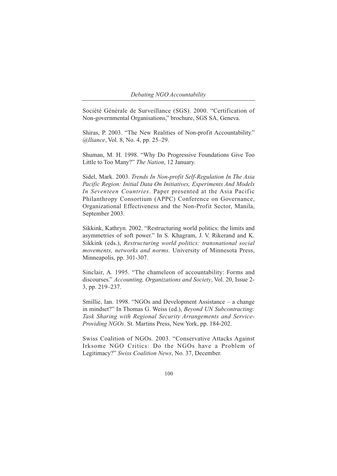Société Générale de Surveillance (SGS). 2000. "Certification of Non-governmental Organisations," brochure, SGS SA, Geneva.

Shiras, P. 2003. "The New Realities of Non-profit Accountability." *@lliance*, Vol. 8, No. 4, pp. 25–29.

Shuman, M. H. 1998. "Why Do Progressive Foundations Give Too Little to Too Many?" *The Nation*, 12 January.

Sidel, Mark. 2003. *Trends In Non-profit Self-Regulation In The Asia Pacific Region: Initial Data On Initiatives, Experiments And Models In Seventeen Countries*. Paper presented at the Asia Pacific Philanthropy Consortium (APPC) Conference on Governance, Organizational Effectiveness and the Non-Profit Sector, Manila, September 2003.

Sikkink, Kathryn. 2002. "Restructuring world politics: the limits and asymmetries of soft power." In S. Khagram, J. V. Rikerand and K. Sikkink (eds.), *Restructuring world politics: transnational social movements, networks and norms*. University of Minnesota Press, Minneapolis, pp. 301-307.

Sinclair, A. 1995. "The chameleon of accountability: Forms and discourses." *Accounting, Organizations and Society*, Vol. 20, Issue 2- 3, pp. 219–237.

Smillie, Ian. 1998. "NGOs and Development Assistance – a change in mindset?" In Thomas G. Weiss (ed.), *Beyond UN Subcontracting: Task Sharing with Regional Security Arrangements and Service-Providing NGOs*. St. Martins Press, New York, pp. 184-202.

Swiss Coalition of NGOs. 2003. "Conservative Attacks Against Irksome NGO Critics: Do the NGOs have a Problem of Legitimacy?" *Swiss Coalition News*, No. 37, December.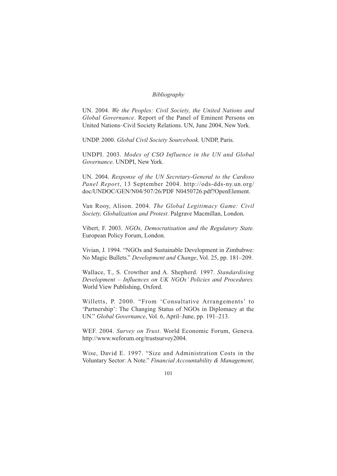UN. 2004. *We the Peoples: Civil Society, the United Nations and Global Governance*. Report of the Panel of Eminent Persons on United Nations–Civil Society Relations. UN, June 2004, New York.

UNDP. 2000. *Global Civil Society Sourcebook*. UNDP, Paris.

UNDPI. 2003. *Modes of CSO Influence in the UN and Global Governance*. UNDPI, New York.

UN. 2004. *Response of the UN Secretary-General to the Cardoso Panel Report*, 13 September 2004. http://ods-dds-ny.un.org/ doc/UNDOC/GEN/N04/507/26/PDF N0450726.pdf?OpenElement.

Van Rooy, Alison. 2004. *The Global Legitimacy Game: Civil Society, Globalization and Protest*. Palgrave Macmillan, London.

Vibert, F. 2003. *NGOs, Democratisation and the Regulatory State.* European Policy Forum, London.

Vivian, J. 1994. "NGOs and Sustainable Development in Zimbabwe: No Magic Bullets." *Development and Change*, Vol. 25, pp. 181–209.

Wallace, T., S. Crowther and A. Shepherd. 1997. *Standardising Development – Influences on UK NGOs' Policies and Procedures.* World View Publishing, Oxford.

Willetts, P. 2000. "From 'Consultative Arrangements' to 'Partnership': The Changing Status of NGOs in Diplomacy at the UN." *Global Governance*, Vol. 6, April–June, pp. 191–213.

WEF. 2004. *Survey on Trust*. World Economic Forum, Geneva. http://www.weforum.org/trustsurvey2004.

Wise, David E. 1997. "Size and Administration Costs in the Voluntary Sector: A Note." *Financial Accountability & Management*,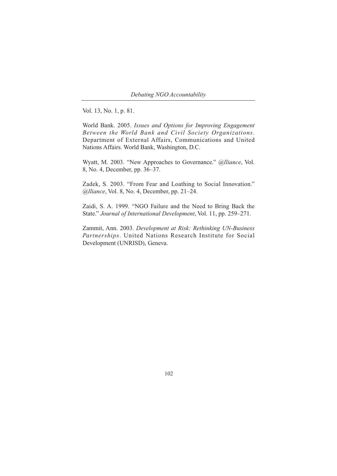Vol. 13, No. 1, p. 81.

World Bank. 2005. *Issues and Options for Improving Engagement Between the World Bank and Civil Society Organizations*. Department of External Affairs, Communications and United Nations Affairs. World Bank, Washington, D.C.

Wyatt, M. 2003. "New Approaches to Governance." *@lliance*, Vol. 8, No. 4, December, pp. 36–37.

Zadek, S. 2003. "From Fear and Loathing to Social Innovation." *@lliance*, Vol. 8, No. 4, December, pp. 21–24.

Zaidi, S. A. 1999. "NGO Failure and the Need to Bring Back the State." *Journal of International Development*, Vol. 11, pp. 259–271.

Zammit, Ann. 2003. *Development at Risk: Rethinking UN-Business Partnerships*. United Nations Research Institute for Social Development (UNRISD), Geneva.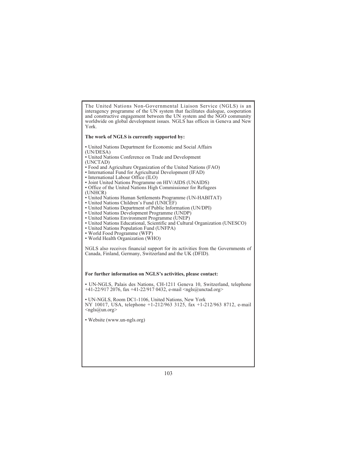The United Nations Non-Governmental Liaison Service (NGLS) is an interagency programme of the UN system that facilitates dialogue, cooperation and constructive engagement between the UN system and the NGO community worldwide on global development issues. NGLS has offices in Geneva and New York.

#### **The work of NGLS is currently supported by:**

- United Nations Department for Economic and Social Affairs (UN/DESA)
- United Nations Conference on Trade and Development (UNCTAD)
- 
- Food and Agriculture Organization of the United Nations (FAO) • International Fund for Agricultural Development (IFAD)
- International Labour Office (ILO)
- Joint United Nations Programme on HIV/AIDS (UNAIDS)
- Office of the United Nations High Commissioner for Refugees (UNHCR)
- United Nations Human Settlements Programme (UN-HABITAT)
- United Nations Children's Fund (UNICEF)
- United Nations Department of Public Information (UN/DPI)
- United Nations Development Programme (UNDP)
- United Nations Environment Programme (UNEP)
- United Nations Educational, Scientific and Cultural Organization (UNESCO)
- United Nations Population Fund (UNFPA)
- World Food Programme (WFP)
- World Health Organization (WHO)

NGLS also receives financial support for its activities from the Governments of Canada, Finland, Germany, Switzerland and the UK (DFID).

#### **For further information on NGLS's activities, please contact:**

• UN-NGLS, Palais des Nations, CH-1211 Geneva 10, Switzerland, telephone +41-22/917 2076, fax +41-22/917 0432, e-mail <ngls@unctad.org>

• UN-NGLS, Room DC1-1106, United Nations, New York NY 10017, USA, telephone +1-212/963 3125, fax +1-212/963 8712, e-mail  $\langle \text{ngls}(\omega \text{un.org} \rangle)$ 

• Website (www.un-ngls.org)